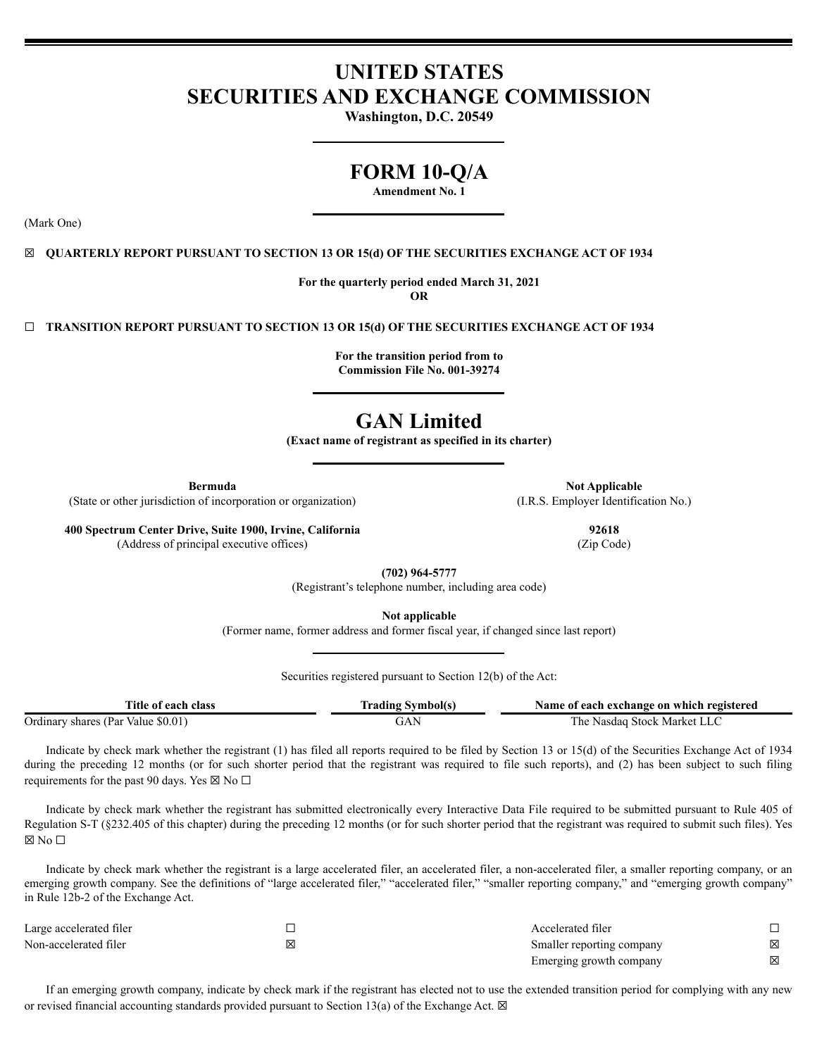# **UNITED STATES SECURITIES AND EXCHANGE COMMISSION**

**Washington, D.C. 20549**

# **FORM 10-Q/A**

**Amendment No. 1**

(Mark One)

# ☒ **QUARTERLY REPORT PURSUANT TO SECTION 13 OR 15(d) OF THE SECURITIES EXCHANGE ACT OF 1934**

**For the quarterly period ended March 31, 2021 OR**

☐ **TRANSITION REPORT PURSUANT TO SECTION 13 OR 15(d) OF THE SECURITIES EXCHANGE ACT OF 1934**

**For the transition period from to Commission File No. 001-39274**

# **GAN Limited**

**(Exact name of registrant as specified in its charter)**

(State or other jurisdiction of incorporation or organization) (I.R.S. Employer Identification No.)

**400 Spectrum Center Drive, Suite 1900, Irvine, California 92618** (Address of principal executive offices) (Zip Code)

**Bermuda Not Applicable** 

**(702) 964-5777**

(Registrant's telephone number, including area code)

**Not applicable**

(Former name, former address and former fiscal year, if changed since last report)

Securities registered pursuant to Section 12(b) of the Act:

| l'itle of each class                       | <b>Symbol</b> (s)<br>radıng | t each exchange on which registered<br>Name of |
|--------------------------------------------|-----------------------------|------------------------------------------------|
| Ordinary<br>\$0.01<br>shares (Par<br>Value |                             | -Stock-Market<br>l he<br>Nasdag                |

Indicate by check mark whether the registrant (1) has filed all reports required to be filed by Section 13 or 15(d) of the Securities Exchange Act of 1934 during the preceding 12 months (or for such shorter period that the registrant was required to file such reports), and (2) has been subject to such filing requirements for the past 90 days. Yes  $\boxtimes$  No  $\Box$ 

Indicate by check mark whether the registrant has submitted electronically every Interactive Data File required to be submitted pursuant to Rule 405 of Regulation S-T (§232.405 of this chapter) during the preceding 12 months (or for such shorter period that the registrant was required to submit such files). Yes ⊠ No □

Indicate by check mark whether the registrant is a large accelerated filer, an accelerated filer, a non-accelerated filer, a smaller reporting company, or an emerging growth company. See the definitions of "large accelerated filer," "accelerated filer," "smaller reporting company," and "emerging growth company" in Rule 12b-2 of the Exchange Act.

| Large accelerated filer |   | Accelerated filer         |   |
|-------------------------|---|---------------------------|---|
| Non-accelerated filer   | × | Smaller reporting company | ⊠ |
|                         |   | Emerging growth company   | ⊠ |

If an emerging growth company, indicate by check mark if the registrant has elected not to use the extended transition period for complying with any new or revised financial accounting standards provided pursuant to Section 13(a) of the Exchange Act.  $\boxtimes$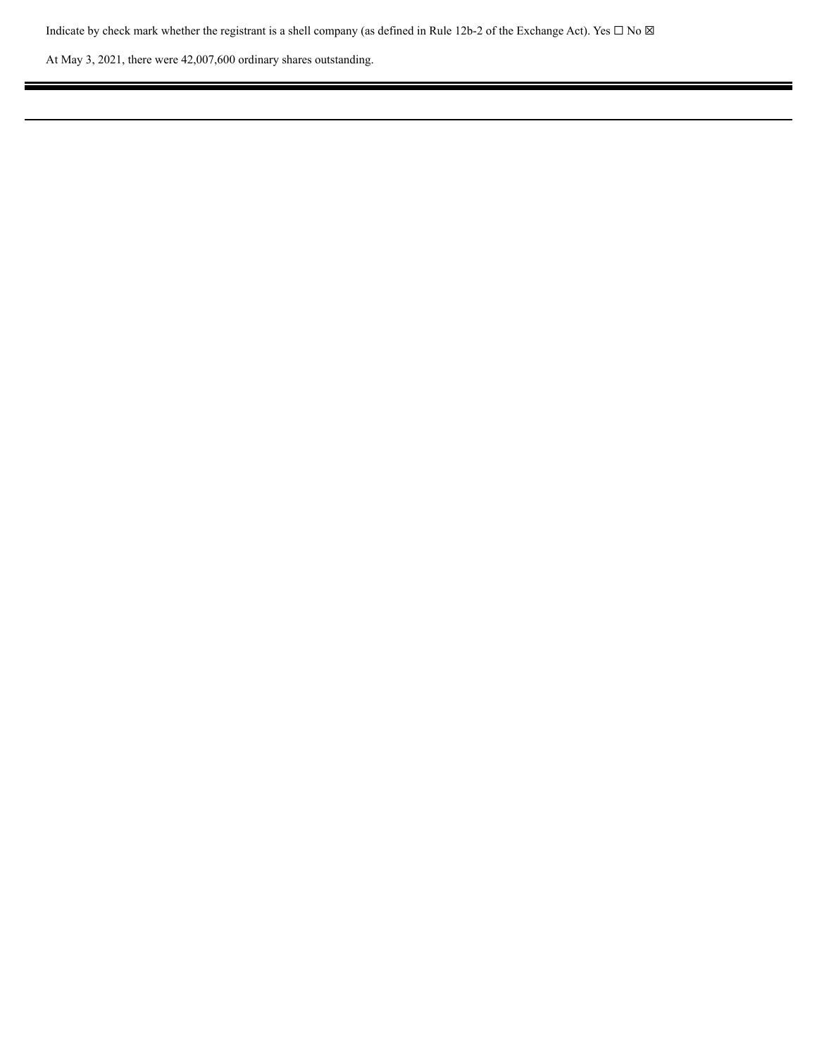Indicate by check mark whether the registrant is a shell company (as defined in Rule 12b-2 of the Exchange Act). Yes  $\Box$  No  $\boxtimes$ 

Ξ

At May 3, 2021, there were 42,007,600 ordinary shares outstanding.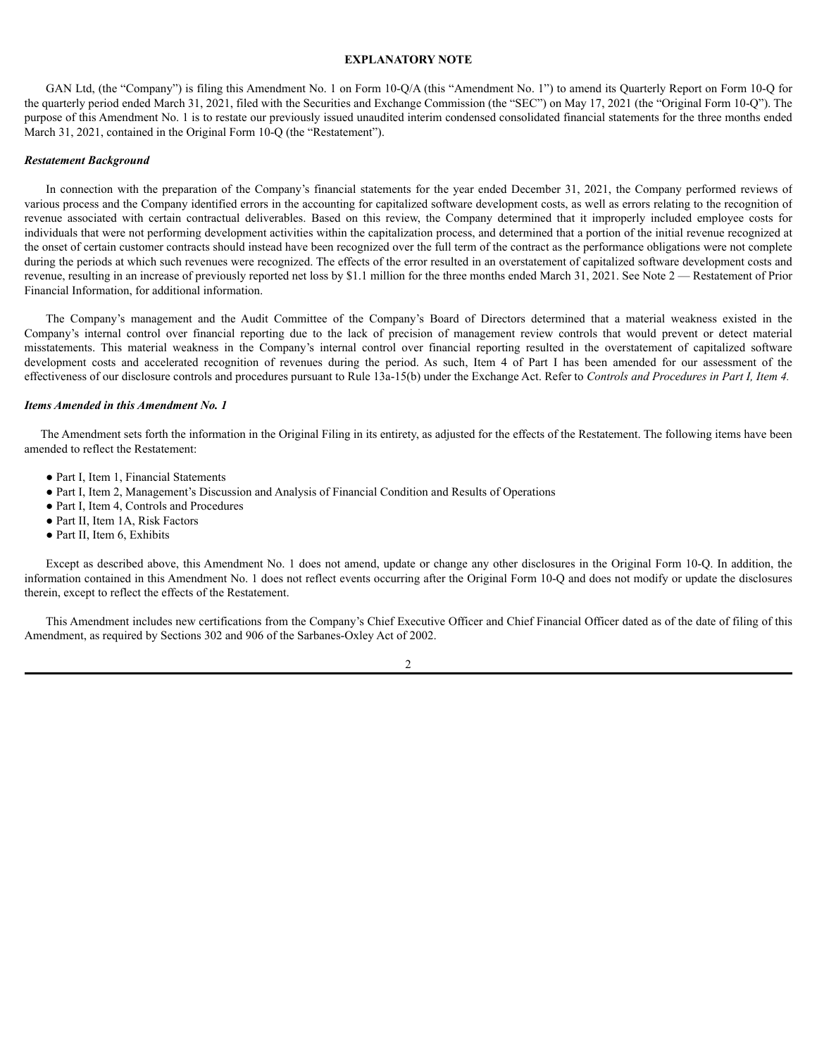# **EXPLANATORY NOTE**

GAN Ltd, (the "Company") is filing this Amendment No. 1 on Form 10-Q/A (this "Amendment No. 1") to amend its Quarterly Report on Form 10-Q for the quarterly period ended March 31, 2021, filed with the Securities and Exchange Commission (the "SEC") on May 17, 2021 (the "Original Form 10-Q"). The purpose of this Amendment No. 1 is to restate our previously issued unaudited interim condensed consolidated financial statements for the three months ended March 31, 2021, contained in the Original Form 10-Q (the "Restatement").

### *Restatement Background*

In connection with the preparation of the Company's financial statements for the year ended December 31, 2021, the Company performed reviews of various process and the Company identified errors in the accounting for capitalized software development costs, as well as errors relating to the recognition of revenue associated with certain contractual deliverables. Based on this review, the Company determined that it improperly included employee costs for individuals that were not performing development activities within the capitalization process, and determined that a portion of the initial revenue recognized at the onset of certain customer contracts should instead have been recognized over the full term of the contract as the performance obligations were not complete during the periods at which such revenues were recognized. The effects of the error resulted in an overstatement of capitalized software development costs and revenue, resulting in an increase of previously reported net loss by \$1.1 million for the three months ended March 31, 2021. See Note 2 — Restatement of Prior Financial Information, for additional information.

The Company's management and the Audit Committee of the Company's Board of Directors determined that a material weakness existed in the Company's internal control over financial reporting due to the lack of precision of management review controls that would prevent or detect material misstatements. This material weakness in the Company's internal control over financial reporting resulted in the overstatement of capitalized software development costs and accelerated recognition of revenues during the period. As such, Item 4 of Part I has been amended for our assessment of the effectiveness of our disclosure controls and procedures pursuant to Rule 13a-15(b) under the Exchange Act. Refer to *Controls and Procedures in Part I, Item 4.*

### *Items Amended in this Amendment No. 1*

The Amendment sets forth the information in the Original Filing in its entirety, as adjusted for the effects of the Restatement. The following items have been amended to reflect the Restatement:

- Part I, Item 1, Financial Statements
- Part I, Item 2, Management's Discussion and Analysis of Financial Condition and Results of Operations
- Part I, Item 4, Controls and Procedures
- Part II, Item 1A, Risk Factors
- Part II, Item 6, Exhibits

Except as described above, this Amendment No. 1 does not amend, update or change any other disclosures in the Original Form 10-Q. In addition, the information contained in this Amendment No. 1 does not reflect events occurring after the Original Form 10-Q and does not modify or update the disclosures therein, except to reflect the effects of the Restatement.

This Amendment includes new certifications from the Company's Chief Executive Officer and Chief Financial Officer dated as of the date of filing of this Amendment, as required by Sections 302 and 906 of the Sarbanes-Oxley Act of 2002.

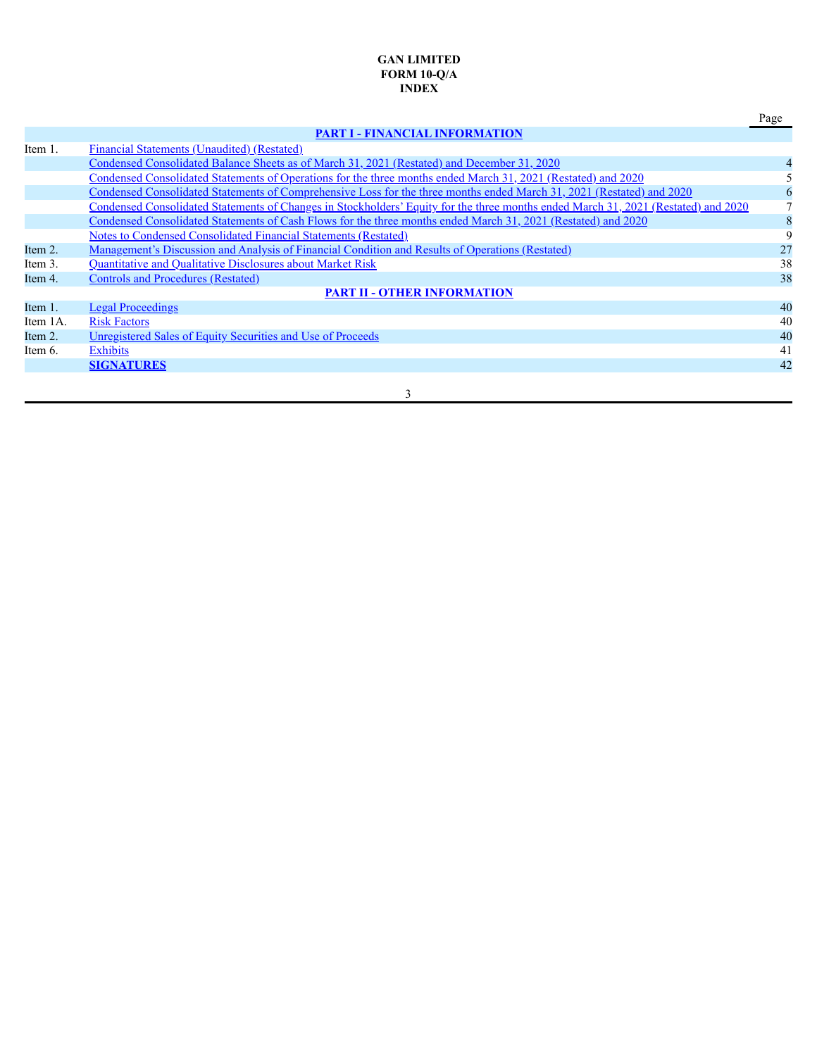# **GAN LIMITED FORM 10-Q/A INDEX**

# **PART I - FINANCIAL INFORMATION**

Page

| Item 1.    | Financial Statements (Unaudited) (Restated)                                                                                        |             |
|------------|------------------------------------------------------------------------------------------------------------------------------------|-------------|
|            | <u>Condensed Consolidated Balance Sheets as of March 31, 2021 (Restated) and December 31, 2020</u>                                 |             |
|            | Condensed Consolidated Statements of Operations for the three months ended March 31, 2021 (Restated) and 2020                      |             |
|            | Condensed Consolidated Statements of Comprehensive Loss for the three months ended March 31, 2021 (Restated) and 2020              | $\mathbf b$ |
|            | Condensed Consolidated Statements of Changes in Stockholders' Equity for the three months ended March 31, 2021 (Restated) and 2020 |             |
|            | Condensed Consolidated Statements of Cash Flows for the three months ended March 31, 2021 (Restated) and 2020                      | 8           |
|            | Notes to Condensed Consolidated Financial Statements (Restated)                                                                    | 9           |
| Item 2.    | <u>Management's Discussion and Analysis of Financial Condition and Results of Operations (Restated)</u>                            | 27          |
| Item 3.    | Quantitative and Qualitative Disclosures about Market Risk                                                                         | 38          |
| Item 4.    | <b>Controls and Procedures (Restated)</b>                                                                                          | 38          |
|            | <b>PART II - OTHER INFORMATION</b>                                                                                                 |             |
| Item $1$ . | <b>Legal Proceedings</b>                                                                                                           | 40          |
| Item 1A.   | <b>Risk Factors</b>                                                                                                                | 40          |
| Item $2.$  | Unregistered Sales of Equity Securities and Use of Proceeds                                                                        | 40          |
| Item 6.    | <b>Exhibits</b>                                                                                                                    | 41          |
|            | <b>SIGNATURES</b>                                                                                                                  | 42          |
|            |                                                                                                                                    |             |
|            | 3                                                                                                                                  |             |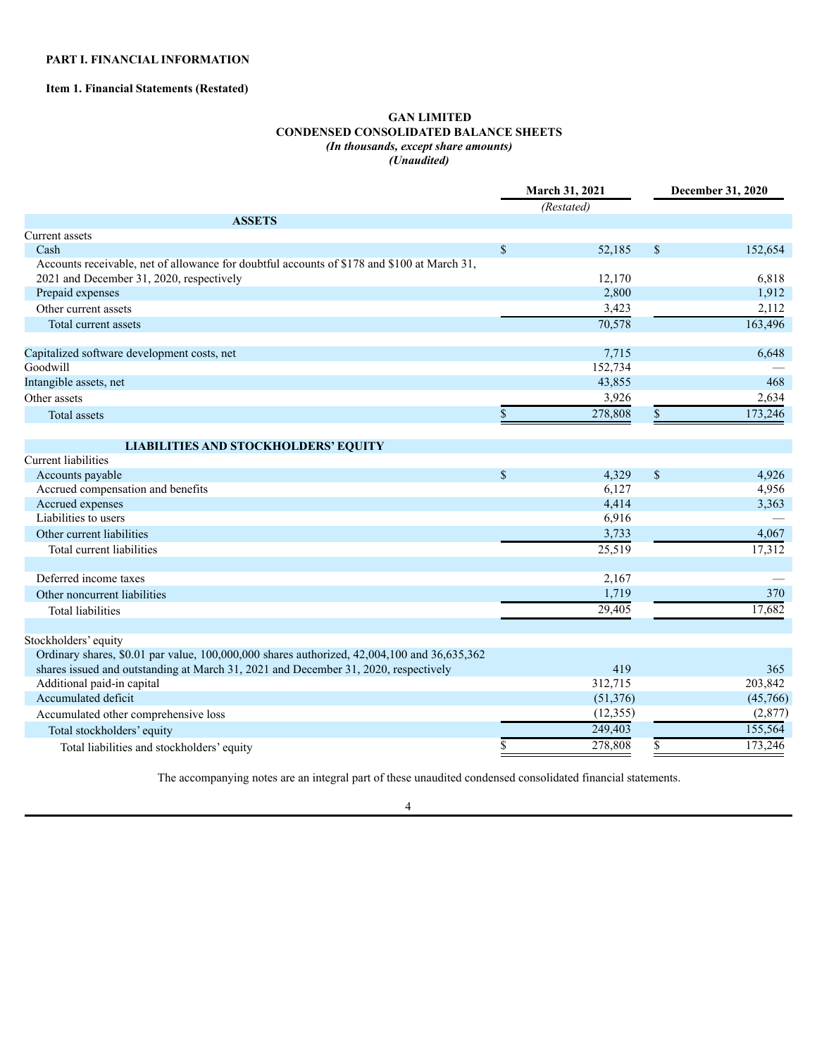# **PART I. FINANCIAL INFORMATION**

# **Item 1. Financial Statements (Restated)**

# <span id="page-4-0"></span>**GAN LIMITED CONDENSED CONSOLIDATED BALANCE SHEETS** *(In thousands, except share amounts) (Unaudited)*

|                                                                                             |             | March 31, 2021       | December 31, 2020 |          |  |
|---------------------------------------------------------------------------------------------|-------------|----------------------|-------------------|----------|--|
|                                                                                             |             | (Restated)           |                   |          |  |
| <b>ASSETS</b>                                                                               |             |                      |                   |          |  |
| Current assets                                                                              |             |                      |                   |          |  |
| Cash                                                                                        | \$          | 52,185               | $\mathbb{S}$      | 152,654  |  |
| Accounts receivable, net of allowance for doubtful accounts of \$178 and \$100 at March 31, |             |                      |                   |          |  |
| 2021 and December 31, 2020, respectively                                                    |             | 12,170               |                   | 6,818    |  |
| Prepaid expenses                                                                            |             | 2,800                |                   | 1,912    |  |
| Other current assets                                                                        |             | 3,423                |                   | 2,112    |  |
| Total current assets                                                                        |             | 70,578               |                   | 163,496  |  |
| Capitalized software development costs, net                                                 |             | 7,715                |                   | 6,648    |  |
| Goodwill                                                                                    |             | 152,734              |                   |          |  |
| Intangible assets, net                                                                      |             | 43,855               |                   | 468      |  |
| Other assets                                                                                |             | 3,926                |                   | 2,634    |  |
| <b>Total assets</b>                                                                         |             | 278,808              |                   | 173,246  |  |
| <b>LIABILITIES AND STOCKHOLDERS' EQUITY</b>                                                 |             |                      |                   |          |  |
| <b>Current liabilities</b>                                                                  |             |                      |                   |          |  |
| Accounts payable                                                                            | $\mathbf S$ | 4.329                | $\mathbb S$       | 4,926    |  |
| Accrued compensation and benefits                                                           |             | 6,127                |                   | 4,956    |  |
| Accrued expenses                                                                            |             | 4,414                |                   | 3,363    |  |
| Liabilities to users                                                                        |             | 6,916                |                   |          |  |
| Other current liabilities                                                                   |             | 3,733                |                   | 4,067    |  |
| Total current liabilities                                                                   |             | 25,519               |                   | 17,312   |  |
| Deferred income taxes                                                                       |             | 2,167                |                   |          |  |
| Other noncurrent liabilities                                                                |             | 1,719                |                   | 370      |  |
| <b>Total liabilities</b>                                                                    |             | 29.405               |                   | 17,682   |  |
| Stockholders' equity                                                                        |             |                      |                   |          |  |
| Ordinary shares, \$0.01 par value, 100,000,000 shares authorized, 42,004,100 and 36,635,362 |             |                      |                   |          |  |
| shares issued and outstanding at March 31, 2021 and December 31, 2020, respectively         |             | 419                  |                   | 365      |  |
| Additional paid-in capital                                                                  |             | 312,715              |                   | 203,842  |  |
| Accumulated deficit                                                                         |             | (51, 376)            |                   | (45,766) |  |
| Accumulated other comprehensive loss                                                        |             | (12, 355)            |                   | (2,877)  |  |
| Total stockholders' equity                                                                  |             | 249,403              |                   | 155,564  |  |
| Total liabilities and stockholders' equity                                                  |             | $\overline{278,808}$ |                   | 173,246  |  |
|                                                                                             |             |                      |                   |          |  |

The accompanying notes are an integral part of these unaudited condensed consolidated financial statements.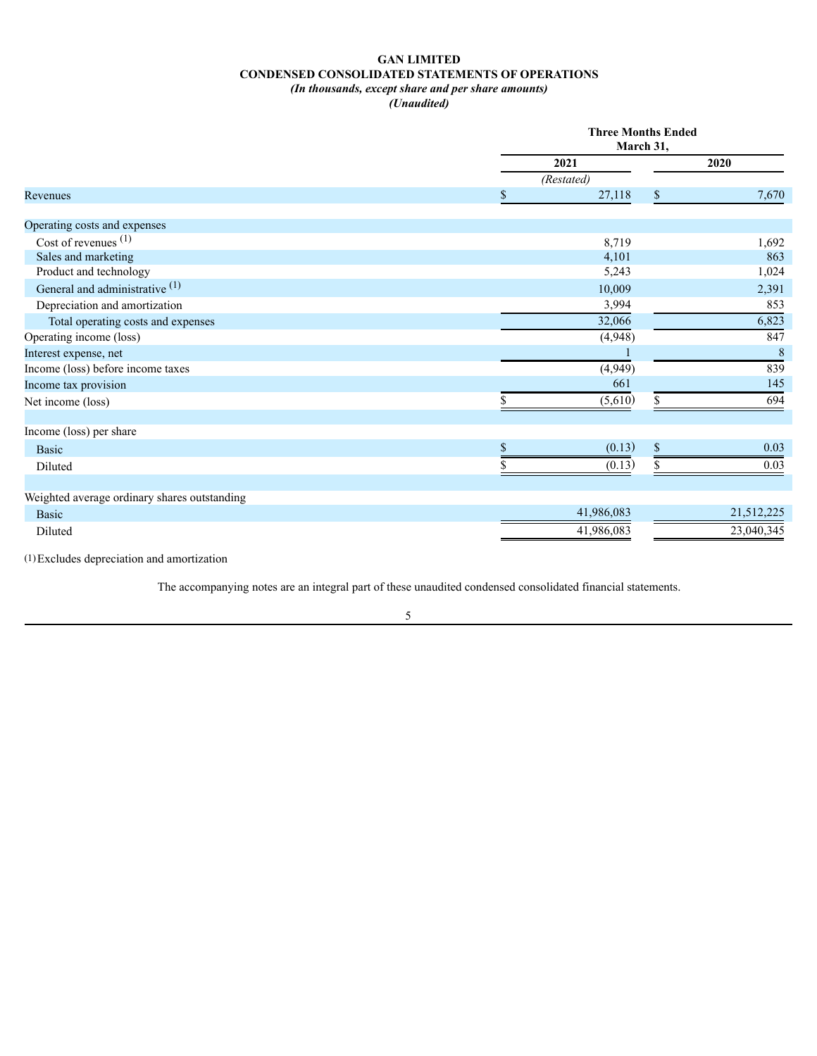# **GAN LIMITED CONDENSED CONSOLIDATED STATEMENTS OF OPERATIONS** *(In thousands, except share and per share amounts)*

*(Unaudited)*

|                                              |              | <b>Three Months Ended</b><br>March 31, |
|----------------------------------------------|--------------|----------------------------------------|
|                                              | 2021         | 2020                                   |
|                                              | (Restated)   |                                        |
| Revenues                                     | 27,118       | \$<br>7,670                            |
|                                              |              |                                        |
| Operating costs and expenses                 |              |                                        |
| Cost of revenues $(1)$                       | 8,719        | 1,692                                  |
| Sales and marketing                          | 4,101        | 863                                    |
| Product and technology                       | 5,243        | 1,024                                  |
| General and administrative (1)               | 10,009       | 2,391                                  |
| Depreciation and amortization                | 3,994        | 853                                    |
| Total operating costs and expenses           | 32,066       | 6,823                                  |
| Operating income (loss)                      | (4,948)      | 847                                    |
| Interest expense, net                        |              | 8                                      |
| Income (loss) before income taxes            | (4,949)      | 839                                    |
| Income tax provision                         | 661          | 145                                    |
| Net income (loss)                            | (5,610)      | 694<br>\$.                             |
|                                              |              |                                        |
| Income (loss) per share                      |              |                                        |
| <b>Basic</b>                                 | (0.13)<br>\$ | $\mathbb{S}$<br>0.03                   |
| Diluted                                      | (0.13)       | 0.03<br>\$                             |
|                                              |              |                                        |
| Weighted average ordinary shares outstanding |              |                                        |
| <b>Basic</b>                                 | 41,986,083   | 21,512,225                             |
| Diluted                                      | 41,986,083   | 23,040,345                             |

(1)Excludes depreciation and amortization

The accompanying notes are an integral part of these unaudited condensed consolidated financial statements.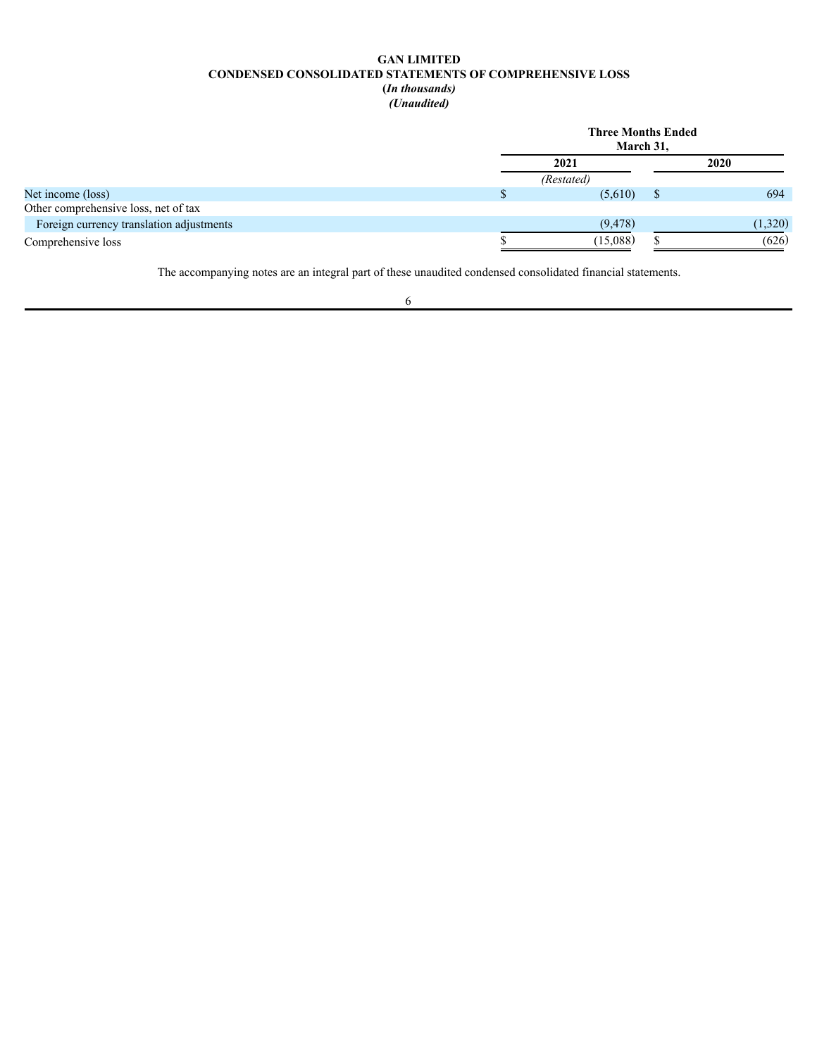# **GAN LIMITED CONDENSED CONSOLIDATED STATEMENTS OF COMPREHENSIVE LOSS (***In thousands)*

*(Unaudited)*

|                                          | <b>Three Months Ended</b><br>March 31, |  |         |  |  |  |  |
|------------------------------------------|----------------------------------------|--|---------|--|--|--|--|
|                                          | 2021                                   |  |         |  |  |  |  |
|                                          | (Restated)                             |  |         |  |  |  |  |
| Net income (loss)                        | (5,610)                                |  | 694     |  |  |  |  |
| Other comprehensive loss, net of tax     |                                        |  |         |  |  |  |  |
| Foreign currency translation adjustments | (9, 478)                               |  | (1,320) |  |  |  |  |
| Comprehensive loss                       | (15,088)                               |  | (626)   |  |  |  |  |

The accompanying notes are an integral part of these unaudited condensed consolidated financial statements.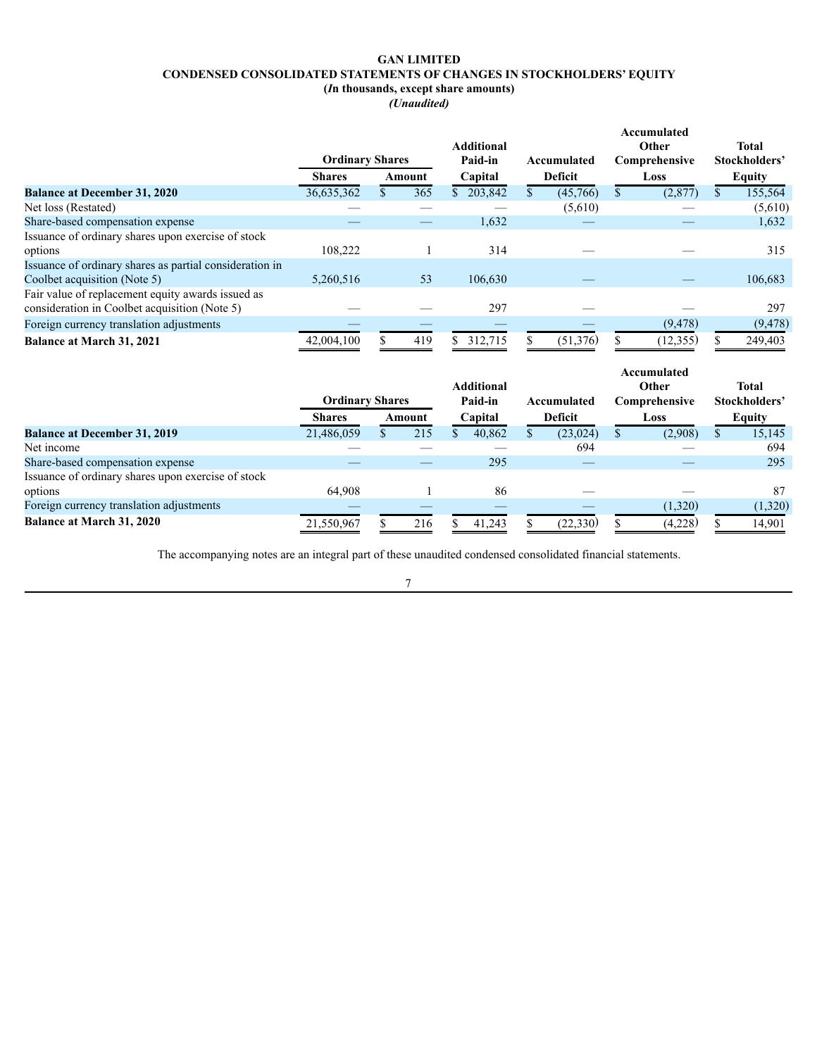# <span id="page-7-0"></span>**GAN LIMITED CONDENSED CONSOLIDATED STATEMENTS OF CHANGES IN STOCKHOLDERS' EQUITY (***I***n thousands, except share amounts)**

*(Unaudited)*

|                                                         |                        |        |                   |             |      | Accumulated   |  |                               |
|---------------------------------------------------------|------------------------|--------|-------------------|-------------|------|---------------|--|-------------------------------|
|                                                         |                        |        | <b>Additional</b> |             |      | Other         |  | <b>Total</b><br>Stockholders' |
|                                                         | <b>Ordinary Shares</b> |        | Paid-in           | Accumulated |      | Comprehensive |  |                               |
|                                                         | <b>Shares</b>          | Amount | Capital           | Deficit     | Loss |               |  | <b>Equity</b>                 |
| <b>Balance at December 31, 2020</b>                     | 36,635,362             | 365    | 203,842<br>S.     | (45,766)    |      | (2,877)       |  | 155,564                       |
| Net loss (Restated)                                     |                        |        |                   | (5,610)     |      |               |  | (5,610)                       |
| Share-based compensation expense                        |                        |        | 1,632             |             |      |               |  | 1,632                         |
| Issuance of ordinary shares upon exercise of stock      |                        |        |                   |             |      |               |  |                               |
| options                                                 | 108,222                |        | 314               |             |      |               |  | 315                           |
| Issuance of ordinary shares as partial consideration in |                        |        |                   |             |      |               |  |                               |
| Coolbet acquisition (Note 5)                            | 5,260,516              | 53     | 106,630           |             |      |               |  | 106,683                       |
| Fair value of replacement equity awards issued as       |                        |        |                   |             |      |               |  |                               |
| consideration in Coolbet acquisition (Note 5)           |                        |        | 297               |             |      |               |  | 297                           |
| Foreign currency translation adjustments                |                        |        |                   |             |      | (9, 478)      |  | (9, 478)                      |
| <b>Balance at March 31, 2021</b>                        | 42,004,100             | 419    | 312,715           | (51, 376)   |      | (12, 355)     |  | 249,403                       |

|                                                    | <b>Ordinary Shares</b> |  | <b>Additional</b><br>Paid-in |  |         | Accumulated | Accumulated<br>Other<br>Comprehensive |  |         | <b>Total</b><br>Stockholders' |               |
|----------------------------------------------------|------------------------|--|------------------------------|--|---------|-------------|---------------------------------------|--|---------|-------------------------------|---------------|
|                                                    | <b>Shares</b>          |  | Amount                       |  | Capital |             | <b>Deficit</b>                        |  | Loss    |                               | <b>Equity</b> |
| <b>Balance at December 31, 2019</b>                | 21,486,059             |  | 215                          |  | 40,862  |             | (23, 024)                             |  | (2,908) |                               | 15,145        |
| Net income                                         |                        |  |                              |  |         |             | 694                                   |  |         |                               | 694           |
| Share-based compensation expense                   |                        |  |                              |  | 295     |             |                                       |  |         |                               | 295           |
| Issuance of ordinary shares upon exercise of stock |                        |  |                              |  |         |             |                                       |  |         |                               |               |
| options                                            | 64.908                 |  |                              |  | 86      |             |                                       |  |         |                               | 87            |
| Foreign currency translation adjustments           |                        |  |                              |  |         |             |                                       |  | (1,320) |                               | (1,320)       |
| <b>Balance at March 31, 2020</b>                   | 21,550,967             |  | 216                          |  | 41,243  |             | (22, 330)                             |  | (4,228) |                               | 14,901        |

The accompanying notes are an integral part of these unaudited condensed consolidated financial statements.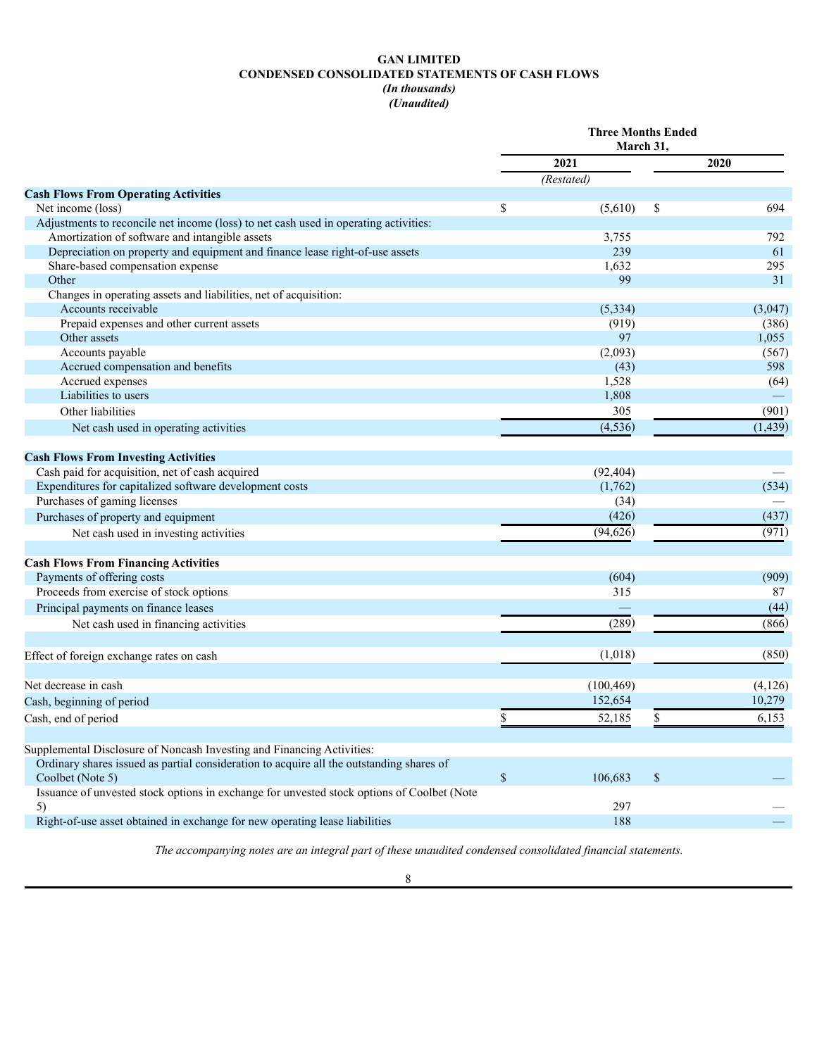# **GAN LIMITED CONDENSED CONSOLIDATED STATEMENTS OF CASH FLOWS** *(In thousands)*

# *(Unaudited)*

|                                                                                            |    | <b>Three Months Ended</b> |             |          |
|--------------------------------------------------------------------------------------------|----|---------------------------|-------------|----------|
|                                                                                            |    | 2021                      |             | 2020     |
|                                                                                            |    | (Restated)                |             |          |
| <b>Cash Flows From Operating Activities</b>                                                |    |                           |             |          |
| Net income (loss)                                                                          | \$ | (5,610)                   | \$          | 694      |
| Adjustments to reconcile net income (loss) to net cash used in operating activities:       |    |                           |             |          |
| Amortization of software and intangible assets                                             |    | 3,755                     |             | 792      |
| Depreciation on property and equipment and finance lease right-of-use assets               |    | 239                       |             | 61       |
| Share-based compensation expense                                                           |    | 1,632                     |             | 295      |
| Other                                                                                      |    | 99                        |             | 31       |
| Changes in operating assets and liabilities, net of acquisition:                           |    |                           |             |          |
| Accounts receivable                                                                        |    | (5, 334)                  |             | (3,047)  |
| Prepaid expenses and other current assets                                                  |    | (919)                     |             | (386)    |
| Other assets                                                                               |    | 97                        |             | 1,055    |
| Accounts payable                                                                           |    | (2,093)                   |             | (567)    |
| Accrued compensation and benefits                                                          |    | (43)                      |             | 598      |
| Accrued expenses                                                                           |    | 1,528                     |             | (64)     |
| Liabilities to users                                                                       |    | 1,808                     |             |          |
| Other liabilities                                                                          |    | 305                       |             | (901)    |
| Net cash used in operating activities                                                      |    | (4, 536)                  |             | (1, 439) |
| <b>Cash Flows From Investing Activities</b>                                                |    |                           |             |          |
| Cash paid for acquisition, net of cash acquired                                            |    | (92, 404)                 |             |          |
| Expenditures for capitalized software development costs                                    |    | (1,762)                   |             | (534)    |
| Purchases of gaming licenses                                                               |    | (34)                      |             |          |
| Purchases of property and equipment                                                        |    | (426)                     |             | (437)    |
| Net cash used in investing activities                                                      |    | (94, 626)                 |             | (971)    |
| <b>Cash Flows From Financing Activities</b>                                                |    |                           |             |          |
| Payments of offering costs                                                                 |    | (604)                     |             | (909)    |
| Proceeds from exercise of stock options                                                    |    | 315                       |             | 87       |
| Principal payments on finance leases                                                       |    |                           |             | (44)     |
|                                                                                            |    | (289)                     |             | (866)    |
| Net cash used in financing activities                                                      |    |                           |             |          |
| Effect of foreign exchange rates on cash                                                   |    | (1,018)                   |             | (850)    |
| Net decrease in cash                                                                       |    | (100, 469)                |             | (4,126)  |
| Cash, beginning of period                                                                  |    | 152,654                   |             | 10,279   |
|                                                                                            |    |                           |             |          |
| Cash, end of period                                                                        | \$ | 52,185                    | \$          | 6,153    |
| Supplemental Disclosure of Noncash Investing and Financing Activities:                     |    |                           |             |          |
| Ordinary shares issued as partial consideration to acquire all the outstanding shares of   |    |                           |             |          |
| Coolbet (Note 5)                                                                           | \$ | 106,683                   | $\sqrt{\ }$ |          |
| Issuance of unvested stock options in exchange for unvested stock options of Coolbet (Note |    |                           |             |          |
| 5)                                                                                         |    | 297                       |             |          |
| Right-of-use asset obtained in exchange for new operating lease liabilities                |    | 188                       |             |          |

*The accompanying notes are an integral part of these unaudited condensed consolidated financial statements.*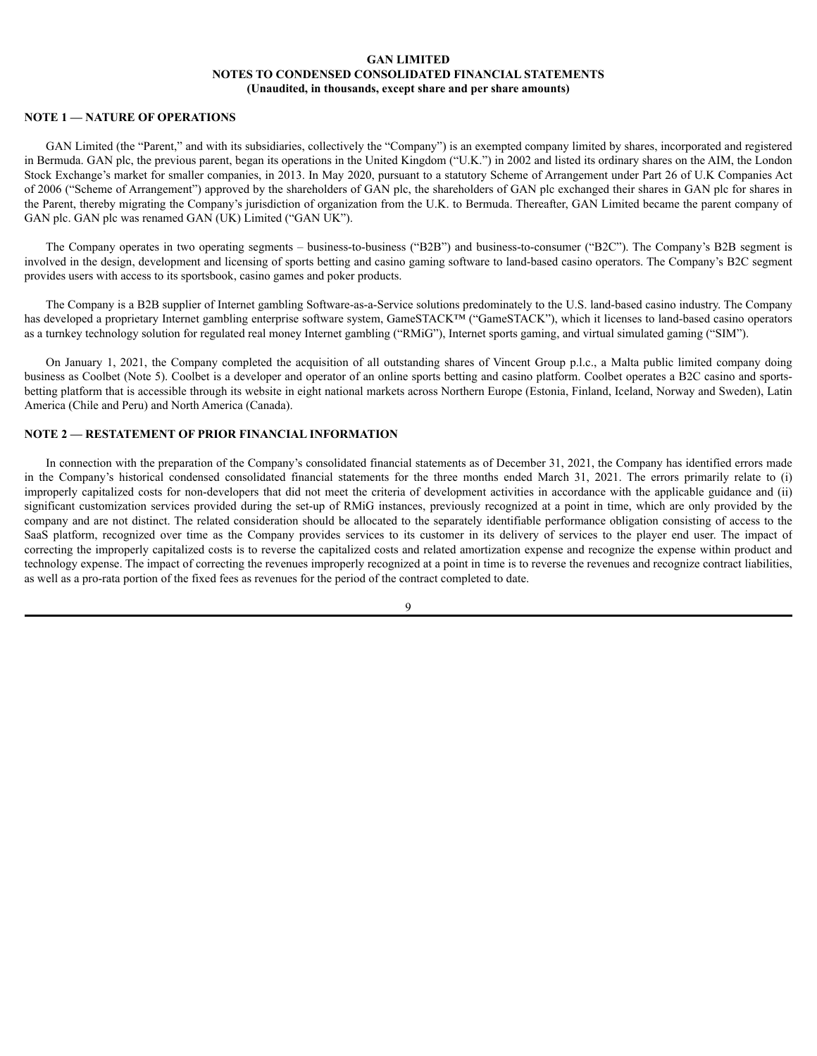# **NOTE 1 — NATURE OF OPERATIONS**

GAN Limited (the "Parent," and with its subsidiaries, collectively the "Company") is an exempted company limited by shares, incorporated and registered in Bermuda. GAN plc, the previous parent, began its operations in the United Kingdom ("U.K.") in 2002 and listed its ordinary shares on the AIM, the London Stock Exchange's market for smaller companies, in 2013. In May 2020, pursuant to a statutory Scheme of Arrangement under Part 26 of U.K Companies Act of 2006 ("Scheme of Arrangement") approved by the shareholders of GAN plc, the shareholders of GAN plc exchanged their shares in GAN plc for shares in the Parent, thereby migrating the Company's jurisdiction of organization from the U.K. to Bermuda. Thereafter, GAN Limited became the parent company of GAN plc. GAN plc was renamed GAN (UK) Limited ("GAN UK").

The Company operates in two operating segments – business-to-business ("B2B") and business-to-consumer ("B2C"). The Company's B2B segment is involved in the design, development and licensing of sports betting and casino gaming software to land-based casino operators. The Company's B2C segment provides users with access to its sportsbook, casino games and poker products.

The Company is a B2B supplier of Internet gambling Software-as-a-Service solutions predominately to the U.S. land-based casino industry. The Company has developed a proprietary Internet gambling enterprise software system, GameSTACK™ ("GameSTACK"), which it licenses to land-based casino operators as a turnkey technology solution for regulated real money Internet gambling ("RMiG"), Internet sports gaming, and virtual simulated gaming ("SIM").

On January 1, 2021, the Company completed the acquisition of all outstanding shares of Vincent Group p.l.c., a Malta public limited company doing business as Coolbet (Note 5). Coolbet is a developer and operator of an online sports betting and casino platform. Coolbet operates a B2C casino and sportsbetting platform that is accessible through its website in eight national markets across Northern Europe (Estonia, Finland, Iceland, Norway and Sweden), Latin America (Chile and Peru) and North America (Canada).

# **NOTE 2 — RESTATEMENT OF PRIOR FINANCIAL INFORMATION**

In connection with the preparation of the Company's consolidated financial statements as of December 31, 2021, the Company has identified errors made in the Company's historical condensed consolidated financial statements for the three months ended March 31, 2021. The errors primarily relate to (i) improperly capitalized costs for non-developers that did not meet the criteria of development activities in accordance with the applicable guidance and (ii) significant customization services provided during the set-up of RMiG instances, previously recognized at a point in time, which are only provided by the company and are not distinct. The related consideration should be allocated to the separately identifiable performance obligation consisting of access to the SaaS platform, recognized over time as the Company provides services to its customer in its delivery of services to the player end user. The impact of correcting the improperly capitalized costs is to reverse the capitalized costs and related amortization expense and recognize the expense within product and technology expense. The impact of correcting the revenues improperly recognized at a point in time is to reverse the revenues and recognize contract liabilities, as well as a pro-rata portion of the fixed fees as revenues for the period of the contract completed to date.

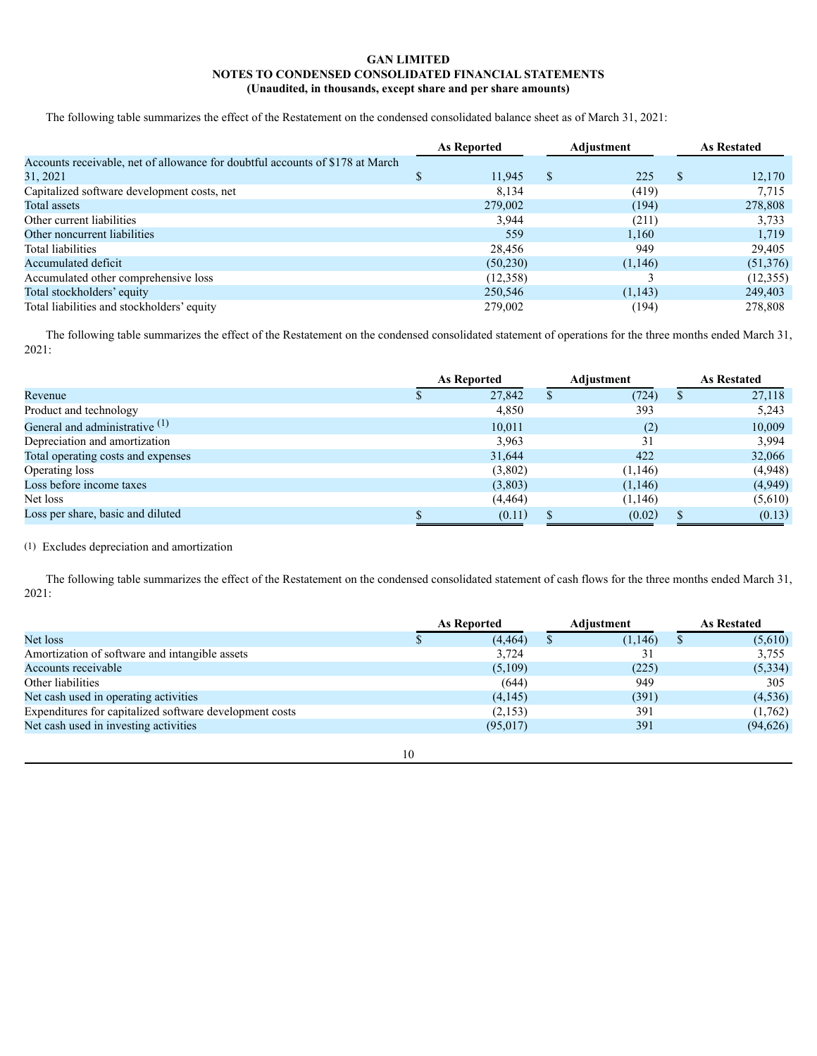The following table summarizes the effect of the Restatement on the condensed consolidated balance sheet as of March 31, 2021:

|                                                                               | Adjustment<br>As Reported |               |          | <b>As Restated</b> |
|-------------------------------------------------------------------------------|---------------------------|---------------|----------|--------------------|
| Accounts receivable, net of allowance for doubtful accounts of \$178 at March |                           |               |          |                    |
| 31, 2021                                                                      | 11,945                    | <sup>\$</sup> | 225      | \$<br>12,170       |
| Capitalized software development costs, net                                   | 8,134                     |               | (419)    | 7.715              |
| Total assets                                                                  | 279,002                   |               | (194)    | 278,808            |
| Other current liabilities                                                     | 3,944                     |               | (211)    | 3,733              |
| Other noncurrent liabilities                                                  | 559                       |               | 1,160    | 1,719              |
| Total liabilities                                                             | 28,456                    |               | 949      | 29,405             |
| Accumulated deficit                                                           | (50,230)                  |               | (1,146)  | (51,376)           |
| Accumulated other comprehensive loss                                          | (12,358)                  |               |          | (12, 355)          |
| Total stockholders' equity                                                    | 250,546                   |               | (1, 143) | 249,403            |
| Total liabilities and stockholders' equity                                    | 279,002                   |               | (194)    | 278,808            |

The following table summarizes the effect of the Restatement on the condensed consolidated statement of operations for the three months ended March 31, 2021:

|                                           | As Reported |          | Adjustment |    | <b>As Restated</b> |
|-------------------------------------------|-------------|----------|------------|----|--------------------|
| Revenue                                   |             | 27,842   | (724)      | ۰D | 27,118             |
| Product and technology                    |             | 4,850    | 393        |    | 5,243              |
| General and administrative <sup>(1)</sup> |             | 10,011   | (2)        |    | 10,009             |
| Depreciation and amortization             |             | 3.963    | 31         |    | 3,994              |
| Total operating costs and expenses        |             | 31,644   | 422        |    | 32,066             |
| Operating loss                            |             | (3,802)  | (1,146)    |    | (4,948)            |
| Loss before income taxes                  |             | (3,803)  | (1,146)    |    | (4,949)            |
| Net loss                                  |             | (4, 464) | (1,146)    |    | (5,610)            |
| Loss per share, basic and diluted         |             | (0.11)   | (0.02)     |    | (0.13)             |

# (1) Excludes depreciation and amortization

The following table summarizes the effect of the Restatement on the condensed consolidated statement of cash flows for the three months ended March 31, 2021:

|                                                         |    | <b>As Reported</b> | Adjustment | <b>As Restated</b> |
|---------------------------------------------------------|----|--------------------|------------|--------------------|
| Net loss                                                |    | (4, 464)           | (1,146)    | (5,610)            |
| Amortization of software and intangible assets          |    | 3,724              |            | 3,755              |
| Accounts receivable                                     |    | (5,109)            | (225)      | (5,334)            |
| Other liabilities                                       |    | (644)              | 949        | 305                |
| Net cash used in operating activities                   |    | (4,145)            | (391)      | (4, 536)           |
| Expenditures for capitalized software development costs |    | (2,153)            | 391        | (1,762)            |
| Net cash used in investing activities                   |    | (95,017)           | 391        | (94, 626)          |
|                                                         |    |                    |            |                    |
|                                                         | 10 |                    |            |                    |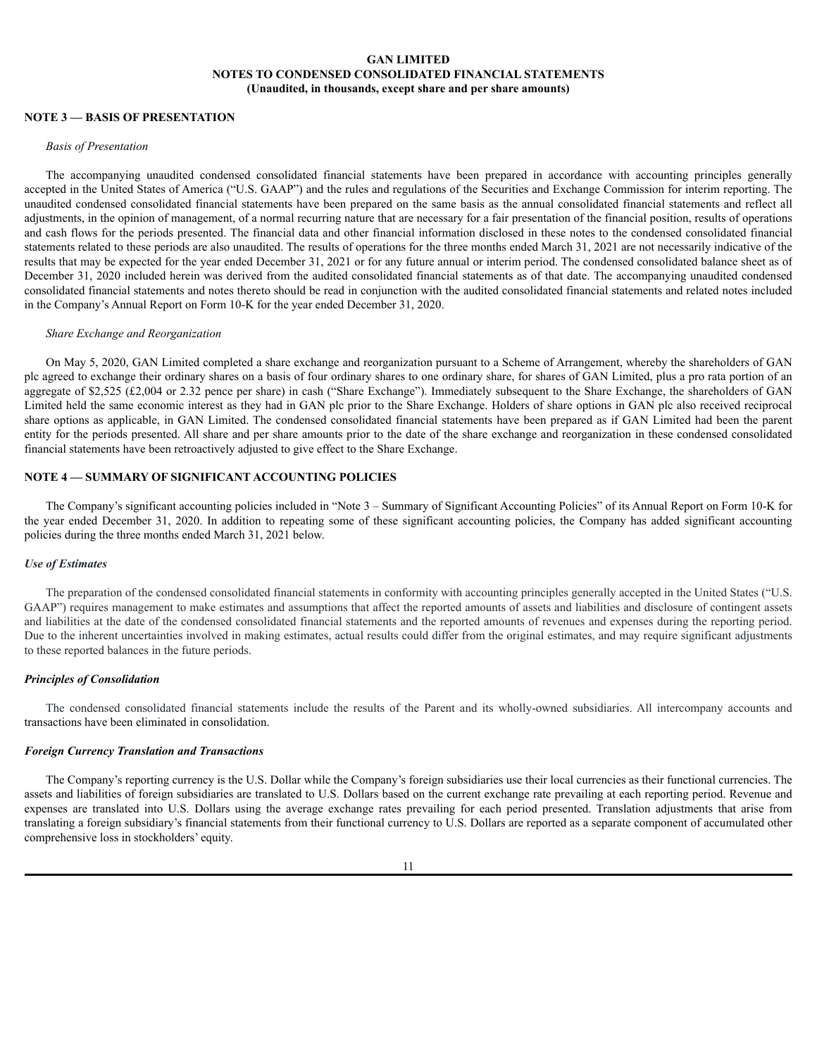# **NOTE 3 — BASIS OF PRESENTATION**

### *Basis of Presentation*

The accompanying unaudited condensed consolidated financial statements have been prepared in accordance with accounting principles generally accepted in the United States of America ("U.S. GAAP") and the rules and regulations of the Securities and Exchange Commission for interim reporting. The unaudited condensed consolidated financial statements have been prepared on the same basis as the annual consolidated financial statements and reflect all adjustments, in the opinion of management, of a normal recurring nature that are necessary for a fair presentation of the financial position, results of operations and cash flows for the periods presented. The financial data and other financial information disclosed in these notes to the condensed consolidated financial statements related to these periods are also unaudited. The results of operations for the three months ended March 31, 2021 are not necessarily indicative of the results that may be expected for the year ended December 31, 2021 or for any future annual or interim period. The condensed consolidated balance sheet as of December 31, 2020 included herein was derived from the audited consolidated financial statements as of that date. The accompanying unaudited condensed consolidated financial statements and notes thereto should be read in conjunction with the audited consolidated financial statements and related notes included in the Company's Annual Report on Form 10-K for the year ended December 31, 2020.

#### *Share Exchange and Reorganization*

On May 5, 2020, GAN Limited completed a share exchange and reorganization pursuant to a Scheme of Arrangement, whereby the shareholders of GAN plc agreed to exchange their ordinary shares on a basis of four ordinary shares to one ordinary share, for shares of GAN Limited, plus a pro rata portion of an aggregate of \$2,525 (£2,004 or 2.32 pence per share) in cash ("Share Exchange"). Immediately subsequent to the Share Exchange, the shareholders of GAN Limited held the same economic interest as they had in GAN plc prior to the Share Exchange. Holders of share options in GAN plc also received reciprocal share options as applicable, in GAN Limited. The condensed consolidated financial statements have been prepared as if GAN Limited had been the parent entity for the periods presented. All share and per share amounts prior to the date of the share exchange and reorganization in these condensed consolidated financial statements have been retroactively adjusted to give effect to the Share Exchange.

# **NOTE 4 — SUMMARY OF SIGNIFICANT ACCOUNTING POLICIES**

The Company's significant accounting policies included in "Note 3 – Summary of Significant Accounting Policies" of its Annual Report on Form 10-K for the year ended December 31, 2020. In addition to repeating some of these significant accounting policies, the Company has added significant accounting policies during the three months ended March 31, 2021 below.

### *Use of Estimates*

The preparation of the condensed consolidated financial statements in conformity with accounting principles generally accepted in the United States ("U.S. GAAP") requires management to make estimates and assumptions that affect the reported amounts of assets and liabilities and disclosure of contingent assets and liabilities at the date of the condensed consolidated financial statements and the reported amounts of revenues and expenses during the reporting period. Due to the inherent uncertainties involved in making estimates, actual results could differ from the original estimates, and may require significant adjustments to these reported balances in the future periods.

### *Principles of Consolidation*

The condensed consolidated financial statements include the results of the Parent and its wholly-owned subsidiaries. All intercompany accounts and transactions have been eliminated in consolidation.

# *Foreign Currency Translation and Transactions*

The Company's reporting currency is the U.S. Dollar while the Company's foreign subsidiaries use their local currencies as their functional currencies. The assets and liabilities of foreign subsidiaries are translated to U.S. Dollars based on the current exchange rate prevailing at each reporting period. Revenue and expenses are translated into U.S. Dollars using the average exchange rates prevailing for each period presented. Translation adjustments that arise from translating a foreign subsidiary's financial statements from their functional currency to U.S. Dollars are reported as a separate component of accumulated other comprehensive loss in stockholders' equity.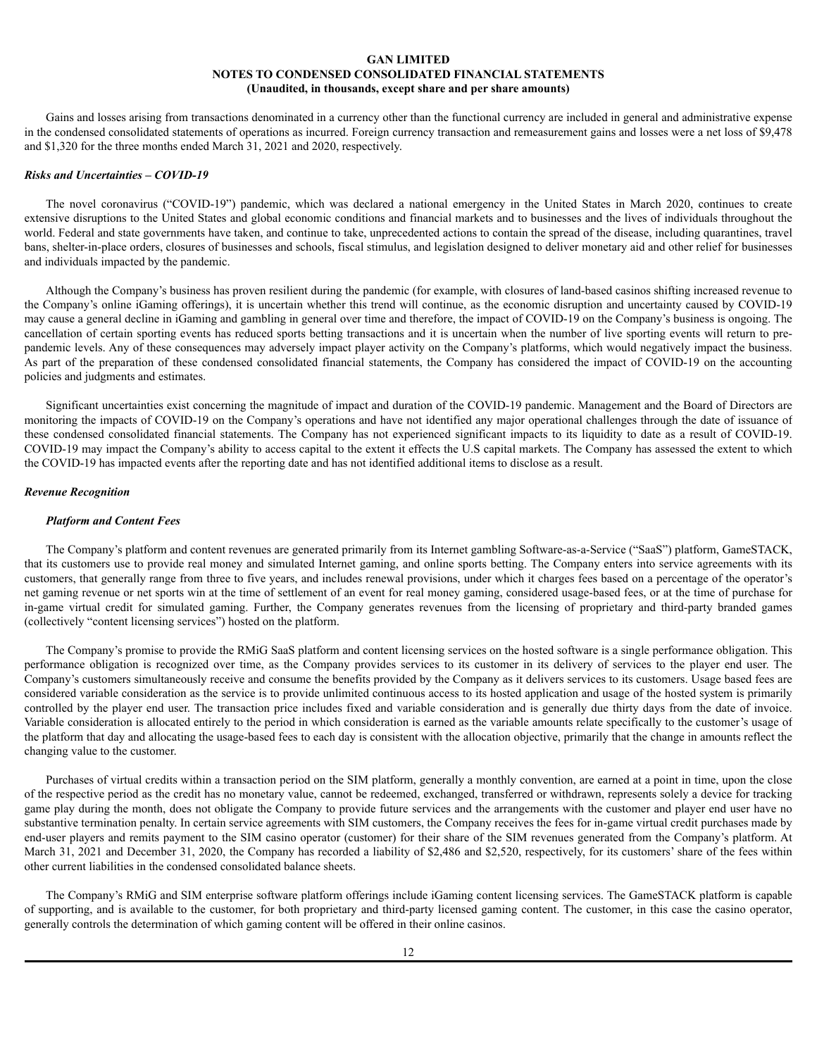Gains and losses arising from transactions denominated in a currency other than the functional currency are included in general and administrative expense in the condensed consolidated statements of operations as incurred. Foreign currency transaction and remeasurement gains and losses were a net loss of \$9,478 and \$1,320 for the three months ended March 31, 2021 and 2020, respectively.

### *Risks and Uncertainties – COVID-19*

The novel coronavirus ("COVID-19") pandemic, which was declared a national emergency in the United States in March 2020, continues to create extensive disruptions to the United States and global economic conditions and financial markets and to businesses and the lives of individuals throughout the world. Federal and state governments have taken, and continue to take, unprecedented actions to contain the spread of the disease, including quarantines, travel bans, shelter-in-place orders, closures of businesses and schools, fiscal stimulus, and legislation designed to deliver monetary aid and other relief for businesses and individuals impacted by the pandemic.

Although the Company's business has proven resilient during the pandemic (for example, with closures of land-based casinos shifting increased revenue to the Company's online iGaming offerings), it is uncertain whether this trend will continue, as the economic disruption and uncertainty caused by COVID-19 may cause a general decline in iGaming and gambling in general over time and therefore, the impact of COVID-19 on the Company's business is ongoing. The cancellation of certain sporting events has reduced sports betting transactions and it is uncertain when the number of live sporting events will return to prepandemic levels. Any of these consequences may adversely impact player activity on the Company's platforms, which would negatively impact the business. As part of the preparation of these condensed consolidated financial statements, the Company has considered the impact of COVID-19 on the accounting policies and judgments and estimates.

Significant uncertainties exist concerning the magnitude of impact and duration of the COVID-19 pandemic. Management and the Board of Directors are monitoring the impacts of COVID-19 on the Company's operations and have not identified any major operational challenges through the date of issuance of these condensed consolidated financial statements. The Company has not experienced significant impacts to its liquidity to date as a result of COVID-19. COVID-19 may impact the Company's ability to access capital to the extent it effects the U.S capital markets. The Company has assessed the extent to which the COVID-19 has impacted events after the reporting date and has not identified additional items to disclose as a result.

### *Revenue Recognition*

### *Platform and Content Fees*

The Company's platform and content revenues are generated primarily from its Internet gambling Software-as-a-Service ("SaaS") platform, GameSTACK, that its customers use to provide real money and simulated Internet gaming, and online sports betting. The Company enters into service agreements with its customers, that generally range from three to five years, and includes renewal provisions, under which it charges fees based on a percentage of the operator's net gaming revenue or net sports win at the time of settlement of an event for real money gaming, considered usage-based fees, or at the time of purchase for in-game virtual credit for simulated gaming. Further, the Company generates revenues from the licensing of proprietary and third-party branded games (collectively "content licensing services") hosted on the platform.

The Company's promise to provide the RMiG SaaS platform and content licensing services on the hosted software is a single performance obligation. This performance obligation is recognized over time, as the Company provides services to its customer in its delivery of services to the player end user. The Company's customers simultaneously receive and consume the benefits provided by the Company as it delivers services to its customers. Usage based fees are considered variable consideration as the service is to provide unlimited continuous access to its hosted application and usage of the hosted system is primarily controlled by the player end user. The transaction price includes fixed and variable consideration and is generally due thirty days from the date of invoice. Variable consideration is allocated entirely to the period in which consideration is earned as the variable amounts relate specifically to the customer's usage of the platform that day and allocating the usage-based fees to each day is consistent with the allocation objective, primarily that the change in amounts reflect the changing value to the customer.

Purchases of virtual credits within a transaction period on the SIM platform, generally a monthly convention, are earned at a point in time, upon the close of the respective period as the credit has no monetary value, cannot be redeemed, exchanged, transferred or withdrawn, represents solely a device for tracking game play during the month, does not obligate the Company to provide future services and the arrangements with the customer and player end user have no substantive termination penalty. In certain service agreements with SIM customers, the Company receives the fees for in-game virtual credit purchases made by end-user players and remits payment to the SIM casino operator (customer) for their share of the SIM revenues generated from the Company's platform. At March 31, 2021 and December 31, 2020, the Company has recorded a liability of \$2,486 and \$2,520, respectively, for its customers' share of the fees within other current liabilities in the condensed consolidated balance sheets.

The Company's RMiG and SIM enterprise software platform offerings include iGaming content licensing services. The GameSTACK platform is capable of supporting, and is available to the customer, for both proprietary and third-party licensed gaming content. The customer, in this case the casino operator, generally controls the determination of which gaming content will be offered in their online casinos.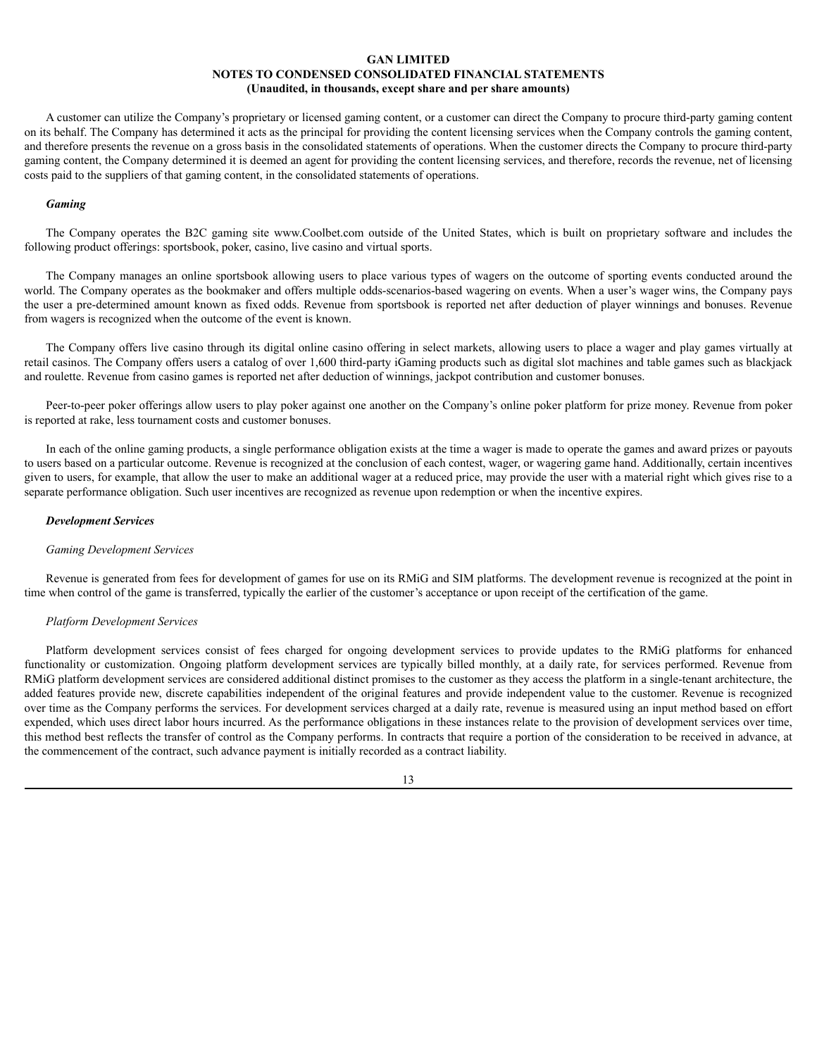A customer can utilize the Company's proprietary or licensed gaming content, or a customer can direct the Company to procure third-party gaming content on its behalf. The Company has determined it acts as the principal for providing the content licensing services when the Company controls the gaming content, and therefore presents the revenue on a gross basis in the consolidated statements of operations. When the customer directs the Company to procure third-party gaming content, the Company determined it is deemed an agent for providing the content licensing services, and therefore, records the revenue, net of licensing costs paid to the suppliers of that gaming content, in the consolidated statements of operations.

### *Gaming*

The Company operates the B2C gaming site www.Coolbet.com outside of the United States, which is built on proprietary software and includes the following product offerings: sportsbook, poker, casino, live casino and virtual sports.

The Company manages an online sportsbook allowing users to place various types of wagers on the outcome of sporting events conducted around the world. The Company operates as the bookmaker and offers multiple odds-scenarios-based wagering on events. When a user's wager wins, the Company pays the user a pre-determined amount known as fixed odds. Revenue from sportsbook is reported net after deduction of player winnings and bonuses. Revenue from wagers is recognized when the outcome of the event is known.

The Company offers live casino through its digital online casino offering in select markets, allowing users to place a wager and play games virtually at retail casinos. The Company offers users a catalog of over 1,600 third-party iGaming products such as digital slot machines and table games such as blackjack and roulette. Revenue from casino games is reported net after deduction of winnings, jackpot contribution and customer bonuses.

Peer-to-peer poker offerings allow users to play poker against one another on the Company's online poker platform for prize money. Revenue from poker is reported at rake, less tournament costs and customer bonuses.

In each of the online gaming products, a single performance obligation exists at the time a wager is made to operate the games and award prizes or payouts to users based on a particular outcome. Revenue is recognized at the conclusion of each contest, wager, or wagering game hand. Additionally, certain incentives given to users, for example, that allow the user to make an additional wager at a reduced price, may provide the user with a material right which gives rise to a separate performance obligation. Such user incentives are recognized as revenue upon redemption or when the incentive expires.

### *Development Services*

### *Gaming Development Services*

Revenue is generated from fees for development of games for use on its RMiG and SIM platforms. The development revenue is recognized at the point in time when control of the game is transferred, typically the earlier of the customer's acceptance or upon receipt of the certification of the game.

### *Platform Development Services*

Platform development services consist of fees charged for ongoing development services to provide updates to the RMiG platforms for enhanced functionality or customization. Ongoing platform development services are typically billed monthly, at a daily rate, for services performed. Revenue from RMIG platform development services are considered additional distinct promises to the customer as they access the platform in a single-tenant architecture, the added features provide new, discrete capabilities independent of the original features and provide independent value to the customer. Revenue is recognized over time as the Company performs the services. For development services charged at a daily rate, revenue is measured using an input method based on effort expended, which uses direct labor hours incurred. As the performance obligations in these instances relate to the provision of development services over time, this method best reflects the transfer of control as the Company performs. In contracts that require a portion of the consideration to be received in advance, at the commencement of the contract, such advance payment is initially recorded as a contract liability.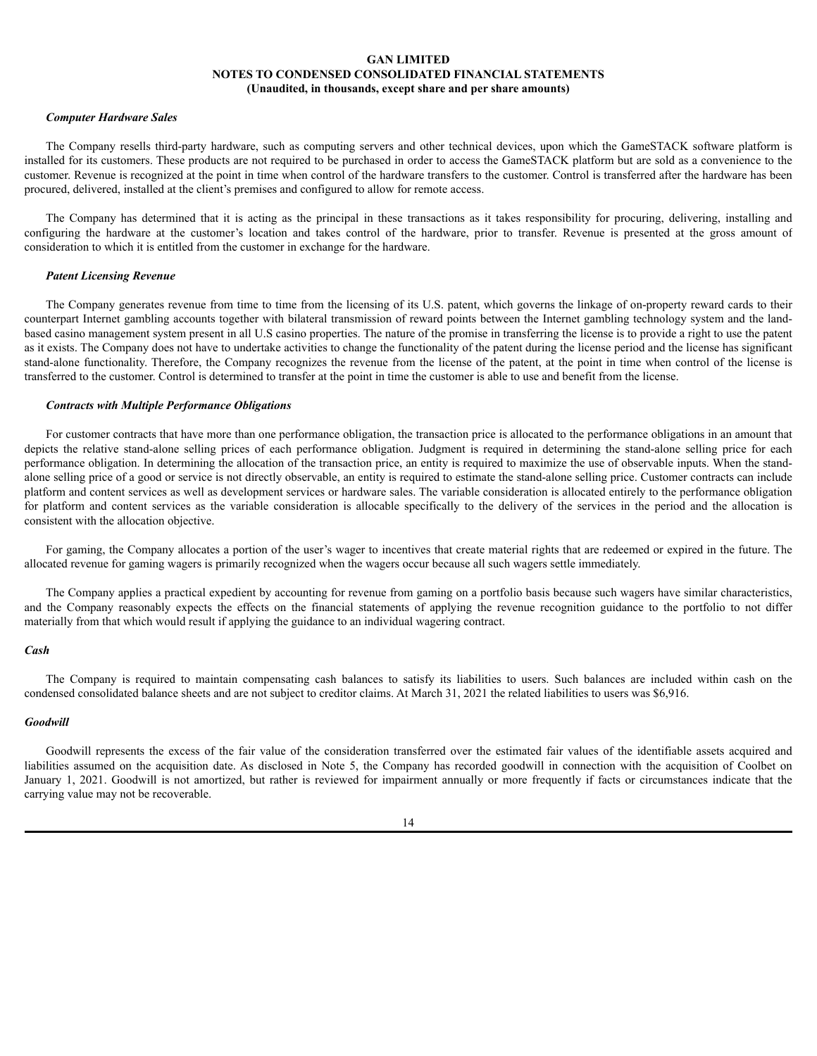### *Computer Hardware Sales*

The Company resells third-party hardware, such as computing servers and other technical devices, upon which the GameSTACK software platform is installed for its customers. These products are not required to be purchased in order to access the GameSTACK platform but are sold as a convenience to the customer. Revenue is recognized at the point in time when control of the hardware transfers to the customer. Control is transferred after the hardware has been procured, delivered, installed at the client's premises and configured to allow for remote access.

The Company has determined that it is acting as the principal in these transactions as it takes responsibility for procuring, delivering, installing and configuring the hardware at the customer's location and takes control of the hardware, prior to transfer. Revenue is presented at the gross amount of consideration to which it is entitled from the customer in exchange for the hardware.

### *Patent Licensing Revenue*

The Company generates revenue from time to time from the licensing of its U.S. patent, which governs the linkage of on-property reward cards to their counterpart Internet gambling accounts together with bilateral transmission of reward points between the Internet gambling technology system and the landbased casino management system present in all U.S casino properties. The nature of the promise in transferring the license is to provide a right to use the patent as it exists. The Company does not have to undertake activities to change the functionality of the patent during the license period and the license has significant stand-alone functionality. Therefore, the Company recognizes the revenue from the license of the patent, at the point in time when control of the license is transferred to the customer. Control is determined to transfer at the point in time the customer is able to use and benefit from the license.

### *Contracts with Multiple Performance Obligations*

For customer contracts that have more than one performance obligation, the transaction price is allocated to the performance obligations in an amount that depicts the relative stand-alone selling prices of each performance obligation. Judgment is required in determining the stand-alone selling price for each performance obligation. In determining the allocation of the transaction price, an entity is required to maximize the use of observable inputs. When the standalone selling price of a good or service is not directly observable, an entity is required to estimate the stand-alone selling price. Customer contracts can include platform and content services as well as development services or hardware sales. The variable consideration is allocated entirely to the performance obligation for platform and content services as the variable consideration is allocable specifically to the delivery of the services in the period and the allocation is consistent with the allocation objective.

For gaming, the Company allocates a portion of the user's wager to incentives that create material rights that are redeemed or expired in the future. The allocated revenue for gaming wagers is primarily recognized when the wagers occur because all such wagers settle immediately.

The Company applies a practical expedient by accounting for revenue from gaming on a portfolio basis because such wagers have similar characteristics, and the Company reasonably expects the effects on the financial statements of applying the revenue recognition guidance to the portfolio to not differ materially from that which would result if applying the guidance to an individual wagering contract.

### *Cash*

The Company is required to maintain compensating cash balances to satisfy its liabilities to users. Such balances are included within cash on the condensed consolidated balance sheets and are not subject to creditor claims. At March 31, 2021 the related liabilities to users was \$6,916.

#### *Goodwill*

Goodwill represents the excess of the fair value of the consideration transferred over the estimated fair values of the identifiable assets acquired and liabilities assumed on the acquisition date. As disclosed in Note 5, the Company has recorded goodwill in connection with the acquisition of Coolbet on January 1, 2021. Goodwill is not amortized, but rather is reviewed for impairment annually or more frequently if facts or circumstances indicate that the carrying value may not be recoverable.

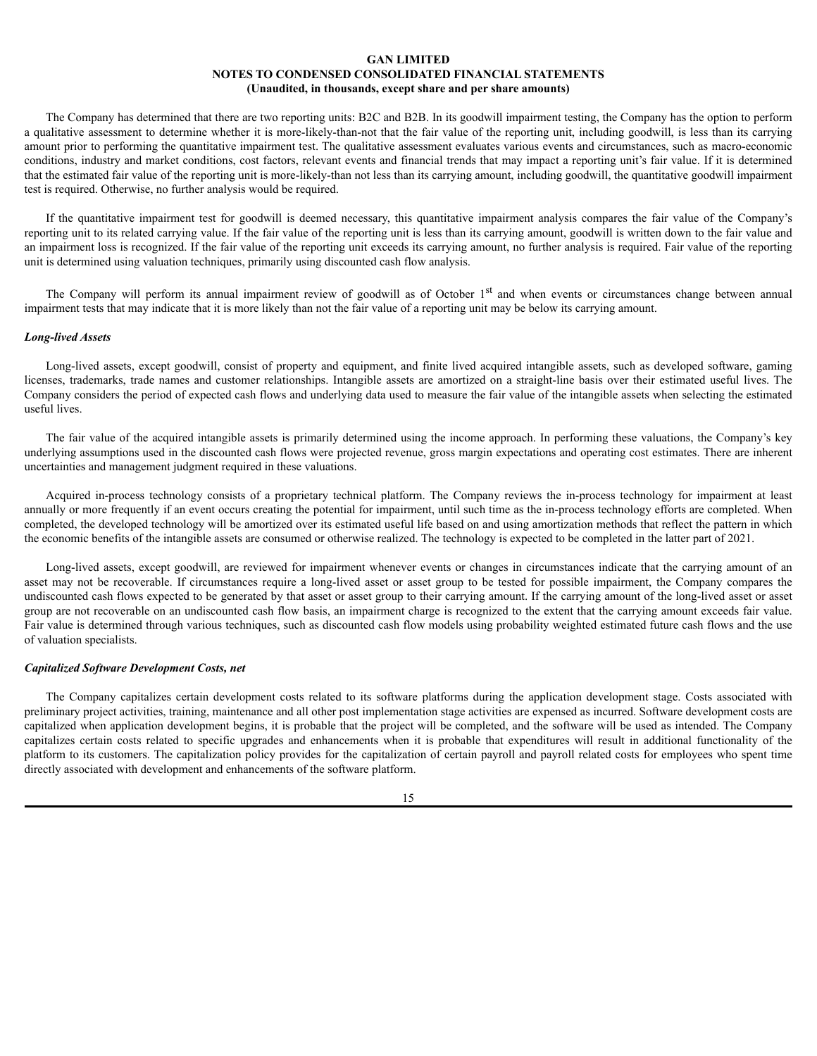The Company has determined that there are two reporting units: B2C and B2B. In its goodwill impairment testing, the Company has the option to perform a qualitative assessment to determine whether it is more-likely-than-not that the fair value of the reporting unit, including goodwill, is less than its carrying amount prior to performing the quantitative impairment test. The qualitative assessment evaluates various events and circumstances, such as macro-economic conditions, industry and market conditions, cost factors, relevant events and financial trends that may impact a reporting unit's fair value. If it is determined that the estimated fair value of the reporting unit is more-likely-than not less than its carrying amount, including goodwill, the quantitative goodwill impairment test is required. Otherwise, no further analysis would be required.

If the quantitative impairment test for goodwill is deemed necessary, this quantitative impairment analysis compares the fair value of the Company's reporting unit to its related carrying value. If the fair value of the reporting unit is less than its carrying amount, goodwill is written down to the fair value and an impairment loss is recognized. If the fair value of the reporting unit exceeds its carrying amount, no further analysis is required. Fair value of the reporting unit is determined using valuation techniques, primarily using discounted cash flow analysis.

The Company will perform its annual impairment review of goodwill as of October 1<sup>st</sup> and when events or circumstances change between annual impairment tests that may indicate that it is more likely than not the fair value of a reporting unit may be below its carrying amount.

### *Long-lived Assets*

Long-lived assets, except goodwill, consist of property and equipment, and finite lived acquired intangible assets, such as developed software, gaming licenses, trademarks, trade names and customer relationships. Intangible assets are amortized on a straight-line basis over their estimated useful lives. The Company considers the period of expected cash flows and underlying data used to measure the fair value of the intangible assets when selecting the estimated useful lives.

The fair value of the acquired intangible assets is primarily determined using the income approach. In performing these valuations, the Company's key underlying assumptions used in the discounted cash flows were projected revenue, gross margin expectations and operating cost estimates. There are inherent uncertainties and management judgment required in these valuations.

Acquired in-process technology consists of a proprietary technical platform. The Company reviews the in-process technology for impairment at least annually or more frequently if an event occurs creating the potential for impairment, until such time as the in-process technology efforts are completed. When completed, the developed technology will be amortized over its estimated useful life based on and using amortization methods that reflect the pattern in which the economic benefits of the intangible assets are consumed or otherwise realized. The technology is expected to be completed in the latter part of 2021.

Long-lived assets, except goodwill, are reviewed for impairment whenever events or changes in circumstances indicate that the carrying amount of an asset may not be recoverable. If circumstances require a long-lived asset or asset group to be tested for possible impairment, the Company compares the undiscounted cash flows expected to be generated by that asset or asset group to their carrying amount. If the carrying amount of the long-lived asset or asset group are not recoverable on an undiscounted cash flow basis, an impairment charge is recognized to the extent that the carrying amount exceeds fair value. Fair value is determined through various techniques, such as discounted cash flow models using probability weighted estimated future cash flows and the use of valuation specialists.

### *Capitalized Software Development Costs, net*

The Company capitalizes certain development costs related to its software platforms during the application development stage. Costs associated with preliminary project activities, training, maintenance and all other post implementation stage activities are expensed as incurred. Software development costs are capitalized when application development begins, it is probable that the project will be completed, and the software will be used as intended. The Company capitalizes certain costs related to specific upgrades and enhancements when it is probable that expenditures will result in additional functionality of the platform to its customers. The capitalization policy provides for the capitalization of certain payroll and payroll related costs for employees who spent time directly associated with development and enhancements of the software platform.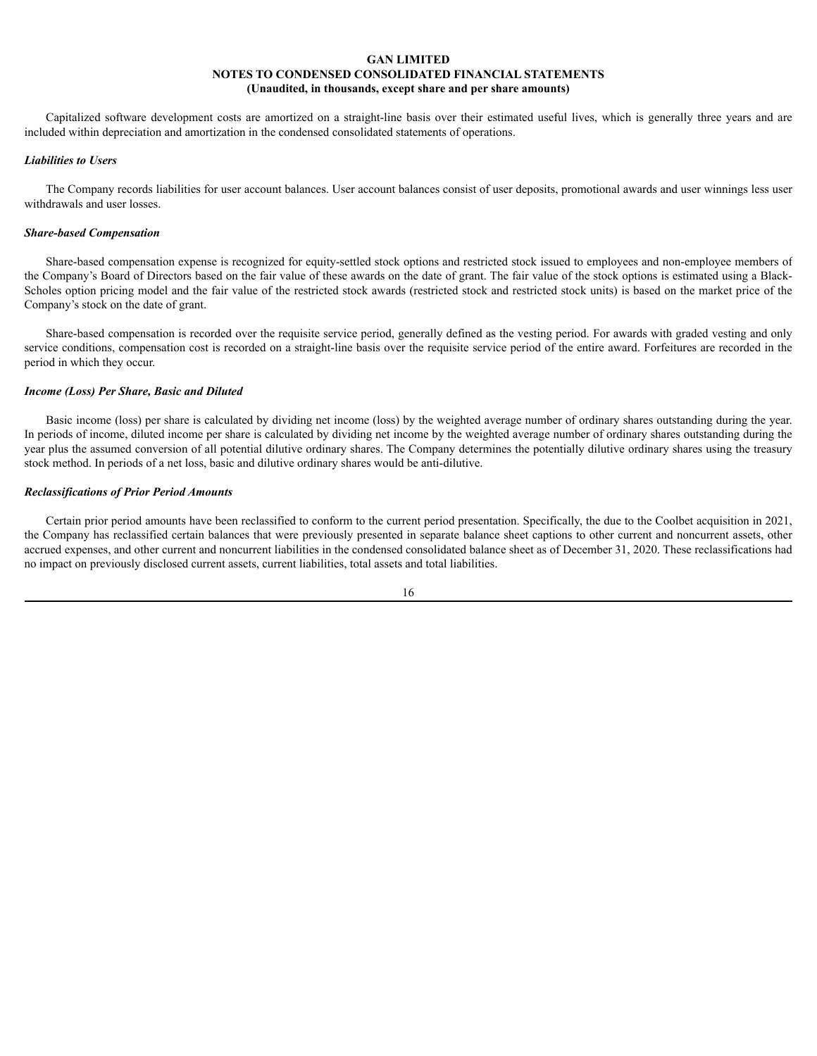Capitalized software development costs are amortized on a straight-line basis over their estimated useful lives, which is generally three years and are included within depreciation and amortization in the condensed consolidated statements of operations.

### *Liabilities to Users*

The Company records liabilities for user account balances. User account balances consist of user deposits, promotional awards and user winnings less user withdrawals and user losses.

### *Share-based Compensation*

Share-based compensation expense is recognized for equity-settled stock options and restricted stock issued to employees and non-employee members of the Company's Board of Directors based on the fair value of these awards on the date of grant. The fair value of the stock options is estimated using a Black-Scholes option pricing model and the fair value of the restricted stock awards (restricted stock and restricted stock units) is based on the market price of the Company's stock on the date of grant.

Share-based compensation is recorded over the requisite service period, generally defined as the vesting period. For awards with graded vesting and only service conditions, compensation cost is recorded on a straight-line basis over the requisite service period of the entire award. Forfeitures are recorded in the period in which they occur.

### *Income (Loss) Per Share, Basic and Diluted*

Basic income (loss) per share is calculated by dividing net income (loss) by the weighted average number of ordinary shares outstanding during the year. In periods of income, diluted income per share is calculated by dividing net income by the weighted average number of ordinary shares outstanding during the year plus the assumed conversion of all potential dilutive ordinary shares. The Company determines the potentially dilutive ordinary shares using the treasury stock method. In periods of a net loss, basic and dilutive ordinary shares would be anti-dilutive.

### *Reclassifications of Prior Period Amounts*

Certain prior period amounts have been reclassified to conform to the current period presentation. Specifically, the due to the Coolbet acquisition in 2021, the Company has reclassified certain balances that were previously presented in separate balance sheet captions to other current and noncurrent assets, other accrued expenses, and other current and noncurrent liabilities in the condensed consolidated balance sheet as of December 31, 2020. These reclassifications had no impact on previously disclosed current assets, current liabilities, total assets and total liabilities.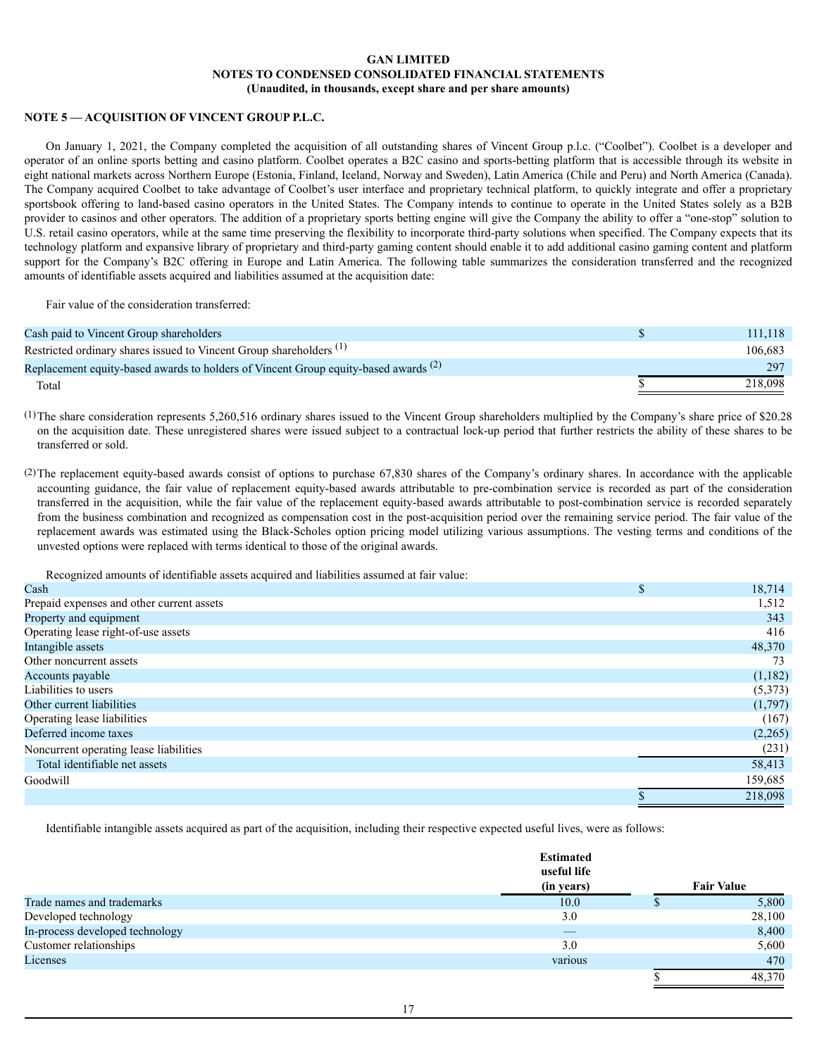# **NOTE 5 — ACQUISITION OF VINCENT GROUP P.L.C.**

On January 1, 2021, the Company completed the acquisition of all outstanding shares of Vincent Group p.l.c. ("Coolbet"). Coolbet is a developer and operator of an online sports betting and casino platform. Coolbet operates a B2C casino and sports-betting platform that is accessible through its website in eight national markets across Northern Europe (Estonia, Finland, Iceland, Norway and Sweden), Latin America (Chile and Peru) and North America (Canada). The Company acquired Coolbet to take advantage of Coolbet's user interface and proprietary technical platform, to quickly integrate and offer a proprietary sportsbook offering to land-based casino operators in the United States. The Company intends to continue to operate in the United States solely as a B2B provider to casinos and other operators. The addition of a proprietary sports betting engine will give the Company the ability to offer a "one-stop" solution to U.S. retail casino operators, while at the same time preserving the flexibility to incorporate third-party solutions when specified. The Company expects that its technology platform and expansive library of proprietary and third-party gaming content should enable it to add additional casino gaming content and platform support for the Company's B2C offering in Europe and Latin America. The following table summarizes the consideration transferred and the recognized amounts of identifiable assets acquired and liabilities assumed at the acquisition date:

Fair value of the consideration transferred:

| Cash paid to Vincent Group shareholders                                                  | 111.118 |
|------------------------------------------------------------------------------------------|---------|
| Restricted ordinary shares issued to Vincent Group shareholders <sup>(1)</sup>           | 106.683 |
| Replacement equity-based awards to holders of Vincent Group equity-based awards $^{(2)}$ | 297     |
| Total                                                                                    | 218.098 |

(1)The share consideration represents 5,260,516 ordinary shares issued to the Vincent Group shareholders multiplied by the Company's share price of \$20.28 on the acquisition date. These unregistered shares were issued subject to a contractual lock-up period that further restricts the ability of these shares to be transferred or sold.

(2)The replacement equity-based awards consist of options to purchase 67,830 shares of the Company's ordinary shares. In accordance with the applicable accounting guidance, the fair value of replacement equity-based awards attributable to pre-combination service is recorded as part of the consideration transferred in the acquisition, while the fair value of the replacement equity-based awards attributable to post-combination service is recorded separately from the business combination and recognized as compensation cost in the post-acquisition period over the remaining service period. The fair value of the replacement awards was estimated using the Black-Scholes option pricing model utilizing various assumptions. The vesting terms and conditions of the unvested options were replaced with terms identical to those of the original awards.

Recognized amounts of identifiable assets acquired and liabilities assumed at fair value:

| Cash                                      | 18,714  |
|-------------------------------------------|---------|
| Prepaid expenses and other current assets | 1,512   |
| Property and equipment                    | 343     |
| Operating lease right-of-use assets       | 416     |
| Intangible assets                         | 48,370  |
| Other noncurrent assets                   | 73      |
| Accounts payable                          | (1,182) |
| Liabilities to users                      | (5,373) |
| Other current liabilities                 | (1,797) |
| Operating lease liabilities               | (167)   |
| Deferred income taxes                     | (2,265) |
| Noncurrent operating lease liabilities    | (231)   |
| Total identifiable net assets             | 58,413  |
| Goodwill                                  | 159,685 |
|                                           | 218.098 |

Identifiable intangible assets acquired as part of the acquisition, including their respective expected useful lives, were as follows:

|                                 | <b>Estimated</b><br>useful life<br>(in years) | <b>Fair Value</b> |
|---------------------------------|-----------------------------------------------|-------------------|
| Trade names and trademarks      | 10.0                                          | 5,800             |
| Developed technology            | 3.0                                           | 28,100            |
| In-process developed technology |                                               | 8,400             |
| Customer relationships          | 3.0                                           | 5,600             |
| Licenses                        | various                                       | 470               |
|                                 |                                               | 48,370            |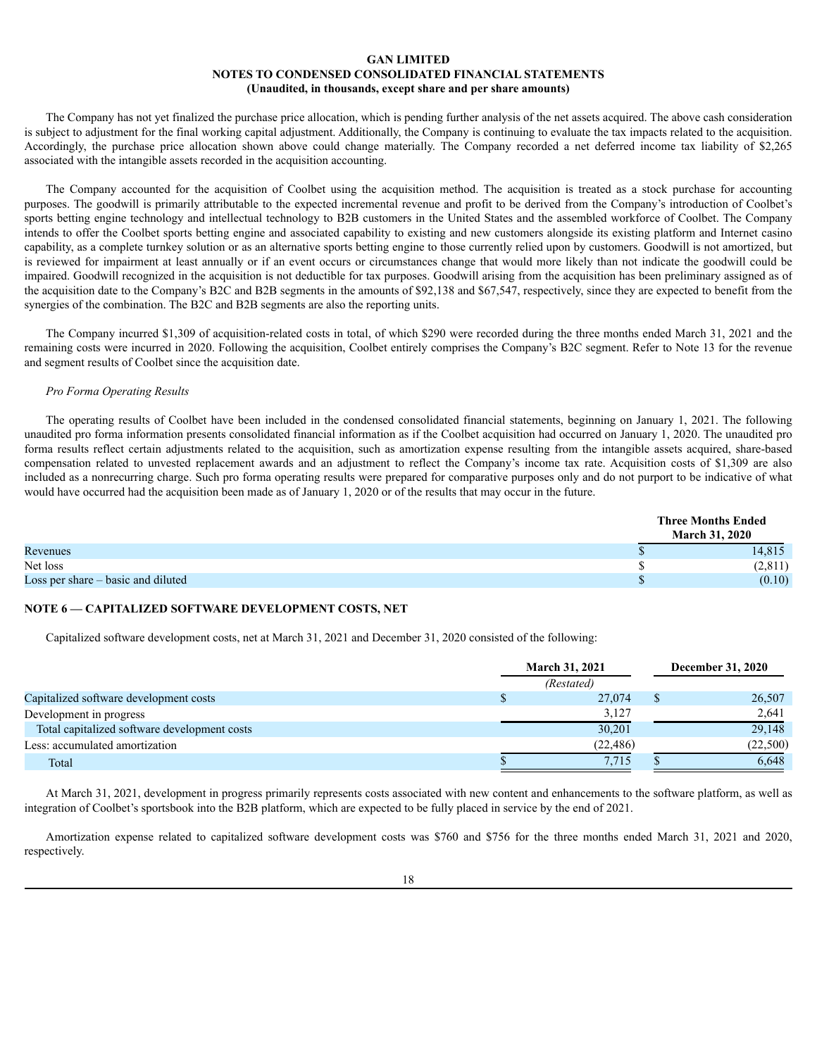The Company has not yet finalized the purchase price allocation, which is pending further analysis of the net assets acquired. The above cash consideration is subject to adjustment for the final working capital adjustment. Additionally, the Company is continuing to evaluate the tax impacts related to the acquisition. Accordingly, the purchase price allocation shown above could change materially. The Company recorded a net deferred income tax liability of \$2,265 associated with the intangible assets recorded in the acquisition accounting.

The Company accounted for the acquisition of Coolbet using the acquisition method. The acquisition is treated as a stock purchase for accounting purposes. The goodwill is primarily attributable to the expected incremental revenue and profit to be derived from the Company's introduction of Coolbet's sports betting engine technology and intellectual technology to B2B customers in the United States and the assembled workforce of Coolbet. The Company intends to offer the Coolbet sports betting engine and associated capability to existing and new customers alongside its existing platform and Internet casino capability, as a complete turnkey solution or as an alternative sports betting engine to those currently relied upon by customers. Goodwill is not amortized, but is reviewed for impairment at least annually or if an event occurs or circumstances change that would more likely than not indicate the goodwill could be impaired. Goodwill recognized in the acquisition is not deductible for tax purposes. Goodwill arising from the acquisition has been preliminary assigned as of the acquisition date to the Company's B2C and B2B segments in the amounts of \$92,138 and \$67,547, respectively, since they are expected to benefit from the synergies of the combination. The B2C and B2B segments are also the reporting units.

The Company incurred \$1,309 of acquisition-related costs in total, of which \$290 were recorded during the three months ended March 31, 2021 and the remaining costs were incurred in 2020. Following the acquisition, Coolbet entirely comprises the Company's B2C segment. Refer to Note 13 for the revenue and segment results of Coolbet since the acquisition date.

# *Pro Forma Operating Results*

The operating results of Coolbet have been included in the condensed consolidated financial statements, beginning on January 1, 2021. The following unaudited pro forma information presents consolidated financial information as if the Coolbet acquisition had occurred on January 1, 2020. The unaudited pro forma results reflect certain adjustments related to the acquisition, such as amortization expense resulting from the intangible assets acquired, share-based compensation related to unvested replacement awards and an adjustment to reflect the Company's income tax rate. Acquisition costs of \$1,309 are also included as a nonrecurring charge. Such pro forma operating results were prepared for comparative purposes only and do not purport to be indicative of what would have occurred had the acquisition been made as of January 1, 2020 or of the results that may occur in the future.

|                                      | <b>Three Months Ended</b><br><b>March 31, 2020</b> |
|--------------------------------------|----------------------------------------------------|
| Revenues                             | 14,815                                             |
| Net loss                             | (2,811)                                            |
| Loss per share $-$ basic and diluted | (0.10)                                             |

# **NOTE 6 — CAPITALIZED SOFTWARE DEVELOPMENT COSTS, NET**

Capitalized software development costs, net at March 31, 2021 and December 31, 2020 consisted of the following:

|                                              | <b>March 31, 2021</b> |  |          |
|----------------------------------------------|-----------------------|--|----------|
|                                              | (Restated)            |  |          |
| Capitalized software development costs       | 27,074                |  | 26,507   |
| Development in progress                      | 3,127                 |  | 2,641    |
| Total capitalized software development costs | 30,201                |  | 29,148   |
| Less: accumulated amortization               | (22, 486)             |  | (22,500) |
| Total                                        | 7,715                 |  | 6,648    |

At March 31, 2021, development in progress primarily represents costs associated with new content and enhancements to the software platform, as well as integration of Coolbet's sportsbook into the B2B platform, which are expected to be fully placed in service by the end of 2021.

Amortization expense related to capitalized software development costs was \$760 and \$756 for the three months ended March 31, 2021 and 2020, respectively.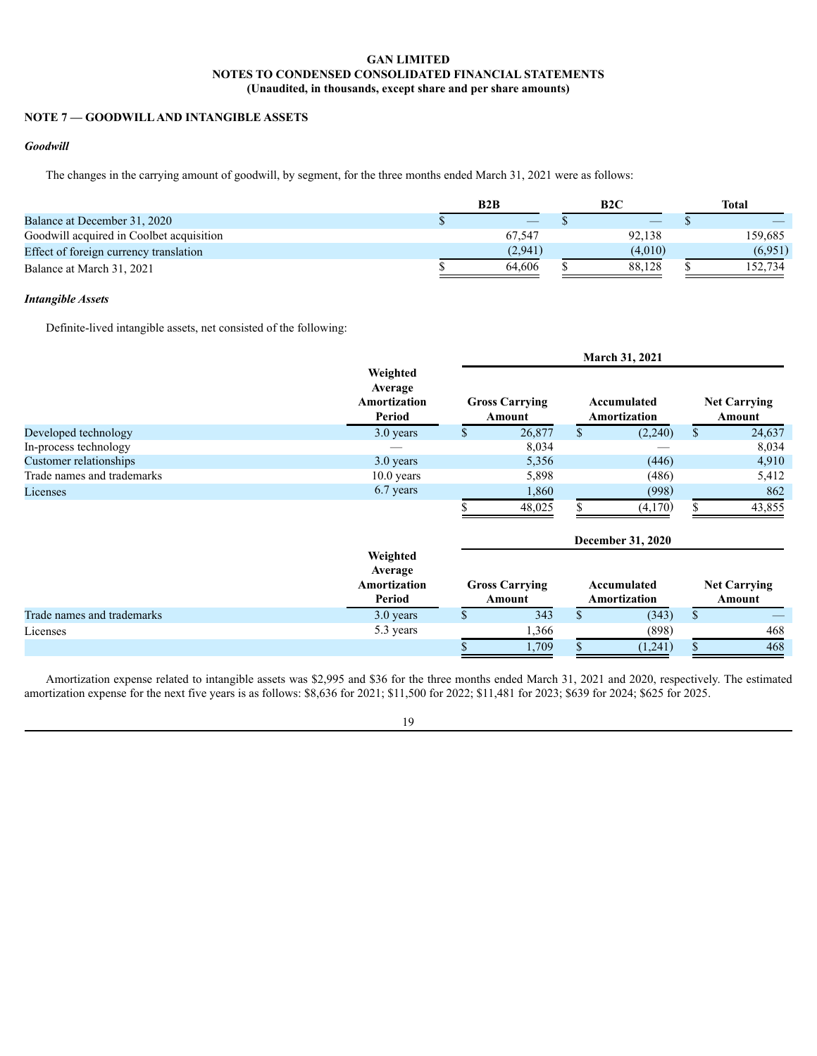# **NOTE 7 — GOODWILLAND INTANGIBLE ASSETS**

# *Goodwill*

The changes in the carrying amount of goodwill, by segment, for the three months ended March 31, 2021 were as follows:

|                                          | B2B     | B2C     | Total   |
|------------------------------------------|---------|---------|---------|
| Balance at December 31, 2020             |         |         |         |
| Goodwill acquired in Coolbet acquisition | 67.547  | 92.138  | 159,685 |
| Effect of foreign currency translation   | (2,941) | (4,010) | (6.951) |
| Balance at March 31, 2021                | 64.606  | 88.128  | 152.734 |

# *Intangible Assets*

Definite-lived intangible assets, net consisted of the following:

|                            |                                               | <b>March 31, 2021</b> |                                 |               |                             |              |                               |
|----------------------------|-----------------------------------------------|-----------------------|---------------------------------|---------------|-----------------------------|--------------|-------------------------------|
|                            | Weighted<br>Average<br>Amortization<br>Period |                       | <b>Gross Carrying</b><br>Amount |               | Accumulated<br>Amortization |              | <b>Net Carrying</b><br>Amount |
| Developed technology       | 3.0 years                                     | \$                    | 26,877                          | <sup>\$</sup> | (2,240)                     | \$           | 24,637                        |
| In-process technology      |                                               |                       | 8,034                           |               |                             |              | 8,034                         |
| Customer relationships     | 3.0 years                                     |                       | 5,356                           |               | (446)                       |              | 4,910                         |
| Trade names and trademarks | $10.0$ years                                  |                       | 5,898                           |               | (486)                       |              | 5,412                         |
| Licenses                   | 6.7 years                                     |                       | 1,860                           |               | (998)                       |              | 862                           |
|                            |                                               |                       | 48,025                          |               | (4,170)                     |              | 43,855                        |
|                            |                                               |                       |                                 |               | <b>December 31, 2020</b>    |              |                               |
|                            | Weighted<br>Average<br>Amortization<br>Period |                       | <b>Gross Carrying</b><br>Amount |               | Accumulated<br>Amortization |              | <b>Net Carrying</b><br>Amount |
| Trade names and trademarks | 3.0 years                                     | \$                    | 343                             | \$            | (343)                       | $\mathbb{S}$ |                               |
| Licenses                   | 5.3 years                                     |                       | 1,366                           |               | (898)                       |              | 468                           |
|                            |                                               |                       | 1,709                           |               | (1,241)                     |              | 468                           |

Amortization expense related to intangible assets was \$2,995 and \$36 for the three months ended March 31, 2021 and 2020, respectively. The estimated amortization expense for the next five years is as follows: \$8,636 for 2021; \$11,500 for 2022; \$11,481 for 2023; \$639 for 2024; \$625 for 2025.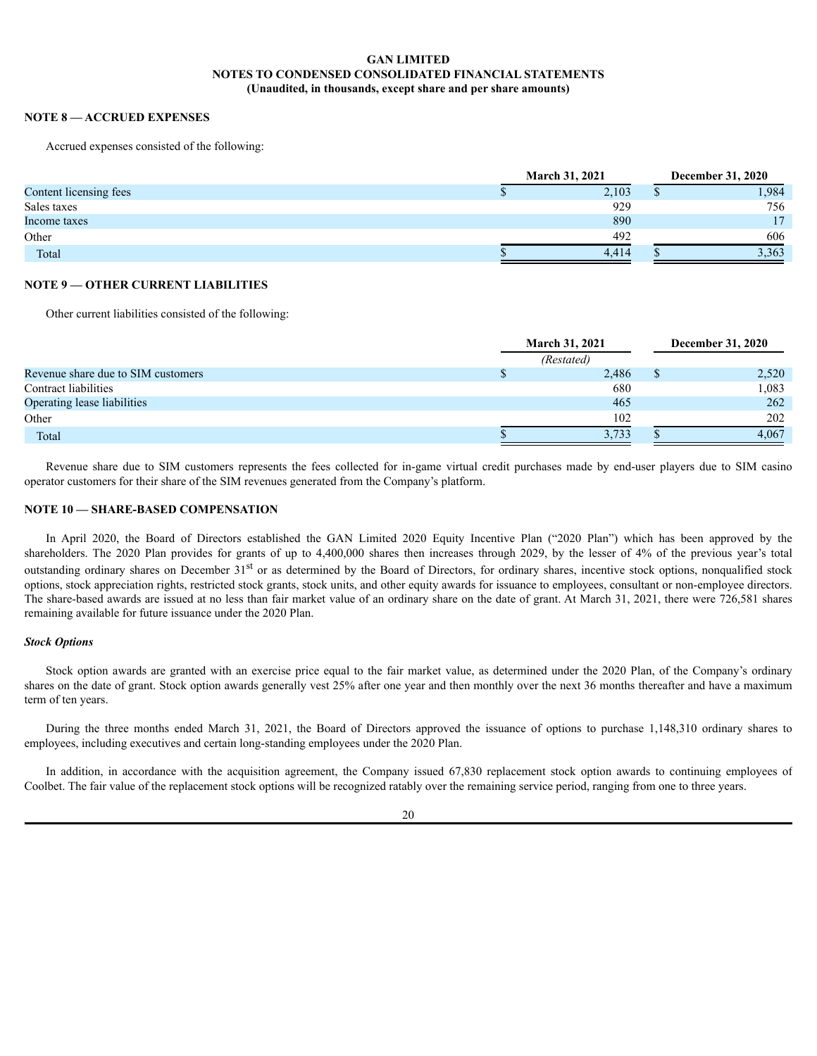# **NOTE 8 — ACCRUED EXPENSES**

Accrued expenses consisted of the following:

|                        |  | <b>March 31, 2021</b> |   |       |
|------------------------|--|-----------------------|---|-------|
| Content licensing fees |  | 2,103                 | v | .984  |
| Sales taxes            |  | 929                   |   | 756   |
| Income taxes           |  | 890                   |   | 17    |
| Other                  |  | 492                   |   | 606   |
| Total                  |  | 4.414                 |   | 3,363 |

# **NOTE 9 — OTHER CURRENT LIABILITIES**

Other current liabilities consisted of the following:

|                                    | <b>March 31, 2021</b> |            |  | <b>December 31, 2020</b> |
|------------------------------------|-----------------------|------------|--|--------------------------|
|                                    |                       | (Restated) |  |                          |
| Revenue share due to SIM customers |                       | 2,486      |  | 2,520                    |
| Contract liabilities               |                       | 680        |  | 1,083                    |
| Operating lease liabilities        |                       | 465        |  | 262                      |
| Other                              |                       | 102        |  | 202                      |
| Total                              |                       | 3,733      |  | 4.067                    |

Revenue share due to SIM customers represents the fees collected for in-game virtual credit purchases made by end-user players due to SIM casino operator customers for their share of the SIM revenues generated from the Company's platform.

### **NOTE 10 — SHARE-BASED COMPENSATION**

In April 2020, the Board of Directors established the GAN Limited 2020 Equity Incentive Plan ("2020 Plan") which has been approved by the shareholders. The 2020 Plan provides for grants of up to 4,400,000 shares then increases through 2029, by the lesser of 4% of the previous year's total outstanding ordinary shares on December 31<sup>st</sup> or as determined by the Board of Directors, for ordinary shares, incentive stock options, nonqualified stock options, stock appreciation rights, restricted stock grants, stock units, and other equity awards for issuance to employees, consultant or non-employee directors. The share-based awards are issued at no less than fair market value of an ordinary share on the date of grant. At March 31, 2021, there were 726,581 shares remaining available for future issuance under the 2020 Plan.

### *Stock Options*

Stock option awards are granted with an exercise price equal to the fair market value, as determined under the 2020 Plan, of the Company's ordinary shares on the date of grant. Stock option awards generally vest 25% after one year and then monthly over the next 36 months thereafter and have a maximum term of ten years.

During the three months ended March 31, 2021, the Board of Directors approved the issuance of options to purchase 1,148,310 ordinary shares to employees, including executives and certain long-standing employees under the 2020 Plan.

In addition, in accordance with the acquisition agreement, the Company issued 67,830 replacement stock option awards to continuing employees of Coolbet. The fair value of the replacement stock options will be recognized ratably over the remaining service period, ranging from one to three years.

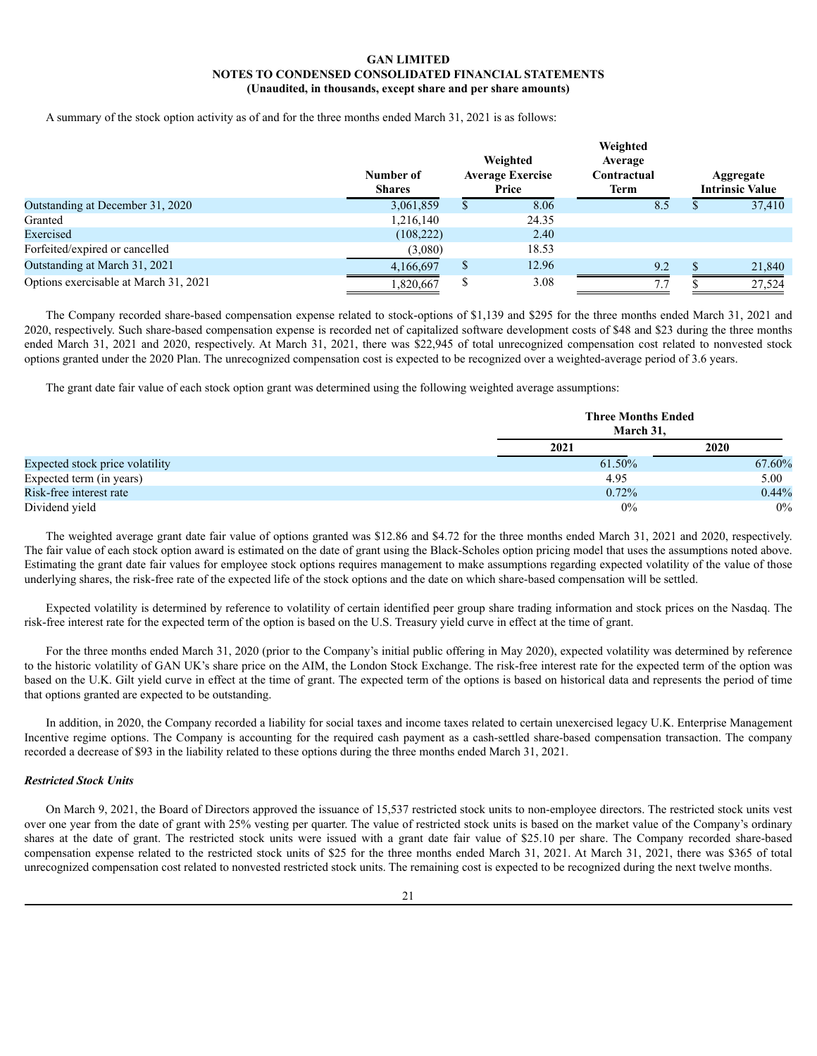A summary of the stock option activity as of and for the three months ended March 31, 2021 is as follows:

|                                       | Number of<br><b>Shares</b> | Weighted<br><b>Average Exercise</b><br>Price | Weighted<br>Average<br>Contractual<br><b>Term</b> | Aggregate<br><b>Intrinsic Value</b> |
|---------------------------------------|----------------------------|----------------------------------------------|---------------------------------------------------|-------------------------------------|
| Outstanding at December 31, 2020      | 3,061,859                  | 8.06                                         | 8.5                                               | 37,410                              |
| Granted                               | 1,216,140                  | 24.35                                        |                                                   |                                     |
| Exercised                             | (108, 222)                 | 2.40                                         |                                                   |                                     |
| Forfeited/expired or cancelled        | (3,080)                    | 18.53                                        |                                                   |                                     |
| Outstanding at March 31, 2021         | 4,166,697                  | 12.96                                        | 9.2                                               | 21,840                              |
| Options exercisable at March 31, 2021 | ,820,667                   | 3.08                                         | 7.7                                               | 27.524                              |

The Company recorded share-based compensation expense related to stock-options of \$1,139 and \$295 for the three months ended March 31, 2021 and 2020, respectively. Such share-based compensation expense is recorded net of capitalized software development costs of \$48 and \$23 during the three months ended March 31, 2021 and 2020, respectively. At March 31, 2021, there was \$22,945 of total unrecognized compensation cost related to nonvested stock options granted under the 2020 Plan. The unrecognized compensation cost is expected to be recognized over a weighted-average period of 3.6 years.

The grant date fair value of each stock option grant was determined using the following weighted average assumptions:

|                                 | <b>Three Months Ended</b><br>March 31, |        |
|---------------------------------|----------------------------------------|--------|
|                                 | 2021                                   | 2020   |
| Expected stock price volatility | 61.50%                                 | 67.60% |
| Expected term (in years)        | 4.95                                   | 5.00   |
| Risk-free interest rate         | 0.72%                                  | 0.44%  |
| Dividend yield                  | 0%                                     | $0\%$  |

The weighted average grant date fair value of options granted was \$12.86 and \$4.72 for the three months ended March 31, 2021 and 2020, respectively. The fair value of each stock option award is estimated on the date of grant using the Black-Scholes option pricing model that uses the assumptions noted above. Estimating the grant date fair values for employee stock options requires management to make assumptions regarding expected volatility of the value of those underlying shares, the risk-free rate of the expected life of the stock options and the date on which share-based compensation will be settled.

Expected volatility is determined by reference to volatility of certain identified peer group share trading information and stock prices on the Nasdaq. The risk-free interest rate for the expected term of the option is based on the U.S. Treasury yield curve in effect at the time of grant.

For the three months ended March 31, 2020 (prior to the Company's initial public offering in May 2020), expected volatility was determined by reference to the historic volatility of GAN UK's share price on the AIM, the London Stock Exchange. The risk-free interest rate for the expected term of the option was based on the U.K. Gilt yield curve in effect at the time of grant. The expected term of the options is based on historical data and represents the period of time that options granted are expected to be outstanding.

In addition, in 2020, the Company recorded a liability for social taxes and income taxes related to certain unexercised legacy U.K. Enterprise Management Incentive regime options. The Company is accounting for the required cash payment as a cash-settled share-based compensation transaction. The company recorded a decrease of \$93 in the liability related to these options during the three months ended March 31, 2021.

### *Restricted Stock Units*

On March 9, 2021, the Board of Directors approved the issuance of 15,537 restricted stock units to non-employee directors. The restricted stock units vest over one year from the date of grant with 25% vesting per quarter. The value of restricted stock units is based on the market value of the Company's ordinary shares at the date of grant. The restricted stock units were issued with a grant date fair value of \$25.10 per share. The Company recorded share-based compensation expense related to the restricted stock units of \$25 for the three months ended March 31, 2021. At March 31, 2021, there was \$365 of total unrecognized compensation cost related to nonvested restricted stock units. The remaining cost is expected to be recognized during the next twelve months.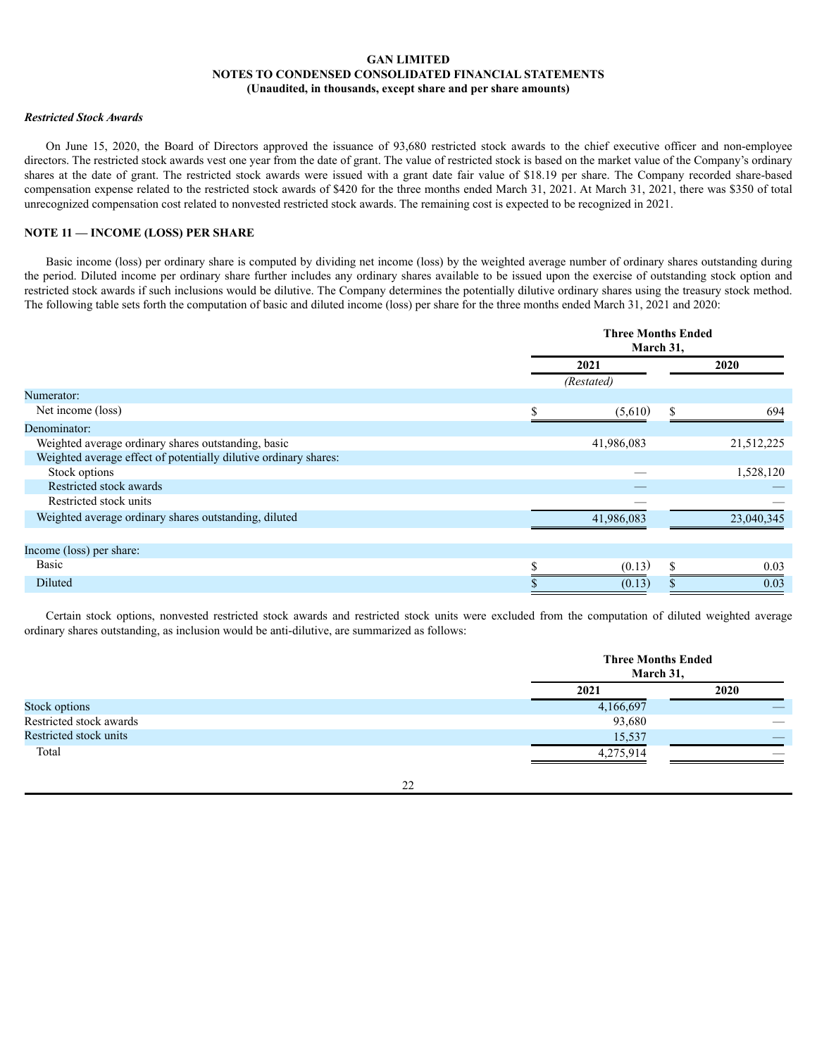## *Restricted Stock Awards*

On June 15, 2020, the Board of Directors approved the issuance of 93,680 restricted stock awards to the chief executive officer and non-employee directors. The restricted stock awards vest one year from the date of grant. The value of restricted stock is based on the market value of the Company's ordinary shares at the date of grant. The restricted stock awards were issued with a grant date fair value of \$18.19 per share. The Company recorded share-based compensation expense related to the restricted stock awards of \$420 for the three months ended March 31, 2021. At March 31, 2021, there was \$350 of total unrecognized compensation cost related to nonvested restricted stock awards. The remaining cost is expected to be recognized in 2021.

### **NOTE 11 — INCOME (LOSS) PER SHARE**

Basic income (loss) per ordinary share is computed by dividing net income (loss) by the weighted average number of ordinary shares outstanding during the period. Diluted income per ordinary share further includes any ordinary shares available to be issued upon the exercise of outstanding stock option and restricted stock awards if such inclusions would be dilutive. The Company determines the potentially dilutive ordinary shares using the treasury stock method. The following table sets forth the computation of basic and diluted income (loss) per share for the three months ended March 31, 2021 and 2020:

|                                                                  |    | <b>Three Months Ended</b><br>March 31, |    |            |  |
|------------------------------------------------------------------|----|----------------------------------------|----|------------|--|
|                                                                  |    | 2021<br>(Restated)                     |    | 2020       |  |
| Numerator:                                                       |    |                                        |    |            |  |
| Net income (loss)                                                | S. | (5,610)                                | \$ | 694        |  |
| Denominator:                                                     |    |                                        |    |            |  |
| Weighted average ordinary shares outstanding, basic              |    | 41,986,083                             |    | 21,512,225 |  |
| Weighted average effect of potentially dilutive ordinary shares: |    |                                        |    |            |  |
| Stock options                                                    |    |                                        |    | 1,528,120  |  |
| Restricted stock awards                                          |    |                                        |    |            |  |
| Restricted stock units                                           |    |                                        |    |            |  |
| Weighted average ordinary shares outstanding, diluted            |    | 41,986,083                             |    | 23,040,345 |  |
|                                                                  |    |                                        |    |            |  |
| Income (loss) per share:                                         |    |                                        |    |            |  |
| <b>Basic</b>                                                     |    | (0.13)                                 | \$ | 0.03       |  |
| Diluted                                                          |    | (0.13)                                 |    | 0.03       |  |

Certain stock options, nonvested restricted stock awards and restricted stock units were excluded from the computation of diluted weighted average ordinary shares outstanding, as inclusion would be anti-dilutive, are summarized as follows:

|                         |           | <b>Three Months Ended</b><br>March 31, |
|-------------------------|-----------|----------------------------------------|
|                         | 2021      | 2020                                   |
| Stock options           | 4,166,697 |                                        |
| Restricted stock awards | 93,680    |                                        |
| Restricted stock units  | 15,537    |                                        |
| Total                   | 4,275,914 |                                        |

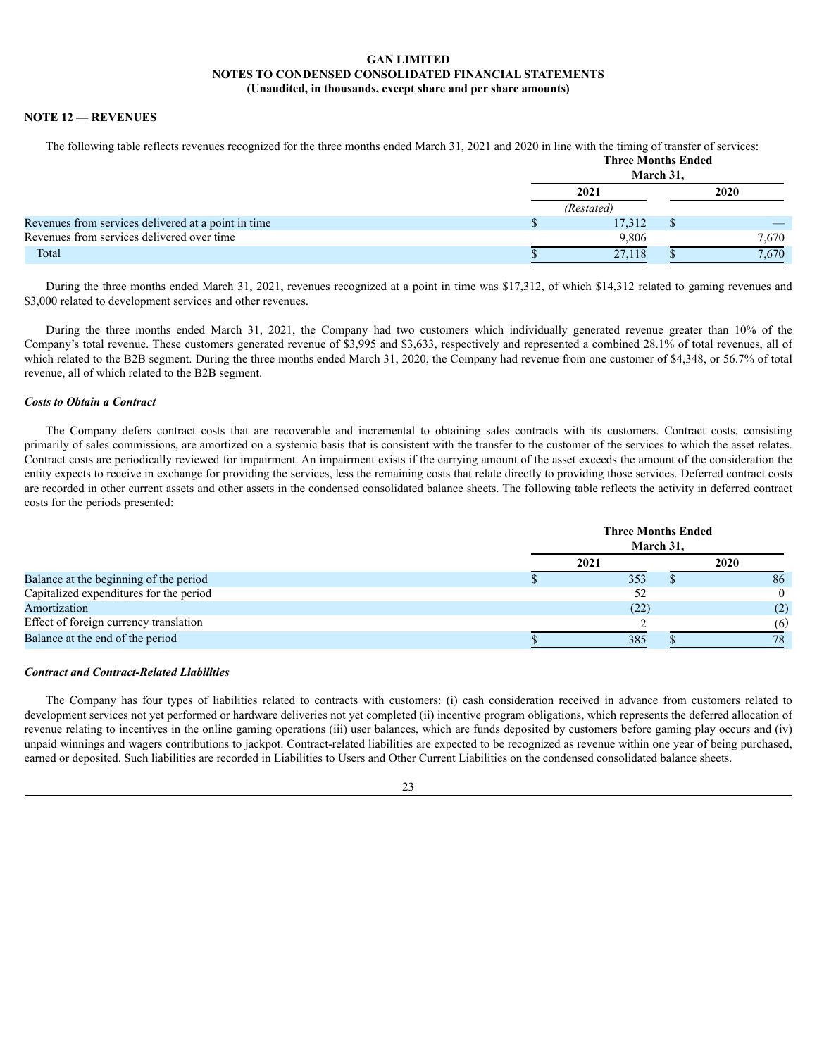# **NOTE 12 — REVENUES**

The following table reflects revenues recognized for the three months ended March 31, 2021 and 2020 in line with the timing of transfer of services:

|                                                     |      | <b>Three Months Ended</b> | March 31, |       |  |
|-----------------------------------------------------|------|---------------------------|-----------|-------|--|
|                                                     | 2021 |                           |           | 2020  |  |
|                                                     |      | (Restated)                |           |       |  |
| Revenues from services delivered at a point in time |      | 17,312                    |           |       |  |
| Revenues from services delivered over time          |      | 9,806                     |           | 7,670 |  |
| Total                                               |      | 27,118                    |           | 7.670 |  |

During the three months ended March 31, 2021, revenues recognized at a point in time was \$17,312, of which \$14,312 related to gaming revenues and \$3,000 related to development services and other revenues.

During the three months ended March 31, 2021, the Company had two customers which individually generated revenue greater than 10% of the Company's total revenue. These customers generated revenue of \$3,995 and \$3,633, respectively and represented a combined 28.1% of total revenues, all of which related to the B2B segment. During the three months ended March 31, 2020, the Company had revenue from one customer of \$4,348, or 56.7% of total revenue, all of which related to the B2B segment.

## *Costs to Obtain a Contract*

The Company defers contract costs that are recoverable and incremental to obtaining sales contracts with its customers. Contract costs, consisting primarily of sales commissions, are amortized on a systemic basis that is consistent with the transfer to the customer of the services to which the asset relates. Contract costs are periodically reviewed for impairment. An impairment exists if the carrying amount of the asset exceeds the amount of the consideration the entity expects to receive in exchange for providing the services, less the remaining costs that relate directly to providing those services. Deferred contract costs are recorded in other current assets and other assets in the condensed consolidated balance sheets. The following table reflects the activity in deferred contract costs for the periods presented:

|                                         | <b>Three Months Ended</b><br>March 31, |      |
|-----------------------------------------|----------------------------------------|------|
|                                         | 2021                                   | 2020 |
| Balance at the beginning of the period  | 353                                    | 86   |
| Capitalized expenditures for the period | 52                                     |      |
| Amortization                            | (22)                                   | (2)  |
| Effect of foreign currency translation  |                                        | (6)  |
| Balance at the end of the period        | 385                                    | 78   |

### *Contract and Contract-Related Liabilities*

The Company has four types of liabilities related to contracts with customers: (i) cash consideration received in advance from customers related to development services not yet performed or hardware deliveries not yet completed (ii) incentive program obligations, which represents the deferred allocation of revenue relating to incentives in the online gaming operations (iii) user balances, which are funds deposited by customers before gaming play occurs and (iv) unpaid winnings and wagers contributions to jackpot. Contract-related liabilities are expected to be recognized as revenue within one year of being purchased, earned or deposited. Such liabilities are recorded in Liabilities to Users and Other Current Liabilities on the condensed consolidated balance sheets.

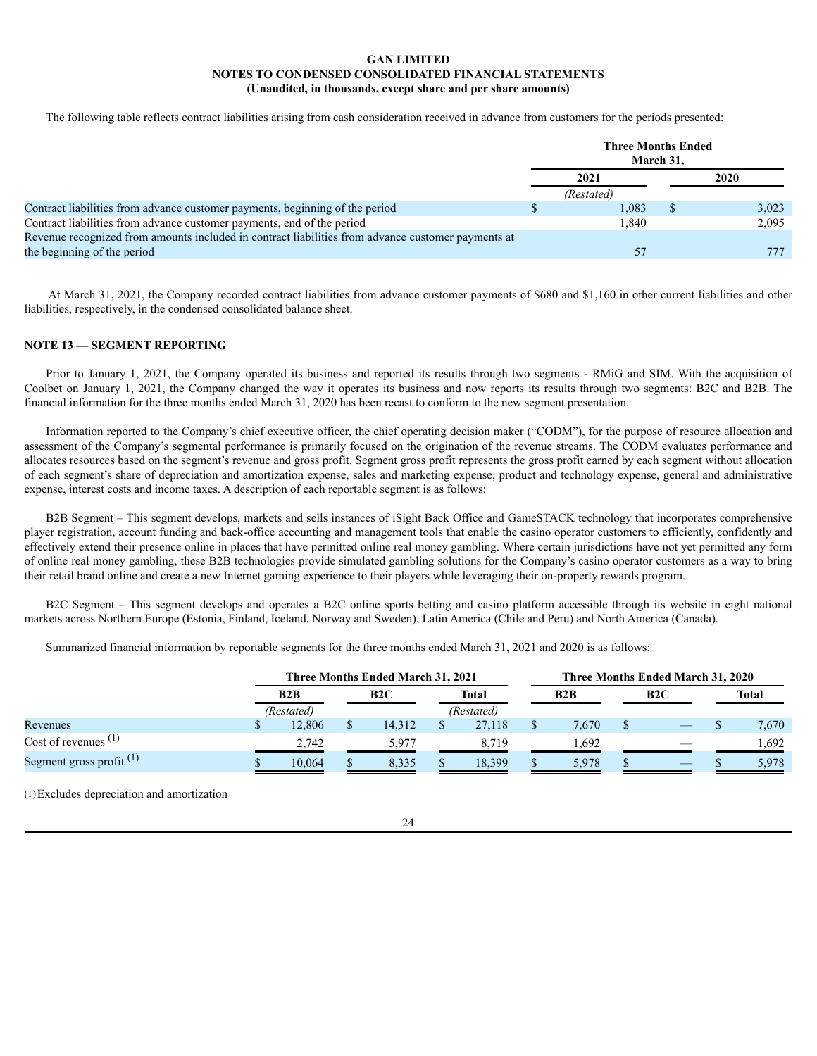The following table reflects contract liabilities arising from cash consideration received in advance from customers for the periods presented:

|                                                                                                    | <b>Three Months Ended</b><br>March 31. |       |
|----------------------------------------------------------------------------------------------------|----------------------------------------|-------|
|                                                                                                    | 2021                                   | 2020  |
|                                                                                                    | (Restated)                             |       |
| Contract liabilities from advance customer payments, beginning of the period                       | .083                                   | 3,023 |
| Contract liabilities from advance customer payments, end of the period                             | 1,840                                  | 2,095 |
| Revenue recognized from amounts included in contract liabilities from advance customer payments at |                                        |       |
| the beginning of the period                                                                        | 57                                     |       |

At March 31, 2021, the Company recorded contract liabilities from advance customer payments of \$680 and \$1,160 in other current liabilities and other liabilities, respectively, in the condensed consolidated balance sheet.

# **NOTE 13 — SEGMENT REPORTING**

Prior to January 1, 2021, the Company operated its business and reported its results through two segments - RMiG and SIM. With the acquisition of Coolbet on January 1, 2021, the Company changed the way it operates its business and now reports its results through two segments: B2C and B2B. The financial information for the three months ended March 31, 2020 has been recast to conform to the new segment presentation.

Information reported to the Company's chief executive officer, the chief operating decision maker ("CODM"), for the purpose of resource allocation and assessment of the Company's segmental performance is primarily focused on the origination of the revenue streams. The CODM evaluates performance and allocates resources based on the segment's revenue and gross profit. Segment gross profit represents the gross profit earned by each segment without allocation of each segment's share of depreciation and amortization expense, sales and marketing expense, product and technology expense, general and administrative expense, interest costs and income taxes. A description of each reportable segment is as follows:

B2B Segment – This segment develops, markets and sells instances of iSight Back Office and GameSTACK technology that incorporates comprehensive player registration, account funding and back-office accounting and management tools that enable the casino operator customers to efficiently, confidently and effectively extend their presence online in places that have permitted online real money gambling. Where certain jurisdictions have not yet permitted any form of online real money gambling, these B2B technologies provide simulated gambling solutions for the Company's casino operator customers as a way to bring their retail brand online and create a new Internet gaming experience to their players while leveraging their on-property rewards program.

B2C Segment – This segment develops and operates a B2C online sports betting and casino platform accessible through its website in eight national markets across Northern Europe (Estonia, Finland, Iceland, Norway and Sweden), Latin America (Chile and Peru) and North America (Canada).

Summarized financial information by reportable segments for the three months ended March 31, 2021 and 2020 is as follows:

|                            |  | <b>Three Months Ended March 31, 2021</b> |  |        |  |            |  |       | Three Months Ended March 31, 2020 |       |  |              |  |     |     |              |
|----------------------------|--|------------------------------------------|--|--------|--|------------|--|-------|-----------------------------------|-------|--|--------------|--|-----|-----|--------------|
|                            |  | B2B                                      |  |        |  |            |  |       |                                   | B2C   |  | <b>Total</b> |  | B2B | B2C | <b>Total</b> |
|                            |  | (Restated)                               |  |        |  | (Restated) |  |       |                                   |       |  |              |  |     |     |              |
| Revenues                   |  | 12,806                                   |  | 14.312 |  | 27,118     |  | 7.670 |                                   | 7,670 |  |              |  |     |     |              |
| Cost of revenues $(1)$     |  | 2.742                                    |  | 5.977  |  | 8.719      |  | .692  |                                   | .692  |  |              |  |     |     |              |
| Segment gross profit $(1)$ |  | 10.064                                   |  | 8.335  |  | 18.399     |  | 5.978 |                                   | 5,978 |  |              |  |     |     |              |

(1)Excludes depreciation and amortization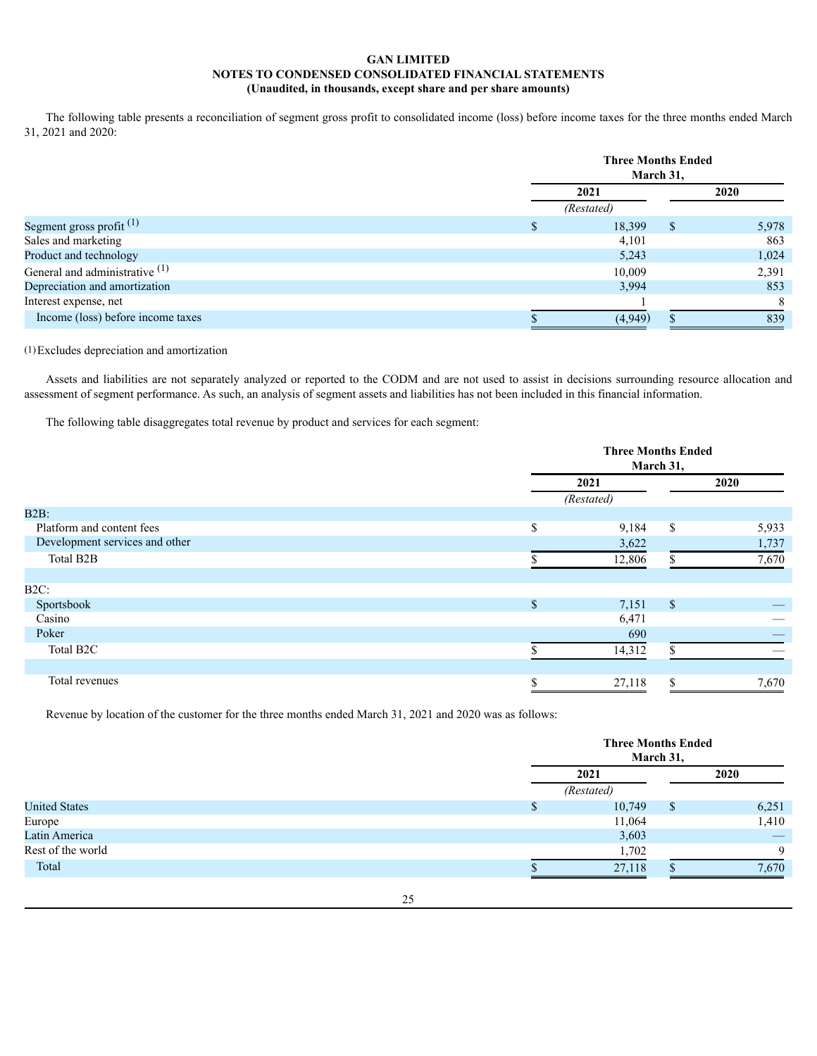The following table presents a reconciliation of segment gross profit to consolidated income (loss) before income taxes for the three months ended March 31, 2021 and 2020:

|                                   |            | <b>Three Months Ended</b><br>March 31, |       |  |  |  |  |
|-----------------------------------|------------|----------------------------------------|-------|--|--|--|--|
|                                   | 2021       |                                        |       |  |  |  |  |
|                                   | (Restated) |                                        |       |  |  |  |  |
| Segment gross profit $(1)$        | 18,399     | \$                                     | 5,978 |  |  |  |  |
| Sales and marketing               | 4,101      |                                        | 863   |  |  |  |  |
| Product and technology            | 5,243      |                                        | 1,024 |  |  |  |  |
| General and administrative (1)    | 10.009     |                                        | 2,391 |  |  |  |  |
| Depreciation and amortization     | 3.994      |                                        | 853   |  |  |  |  |
| Interest expense, net             |            |                                        | 8     |  |  |  |  |
| Income (loss) before income taxes | (4,949)    |                                        | 839   |  |  |  |  |

# (1)Excludes depreciation and amortization

Assets and liabilities are not separately analyzed or reported to the CODM and are not used to assist in decisions surrounding resource allocation and assessment of segment performance. As such, an analysis of segment assets and liabilities has not been included in this financial information.

The following table disaggregates total revenue by product and services for each segment:

|                                |         | <b>Three Months Ended</b><br>March 31, |              |       |  |  |
|--------------------------------|---------|----------------------------------------|--------------|-------|--|--|
|                                |         | 2021                                   |              | 2020  |  |  |
|                                |         | (Restated)                             |              |       |  |  |
| $B2B$ :                        |         |                                        |              |       |  |  |
| Platform and content fees      | \$      | 9,184                                  | \$           | 5,933 |  |  |
| Development services and other |         | 3,622                                  |              | 1,737 |  |  |
| Total B2B                      |         | 12,806                                 |              | 7,670 |  |  |
|                                |         |                                        |              |       |  |  |
| $B2C$ :                        |         |                                        |              |       |  |  |
| Sportsbook                     | \$      | 7,151                                  | $\mathbb{S}$ |       |  |  |
| Casino                         |         | 6,471                                  |              |       |  |  |
| Poker                          |         | 690                                    |              |       |  |  |
| Total B2C                      |         | 14,312                                 |              |       |  |  |
|                                |         |                                        |              |       |  |  |
| Total revenues                 | Ф.<br>ъ | 27,118                                 | Ф.<br>ъ      | 7,670 |  |  |

Revenue by location of the customer for the three months ended March 31, 2021 and 2020 was as follows:

|                      | <b>Three Months Ended</b> | March 31, |             |
|----------------------|---------------------------|-----------|-------------|
|                      | 2021                      |           | 2020        |
|                      | (Restated)                |           |             |
| <b>United States</b> | 10,749                    | \$        | 6,251       |
| Europe               | 11,064                    |           | 1,410       |
| Latin America        | 3,603                     |           |             |
| Rest of the world    | 1,702                     |           | $\mathbf Q$ |
| Total                | 27,118                    |           | 7,670       |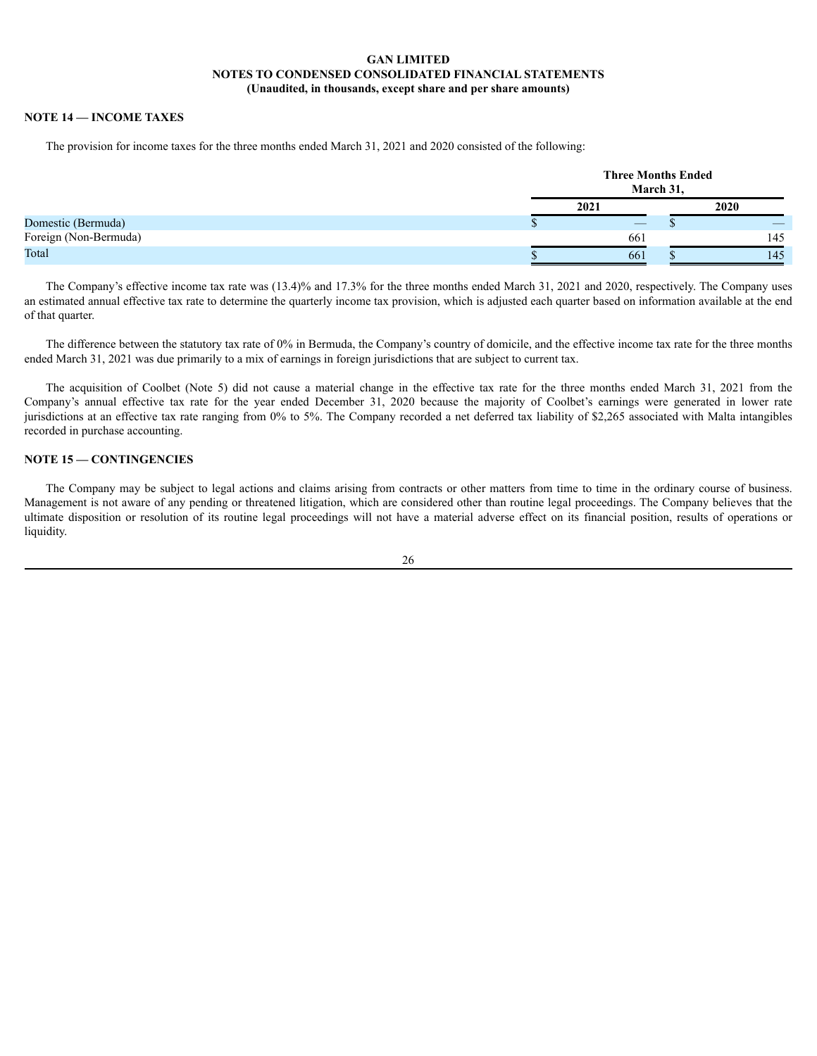# **NOTE 14 — INCOME TAXES**

The provision for income taxes for the three months ended March 31, 2021 and 2020 consisted of the following:

|                       | <b>Three Months Ended</b> | March 31, |      |
|-----------------------|---------------------------|-----------|------|
|                       | 2021                      |           | 2020 |
| Domestic (Bermuda)    | $-$                       |           |      |
| Foreign (Non-Bermuda) | 661                       |           | 145  |
| Total                 | 661                       |           | 145  |

The Company's effective income tax rate was (13.4)% and 17.3% for the three months ended March 31, 2021 and 2020, respectively. The Company uses an estimated annual effective tax rate to determine the quarterly income tax provision, which is adjusted each quarter based on information available at the end of that quarter.

The difference between the statutory tax rate of 0% in Bermuda, the Company's country of domicile, and the effective income tax rate for the three months ended March 31, 2021 was due primarily to a mix of earnings in foreign jurisdictions that are subject to current tax.

The acquisition of Coolbet (Note 5) did not cause a material change in the effective tax rate for the three months ended March 31, 2021 from the Company's annual effective tax rate for the year ended December 31, 2020 because the majority of Coolbet's earnings were generated in lower rate jurisdictions at an effective tax rate ranging from 0% to 5%. The Company recorded a net deferred tax liability of \$2,265 associated with Malta intangibles recorded in purchase accounting.

## **NOTE 15 — CONTINGENCIES**

The Company may be subject to legal actions and claims arising from contracts or other matters from time to time in the ordinary course of business. Management is not aware of any pending or threatened litigation, which are considered other than routine legal proceedings. The Company believes that the ultimate disposition or resolution of its routine legal proceedings will not have a material adverse effect on its financial position, results of operations or liquidity.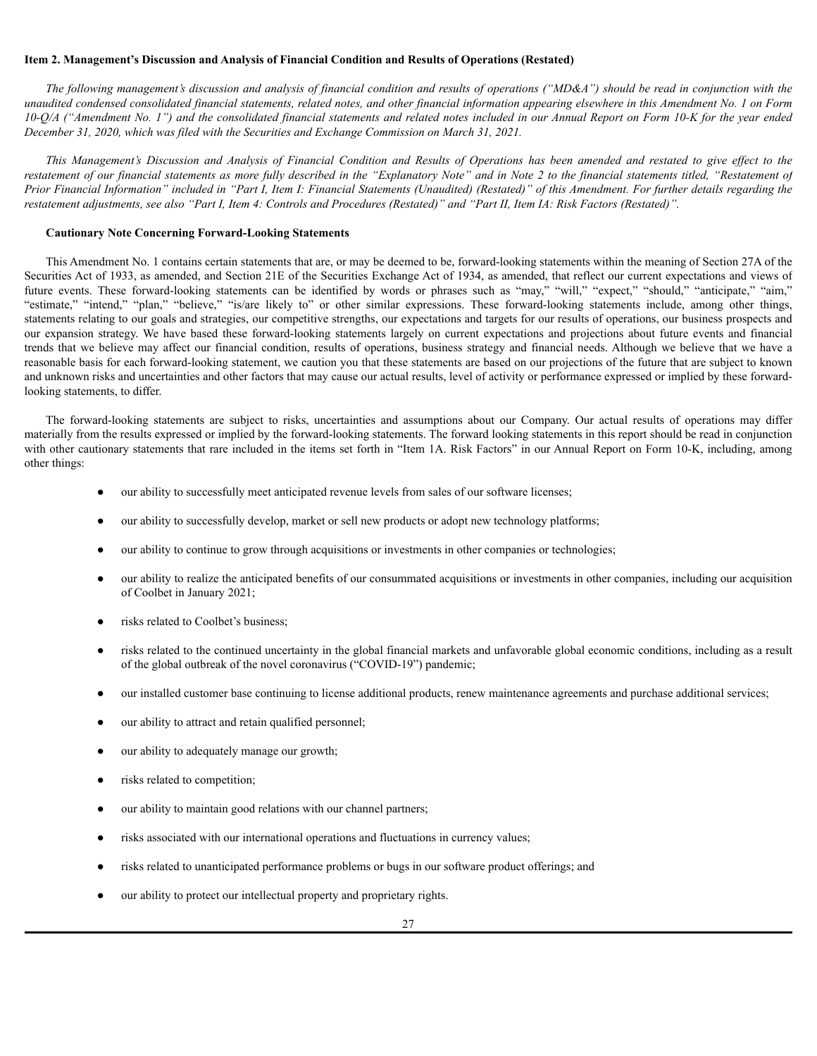### <span id="page-27-0"></span>**Item 2. Management's Discussion and Analysis of Financial Condition and Results of Operations (Restated)**

The following management's discussion and analysis of financial condition and results of operations ("MD&A") should be read in conjunction with the unaudited condensed consolidated financial statements, related notes, and other financial information appearing elsewhere in this Amendment No. 1 on Form 10-Q/A ("Amendment No. 1") and the consolidated financial statements and related notes included in our Annual Report on Form 10-K for the year ended *December 31, 2020, which was filed with the Securities and Exchange Commission on March 31, 2021.*

This Management's Discussion and Analysis of Financial Condition and Results of Operations has been amended and restated to give effect to the restatement of our financial statements as more fully described in the "Explanatory Note" and in Note 2 to the financial statements titled, "Restatement of Prior Financial Information" included in "Part I, Item I: Financial Statements (Unaudited) (Restated)" of this Amendment. For further details regarding the restatement adjustments, see also "Part I, Item 4: Controls and Procedures (Restated)" and "Part II, Item IA: Risk Factors (Restated)".

# **Cautionary Note Concerning Forward-Looking Statements**

This Amendment No. 1 contains certain statements that are, or may be deemed to be, forward-looking statements within the meaning of Section 27A of the Securities Act of 1933, as amended, and Section 21E of the Securities Exchange Act of 1934, as amended, that reflect our current expectations and views of future events. These forward-looking statements can be identified by words or phrases such as "may," "will," "expect," "should," "anticipate," "aim," "estimate," "intend," "plan," "believe," "is/are likely to" or other similar expressions. These forward-looking statements include, among other things, statements relating to our goals and strategies, our competitive strengths, our expectations and targets for our results of operations, our business prospects and our expansion strategy. We have based these forward-looking statements largely on current expectations and projections about future events and financial trends that we believe may affect our financial condition, results of operations, business strategy and financial needs. Although we believe that we have a reasonable basis for each forward-looking statement, we caution you that these statements are based on our projections of the future that are subject to known and unknown risks and uncertainties and other factors that may cause our actual results, level of activity or performance expressed or implied by these forwardlooking statements, to differ.

The forward-looking statements are subject to risks, uncertainties and assumptions about our Company. Our actual results of operations may differ materially from the results expressed or implied by the forward-looking statements. The forward looking statements in this report should be read in conjunction with other cautionary statements that rare included in the items set forth in "Item 1A. Risk Factors" in our Annual Report on Form 10-K, including, among other things:

- our ability to successfully meet anticipated revenue levels from sales of our software licenses;
- our ability to successfully develop, market or sell new products or adopt new technology platforms;
- our ability to continue to grow through acquisitions or investments in other companies or technologies;
- our ability to realize the anticipated benefits of our consummated acquisitions or investments in other companies, including our acquisition of Coolbet in January 2021;
- risks related to Coolbet's business;
- risks related to the continued uncertainty in the global financial markets and unfavorable global economic conditions, including as a result of the global outbreak of the novel coronavirus ("COVID-19") pandemic;
- our installed customer base continuing to license additional products, renew maintenance agreements and purchase additional services;
- our ability to attract and retain qualified personnel;
- our ability to adequately manage our growth;
- risks related to competition;
- our ability to maintain good relations with our channel partners;
- risks associated with our international operations and fluctuations in currency values;
- risks related to unanticipated performance problems or bugs in our software product offerings; and
- our ability to protect our intellectual property and proprietary rights.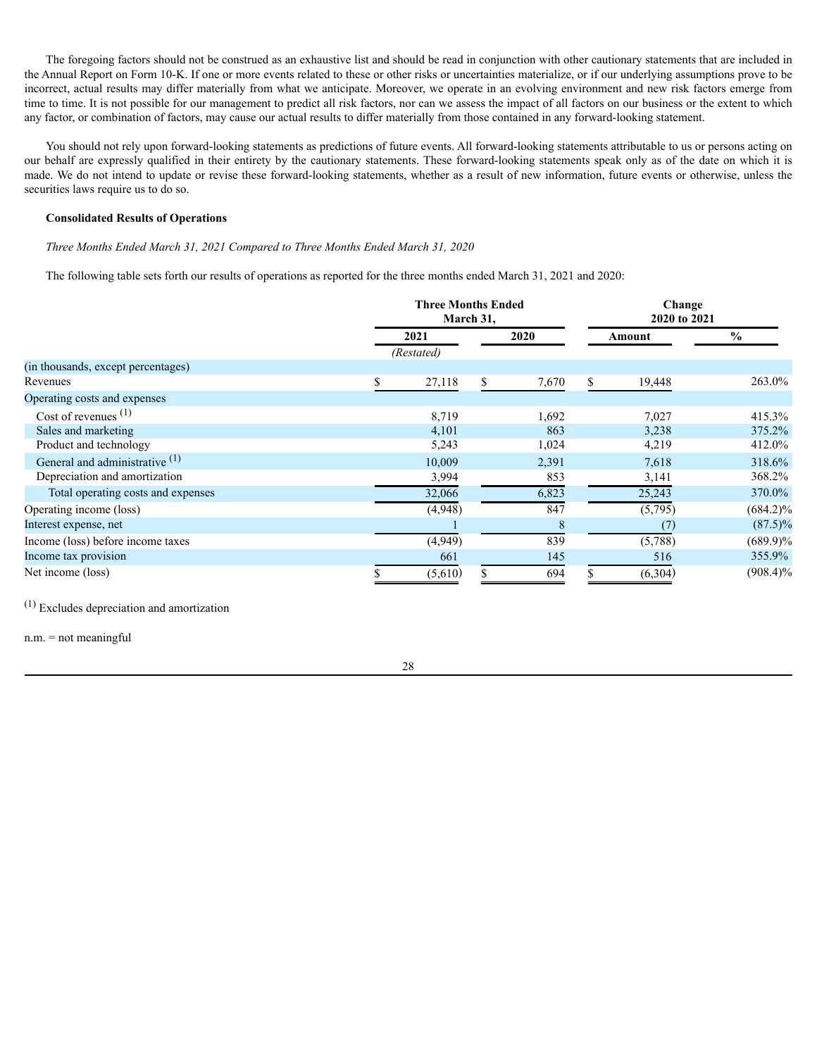The foregoing factors should not be construed as an exhaustive list and should be read in conjunction with other cautionary statements that are included in the Annual Report on Form 10-K. If one or more events related to these or other risks or uncertainties materialize, or if our underlying assumptions prove to be incorrect, actual results may differ materially from what we anticipate. Moreover, we operate in an evolving environment and new risk factors emerge from time to time. It is not possible for our management to predict all risk factors, nor can we assess the impact of all factors on our business or the extent to which any factor, or combination of factors, may cause our actual results to differ materially from those contained in any forward-looking statement.

You should not rely upon forward-looking statements as predictions of future events. All forward-looking statements attributable to us or persons acting on our behalf are expressly qualified in their entirety by the cautionary statements. These forward-looking statements speak only as of the date on which it is made. We do not intend to update or revise these forward-looking statements, whether as a result of new information, future events or otherwise, unless the securities laws require us to do so.

# **Consolidated Results of Operations**

*Three Months Ended March 31, 2021 Compared to Three Months Ended March 31, 2020*

The following table sets forth our results of operations as reported for the three months ended March 31, 2021 and 2020:

|                                    |   | <b>Three Months Ended</b><br>March 31, |    |       |    |         | Change<br>2020 to 2021 |
|------------------------------------|---|----------------------------------------|----|-------|----|---------|------------------------|
|                                    |   | 2021                                   |    | 2020  |    | Amount  | $\frac{0}{0}$          |
|                                    |   | (Restated)                             |    |       |    |         |                        |
| (in thousands, except percentages) |   |                                        |    |       |    |         |                        |
| Revenues                           | ъ | 27,118                                 | \$ | 7,670 | S. | 19,448  | 263.0%                 |
| Operating costs and expenses       |   |                                        |    |       |    |         |                        |
| Cost of revenues $(1)$             |   | 8,719                                  |    | 1,692 |    | 7,027   | 415.3%                 |
| Sales and marketing                |   | 4,101                                  |    | 863   |    | 3,238   | 375.2%                 |
| Product and technology             |   | 5,243                                  |    | 1,024 |    | 4,219   | 412.0%                 |
| General and administrative $(1)$   |   | 10,009                                 |    | 2,391 |    | 7,618   | 318.6%                 |
| Depreciation and amortization      |   | 3,994                                  |    | 853   |    | 3,141   | 368.2%                 |
| Total operating costs and expenses |   | 32,066                                 |    | 6,823 |    | 25,243  | 370.0%                 |
| Operating income (loss)            |   | (4,948)                                |    | 847   |    | (5,795) | $(684.2)\%$            |
| Interest expense, net              |   |                                        |    | 8     |    | (7)     | $(87.5)\%$             |
| Income (loss) before income taxes  |   | (4,949)                                |    | 839   |    | (5,788) | $(689.9)\%$            |
| Income tax provision               |   | 661                                    |    | 145   |    | 516     | 355.9%                 |
| Net income (loss)                  |   | (5,610)                                |    | 694   |    | (6,304) | $(908.4)\%$            |

(1) Excludes depreciation and amortization

n.m. = not meaningful

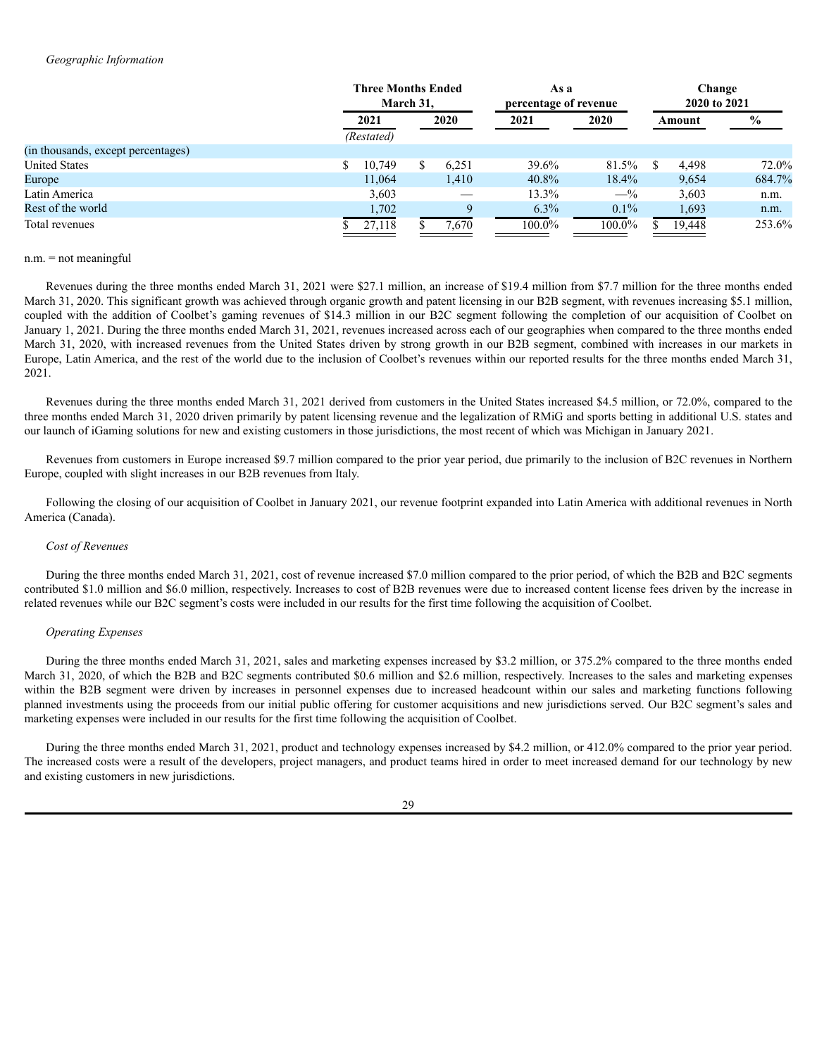### *Geographic Information*

|                                    |  | <b>Three Months Ended</b><br>March 31. |   |       | As a<br>percentage of revenue |           | Change<br>2020 to 2021 |        |        |  |               |
|------------------------------------|--|----------------------------------------|---|-------|-------------------------------|-----------|------------------------|--------|--------|--|---------------|
|                                    |  | 2021                                   |   | 2020  |                               |           | 2021                   | 2020   | Amount |  | $\frac{1}{2}$ |
|                                    |  | (Restated)                             |   |       |                               |           |                        |        |        |  |               |
| (in thousands, except percentages) |  |                                        |   |       |                               |           |                        |        |        |  |               |
| <b>United States</b>               |  | 10,749                                 | S | 6.251 | 39.6%                         | 81.5%     |                        | 4.498  | 72.0%  |  |               |
| Europe                             |  | 11,064                                 |   | 1,410 | 40.8%                         | 18.4%     |                        | 9,654  | 684.7% |  |               |
| Latin America                      |  | 3,603                                  |   |       | 13.3%                         | $-$ %     |                        | 3,603  | n.m.   |  |               |
| Rest of the world                  |  | 1,702                                  |   | Q     | $6.3\%$                       | $0.1\%$   |                        | 1,693  | n.m.   |  |               |
| Total revenues                     |  | 27,118                                 |   | 7,670 | $100.0\%$                     | $100.0\%$ |                        | 19,448 | 253.6% |  |               |

### n.m. = not meaningful

Revenues during the three months ended March 31, 2021 were \$27.1 million, an increase of \$19.4 million from \$7.7 million for the three months ended March 31, 2020. This significant growth was achieved through organic growth and patent licensing in our B2B segment, with revenues increasing \$5.1 million, coupled with the addition of Coolbet's gaming revenues of \$14.3 million in our B2C segment following the completion of our acquisition of Coolbet on January 1, 2021. During the three months ended March 31, 2021, revenues increased across each of our geographies when compared to the three months ended March 31, 2020, with increased revenues from the United States driven by strong growth in our B2B segment, combined with increases in our markets in Europe, Latin America, and the rest of the world due to the inclusion of Coolbet's revenues within our reported results for the three months ended March 31, 2021.

Revenues during the three months ended March 31, 2021 derived from customers in the United States increased \$4.5 million, or 72.0%, compared to the three months ended March 31, 2020 driven primarily by patent licensing revenue and the legalization of RMiG and sports betting in additional U.S. states and our launch of iGaming solutions for new and existing customers in those jurisdictions, the most recent of which was Michigan in January 2021.

Revenues from customers in Europe increased \$9.7 million compared to the prior year period, due primarily to the inclusion of B2C revenues in Northern Europe, coupled with slight increases in our B2B revenues from Italy.

Following the closing of our acquisition of Coolbet in January 2021, our revenue footprint expanded into Latin America with additional revenues in North America (Canada).

#### *Cost of Revenues*

During the three months ended March 31, 2021, cost of revenue increased \$7.0 million compared to the prior period, of which the B2B and B2C segments contributed \$1.0 million and \$6.0 million, respectively. Increases to cost of B2B revenues were due to increased content license fees driven by the increase in related revenues while our B2C segment's costs were included in our results for the first time following the acquisition of Coolbet.

### *Operating Expenses*

During the three months ended March 31, 2021, sales and marketing expenses increased by \$3.2 million, or 375.2% compared to the three months ended March 31, 2020, of which the B2B and B2C segments contributed \$0.6 million and \$2.6 million, respectively. Increases to the sales and marketing expenses within the B2B segment were driven by increases in personnel expenses due to increased headcount within our sales and marketing functions following planned investments using the proceeds from our initial public offering for customer acquisitions and new jurisdictions served. Our B2C segment's sales and marketing expenses were included in our results for the first time following the acquisition of Coolbet.

During the three months ended March 31, 2021, product and technology expenses increased by \$4.2 million, or 412.0% compared to the prior year period. The increased costs were a result of the developers, project managers, and product teams hired in order to meet increased demand for our technology by new and existing customers in new jurisdictions.

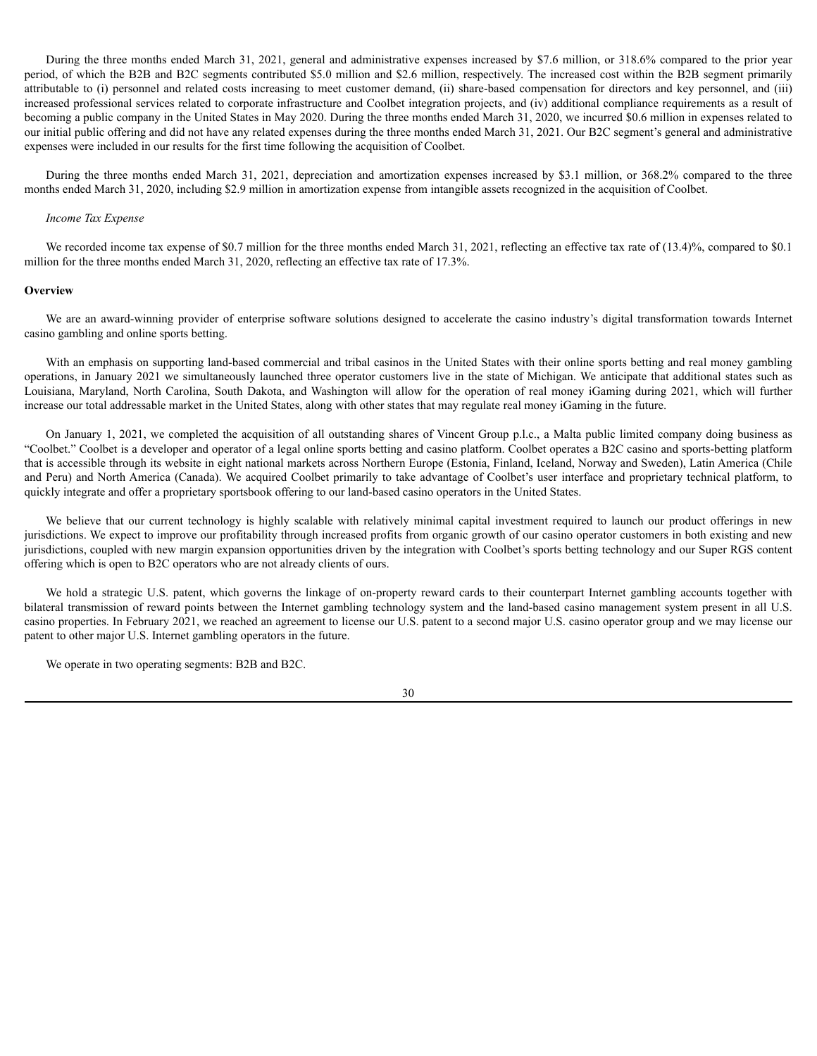During the three months ended March 31, 2021, general and administrative expenses increased by \$7.6 million, or 318.6% compared to the prior year period, of which the B2B and B2C segments contributed \$5.0 million and \$2.6 million, respectively. The increased cost within the B2B segment primarily attributable to (i) personnel and related costs increasing to meet customer demand, (ii) share-based compensation for directors and key personnel, and (iii) increased professional services related to corporate infrastructure and Coolbet integration projects, and (iv) additional compliance requirements as a result of becoming a public company in the United States in May 2020. During the three months ended March 31, 2020, we incurred \$0.6 million in expenses related to our initial public offering and did not have any related expenses during the three months ended March 31, 2021. Our B2C segment's general and administrative expenses were included in our results for the first time following the acquisition of Coolbet.

During the three months ended March 31, 2021, depreciation and amortization expenses increased by \$3.1 million, or 368.2% compared to the three months ended March 31, 2020, including \$2.9 million in amortization expense from intangible assets recognized in the acquisition of Coolbet.

# *Income Tax Expense*

We recorded income tax expense of \$0.7 million for the three months ended March 31, 2021, reflecting an effective tax rate of (13.4)%, compared to \$0.1 million for the three months ended March 31, 2020, reflecting an effective tax rate of 17.3%.

### **Overview**

We are an award-winning provider of enterprise software solutions designed to accelerate the casino industry's digital transformation towards Internet casino gambling and online sports betting.

With an emphasis on supporting land-based commercial and tribal casinos in the United States with their online sports betting and real money gambling operations, in January 2021 we simultaneously launched three operator customers live in the state of Michigan. We anticipate that additional states such as Louisiana, Maryland, North Carolina, South Dakota, and Washington will allow for the operation of real money iGaming during 2021, which will further increase our total addressable market in the United States, along with other states that may regulate real money iGaming in the future.

On January 1, 2021, we completed the acquisition of all outstanding shares of Vincent Group p.l.c., a Malta public limited company doing business as "Coolbet." Coolbet is a developer and operator of a legal online sports betting and casino platform. Coolbet operates a B2C casino and sports-betting platform that is accessible through its website in eight national markets across Northern Europe (Estonia, Finland, Iceland, Norway and Sweden), Latin America (Chile and Peru) and North America (Canada). We acquired Coolbet primarily to take advantage of Coolbet's user interface and proprietary technical platform, to quickly integrate and offer a proprietary sportsbook offering to our land-based casino operators in the United States.

We believe that our current technology is highly scalable with relatively minimal capital investment required to launch our product offerings in new jurisdictions. We expect to improve our profitability through increased profits from organic growth of our casino operator customers in both existing and new jurisdictions, coupled with new margin expansion opportunities driven by the integration with Coolbet's sports betting technology and our Super RGS content offering which is open to B2C operators who are not already clients of ours.

We hold a strategic U.S. patent, which governs the linkage of on-property reward cards to their counterpart Internet gambling accounts together with bilateral transmission of reward points between the Internet gambling technology system and the land-based casino management system present in all U.S. casino properties. In February 2021, we reached an agreement to license our U.S. patent to a second major U.S. casino operator group and we may license our patent to other major U.S. Internet gambling operators in the future.

We operate in two operating segments: B2B and B2C.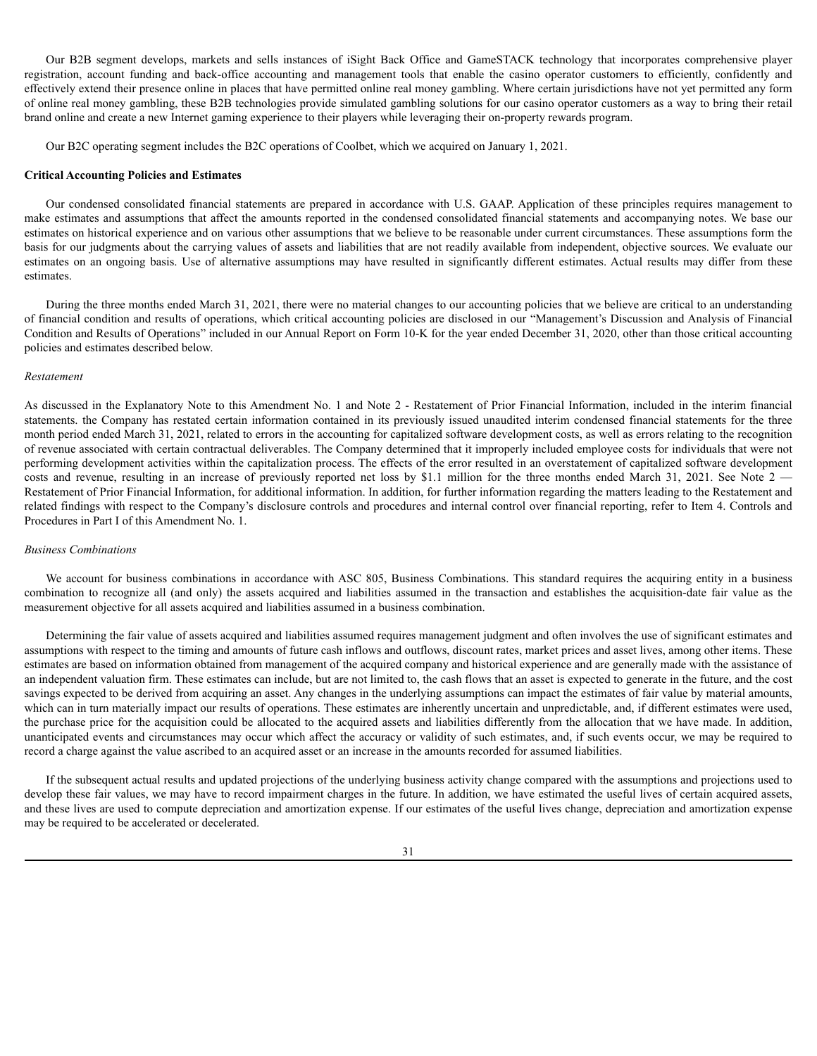Our B2B segment develops, markets and sells instances of iSight Back Office and GameSTACK technology that incorporates comprehensive player registration, account funding and back-office accounting and management tools that enable the casino operator customers to efficiently, confidently and effectively extend their presence online in places that have permitted online real money gambling. Where certain jurisdictions have not yet permitted any form of online real money gambling, these B2B technologies provide simulated gambling solutions for our casino operator customers as a way to bring their retail brand online and create a new Internet gaming experience to their players while leveraging their on-property rewards program.

Our B2C operating segment includes the B2C operations of Coolbet, which we acquired on January 1, 2021.

### **Critical Accounting Policies and Estimates**

Our condensed consolidated financial statements are prepared in accordance with U.S. GAAP. Application of these principles requires management to make estimates and assumptions that affect the amounts reported in the condensed consolidated financial statements and accompanying notes. We base our estimates on historical experience and on various other assumptions that we believe to be reasonable under current circumstances. These assumptions form the basis for our judgments about the carrying values of assets and liabilities that are not readily available from independent, objective sources. We evaluate our estimates on an ongoing basis. Use of alternative assumptions may have resulted in significantly different estimates. Actual results may differ from these estimates.

During the three months ended March 31, 2021, there were no material changes to our accounting policies that we believe are critical to an understanding of financial condition and results of operations, which critical accounting policies are disclosed in our "Management's Discussion and Analysis of Financial Condition and Results of Operations" included in our Annual Report on Form 10-K for the year ended December 31, 2020, other than those critical accounting policies and estimates described below.

### *Restatement*

As discussed in the Explanatory Note to this Amendment No. 1 and Note 2 - Restatement of Prior Financial Information, included in the interim financial statements. the Company has restated certain information contained in its previously issued unaudited interim condensed financial statements for the three month period ended March 31, 2021, related to errors in the accounting for capitalized software development costs, as well as errors relating to the recognition of revenue associated with certain contractual deliverables. The Company determined that it improperly included employee costs for individuals that were not performing development activities within the capitalization process. The effects of the error resulted in an overstatement of capitalized software development costs and revenue, resulting in an increase of previously reported net loss by \$1.1 million for the three months ended March 31, 2021. See Note 2 — Restatement of Prior Financial Information, for additional information. In addition, for further information regarding the matters leading to the Restatement and related findings with respect to the Company's disclosure controls and procedures and internal control over financial reporting, refer to Item 4. Controls and Procedures in Part I of this Amendment No. 1.

### *Business Combinations*

We account for business combinations in accordance with ASC 805, Business Combinations. This standard requires the acquiring entity in a business combination to recognize all (and only) the assets acquired and liabilities assumed in the transaction and establishes the acquisition-date fair value as the measurement objective for all assets acquired and liabilities assumed in a business combination.

Determining the fair value of assets acquired and liabilities assumed requires management judgment and often involves the use of significant estimates and assumptions with respect to the timing and amounts of future cash inflows and outflows, discount rates, market prices and asset lives, among other items. These estimates are based on information obtained from management of the acquired company and historical experience and are generally made with the assistance of an independent valuation firm. These estimates can include, but are not limited to, the cash flows that an asset is expected to generate in the future, and the cost savings expected to be derived from acquiring an asset. Any changes in the underlying assumptions can impact the estimates of fair value by material amounts, which can in turn materially impact our results of operations. These estimates are inherently uncertain and unpredictable, and, if different estimates were used, the purchase price for the acquisition could be allocated to the acquired assets and liabilities differently from the allocation that we have made. In addition, unanticipated events and circumstances may occur which affect the accuracy or validity of such estimates, and, if such events occur, we may be required to record a charge against the value ascribed to an acquired asset or an increase in the amounts recorded for assumed liabilities.

If the subsequent actual results and updated projections of the underlying business activity change compared with the assumptions and projections used to develop these fair values, we may have to record impairment charges in the future. In addition, we have estimated the useful lives of certain acquired assets, and these lives are used to compute depreciation and amortization expense. If our estimates of the useful lives change, depreciation and amortization expense may be required to be accelerated or decelerated.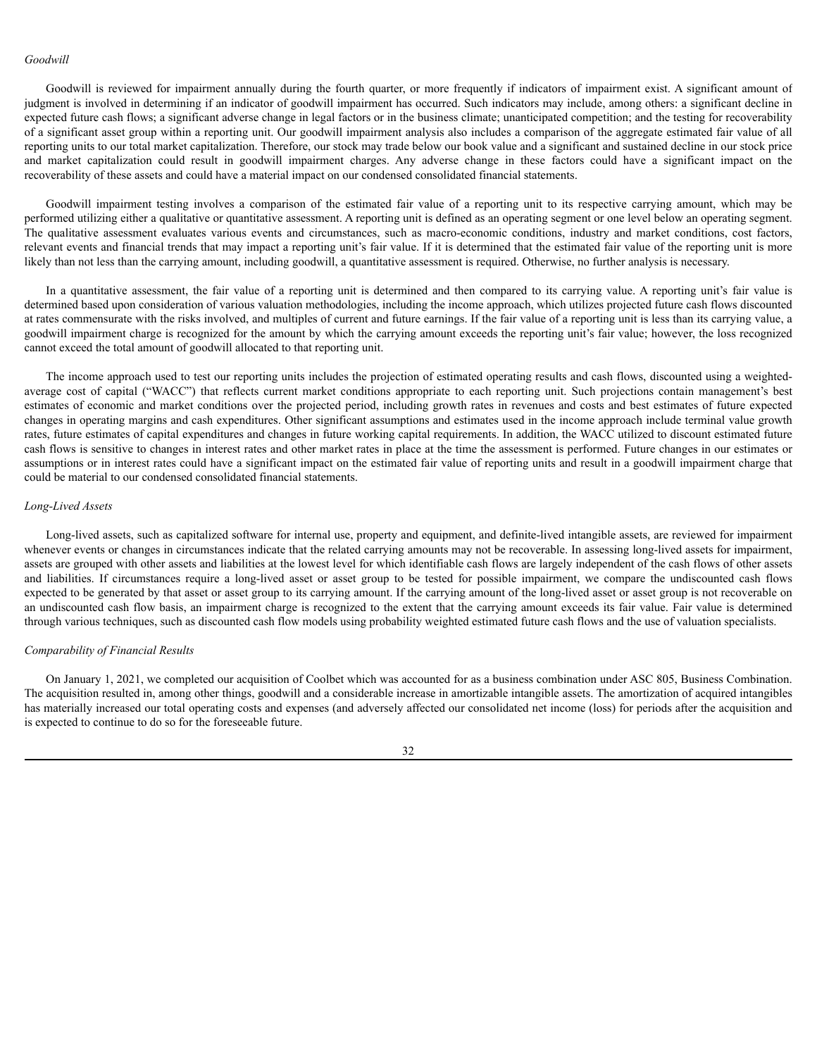### *Goodwill*

Goodwill is reviewed for impairment annually during the fourth quarter, or more frequently if indicators of impairment exist. A significant amount of judgment is involved in determining if an indicator of goodwill impairment has occurred. Such indicators may include, among others: a significant decline in expected future cash flows; a significant adverse change in legal factors or in the business climate; unanticipated competition; and the testing for recoverability of a significant asset group within a reporting unit. Our goodwill impairment analysis also includes a comparison of the aggregate estimated fair value of all reporting units to our total market capitalization. Therefore, our stock may trade below our book value and a significant and sustained decline in our stock price and market capitalization could result in goodwill impairment charges. Any adverse change in these factors could have a significant impact on the recoverability of these assets and could have a material impact on our condensed consolidated financial statements.

Goodwill impairment testing involves a comparison of the estimated fair value of a reporting unit to its respective carrying amount, which may be performed utilizing either a qualitative or quantitative assessment. A reporting unit is defined as an operating segment or one level below an operating segment. The qualitative assessment evaluates various events and circumstances, such as macro-economic conditions, industry and market conditions, cost factors, relevant events and financial trends that may impact a reporting unit's fair value. If it is determined that the estimated fair value of the reporting unit is more likely than not less than the carrying amount, including goodwill, a quantitative assessment is required. Otherwise, no further analysis is necessary.

In a quantitative assessment, the fair value of a reporting unit is determined and then compared to its carrying value. A reporting unit's fair value is determined based upon consideration of various valuation methodologies, including the income approach, which utilizes projected future cash flows discounted at rates commensurate with the risks involved, and multiples of current and future earnings. If the fair value of a reporting unit is less than its carrying value, a goodwill impairment charge is recognized for the amount by which the carrying amount exceeds the reporting unit's fair value; however, the loss recognized cannot exceed the total amount of goodwill allocated to that reporting unit.

The income approach used to test our reporting units includes the projection of estimated operating results and cash flows, discounted using a weightedaverage cost of capital ("WACC") that reflects current market conditions appropriate to each reporting unit. Such projections contain management's best estimates of economic and market conditions over the projected period, including growth rates in revenues and costs and best estimates of future expected changes in operating margins and cash expenditures. Other significant assumptions and estimates used in the income approach include terminal value growth rates, future estimates of capital expenditures and changes in future working capital requirements. In addition, the WACC utilized to discount estimated future cash flows is sensitive to changes in interest rates and other market rates in place at the time the assessment is performed. Future changes in our estimates or assumptions or in interest rates could have a significant impact on the estimated fair value of reporting units and result in a goodwill impairment charge that could be material to our condensed consolidated financial statements.

### *Long-Lived Assets*

Long-lived assets, such as capitalized software for internal use, property and equipment, and definite-lived intangible assets, are reviewed for impairment whenever events or changes in circumstances indicate that the related carrying amounts may not be recoverable. In assessing long-lived assets for impairment, assets are grouped with other assets and liabilities at the lowest level for which identifiable cash flows are largely independent of the cash flows of other assets and liabilities. If circumstances require a long-lived asset or asset group to be tested for possible impairment, we compare the undiscounted cash flows expected to be generated by that asset or asset group to its carrying amount. If the carrying amount of the long-lived asset or asset group is not recoverable on an undiscounted cash flow basis, an impairment charge is recognized to the extent that the carrying amount exceeds its fair value. Fair value is determined through various techniques, such as discounted cash flow models using probability weighted estimated future cash flows and the use of valuation specialists.

### *Comparability of Financial Results*

On January 1, 2021, we completed our acquisition of Coolbet which was accounted for as a business combination under ASC 805, Business Combination. The acquisition resulted in, among other things, goodwill and a considerable increase in amortizable intangible assets. The amortization of acquired intangibles has materially increased our total operating costs and expenses (and adversely affected our consolidated net income (loss) for periods after the acquisition and is expected to continue to do so for the foreseeable future.

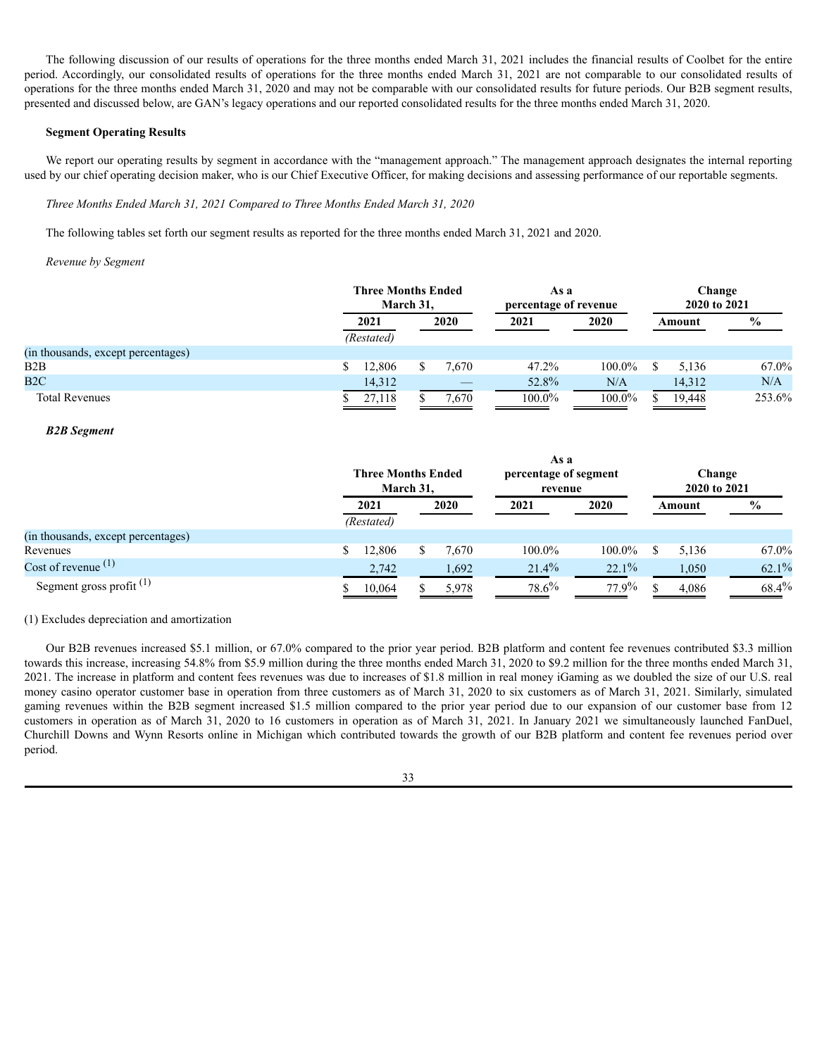The following discussion of our results of operations for the three months ended March 31, 2021 includes the financial results of Coolbet for the entire period. Accordingly, our consolidated results of operations for the three months ended March 31, 2021 are not comparable to our consolidated results of operations for the three months ended March 31, 2020 and may not be comparable with our consolidated results for future periods. Our B2B segment results, presented and discussed below, are GAN's legacy operations and our reported consolidated results for the three months ended March 31, 2020.

### **Segment Operating Results**

We report our operating results by segment in accordance with the "management approach." The management approach designates the internal reporting used by our chief operating decision maker, who is our Chief Executive Officer, for making decisions and assessing performance of our reportable segments.

*Three Months Ended March 31, 2021 Compared to Three Months Ended March 31, 2020*

The following tables set forth our segment results as reported for the three months ended March 31, 2021 and 2020.

# *Revenue by Segment*

|                                    | <b>Three Months Ended</b><br>March 31, |  |       | As a<br>percentage of revenue |           | Change<br>2020 to 2021 |        |               |
|------------------------------------|----------------------------------------|--|-------|-------------------------------|-----------|------------------------|--------|---------------|
|                                    | 2021<br>(Restated)                     |  | 2020  | 2021                          | 2020      |                        | Amount | $\frac{6}{9}$ |
| (in thousands, except percentages) |                                        |  |       |                               |           |                        |        |               |
| B2B                                | 12,806                                 |  | 7,670 | 47.2%                         | 100.0%    |                        | 5,136  | 67.0%         |
| B2C                                | 14,312                                 |  | __    | 52.8%                         | N/A       |                        | 14,312 | N/A           |
| <b>Total Revenues</b>              | 27,118                                 |  | 7,670 | $100.0\%$                     | $100.0\%$ |                        | 19,448 | 253.6%        |

# *B2B Segment*

|                                    | <b>Three Months Ended</b><br>March 31. |  |       | As a<br>percentage of segment<br>revenue |        |  | Change<br>2020 to 2021 |               |  |
|------------------------------------|----------------------------------------|--|-------|------------------------------------------|--------|--|------------------------|---------------|--|
|                                    | 2021<br>(Restated)                     |  | 2020  | 2021                                     | 2020   |  | Amount                 | $\frac{0}{0}$ |  |
| (in thousands, except percentages) |                                        |  |       |                                          |        |  |                        |               |  |
| Revenues                           | 12,806                                 |  | 7,670 | 100.0%                                   | 100.0% |  | 5,136                  | 67.0%         |  |
| Cost of revenue $(1)$              | 2,742                                  |  | 1,692 | 21.4%                                    | 22.1%  |  | 1,050                  | 62.1%         |  |
| Segment gross profit $(1)$         | 10,064                                 |  | 5,978 | 78.6%                                    | 77.9%  |  | 4,086                  | $68.4\%$      |  |

(1) Excludes depreciation and amortization

Our B2B revenues increased \$5.1 million, or 67.0% compared to the prior year period. B2B platform and content fee revenues contributed \$3.3 million towards this increase, increasing 54.8% from \$5.9 million during the three months ended March 31, 2020 to \$9.2 million for the three months ended March 31, 2021. The increase in platform and content fees revenues was due to increases of \$1.8 million in real money iGaming as we doubled the size of our U.S. real money casino operator customer base in operation from three customers as of March 31, 2020 to six customers as of March 31, 2021. Similarly, simulated gaming revenues within the B2B segment increased \$1.5 million compared to the prior year period due to our expansion of our customer base from 12 customers in operation as of March 31, 2020 to 16 customers in operation as of March 31, 2021. In January 2021 we simultaneously launched FanDuel, Churchill Downs and Wynn Resorts online in Michigan which contributed towards the growth of our B2B platform and content fee revenues period over period.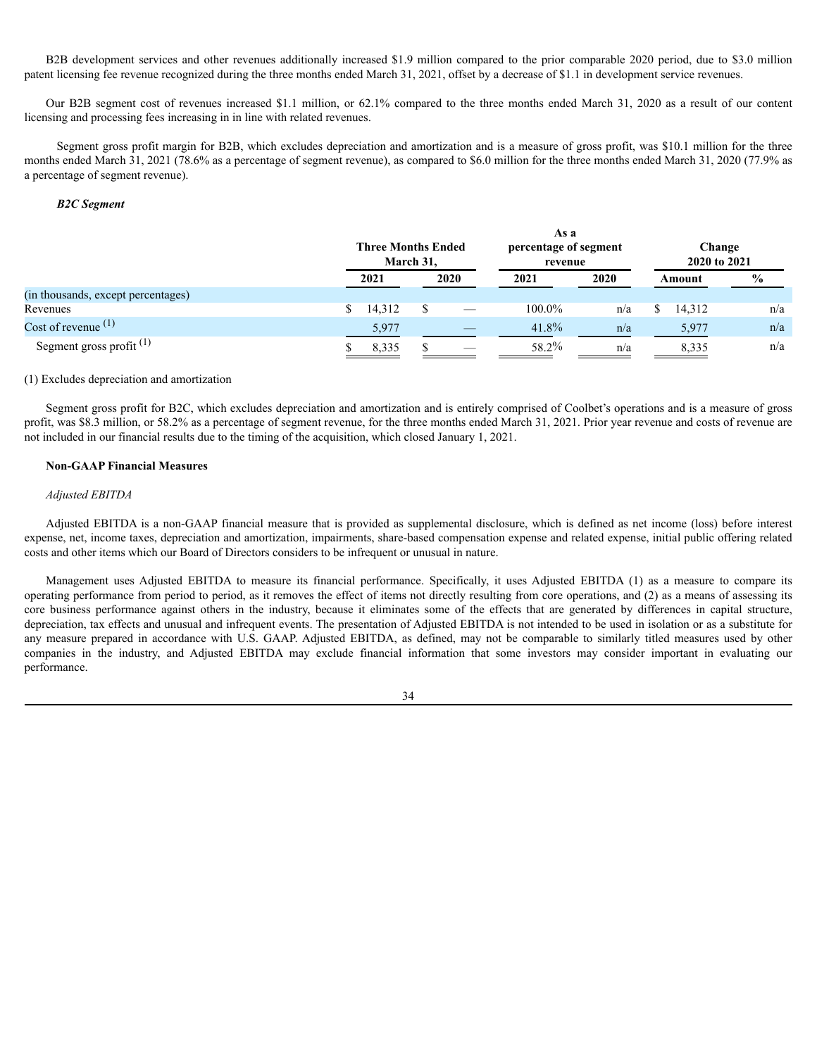B2B development services and other revenues additionally increased \$1.9 million compared to the prior comparable 2020 period, due to \$3.0 million patent licensing fee revenue recognized during the three months ended March 31, 2021, offset by a decrease of \$1.1 in development service revenues.

Our B2B segment cost of revenues increased \$1.1 million, or 62.1% compared to the three months ended March 31, 2020 as a result of our content licensing and processing fees increasing in in line with related revenues.

Segment gross profit margin for B2B, which excludes depreciation and amortization and is a measure of gross profit, was \$10.1 million for the three months ended March 31, 2021 (78.6% as a percentage of segment revenue), as compared to \$6.0 million for the three months ended March 31, 2020 (77.9% as a percentage of segment revenue).

# *B2C Segment*

|                                    |      | <b>Three Months Ended</b><br>March 31, |      |  | As a<br>percentage of segment<br>revenue |      | Change<br>2020 to 2021 |        |               |  |
|------------------------------------|------|----------------------------------------|------|--|------------------------------------------|------|------------------------|--------|---------------|--|
|                                    | 2021 |                                        | 2020 |  | 2021                                     | 2020 | Amount                 |        | $\frac{6}{9}$ |  |
| (in thousands, except percentages) |      |                                        |      |  |                                          |      |                        |        |               |  |
| Revenues                           |      | 14,312                                 |      |  | 100.0%                                   | n/a  |                        | 14,312 | n/a           |  |
| Cost of revenue $(1)$              |      | 5,977                                  |      |  | $41.8\%$                                 | n/a  |                        | 5,977  | n/a           |  |
| Segment gross profit $(1)$         |      | 8,335                                  |      |  | 58.2%                                    | n/a  |                        | 8,335  | n/a           |  |

# (1) Excludes depreciation and amortization

Segment gross profit for B2C, which excludes depreciation and amortization and is entirely comprised of Coolbet's operations and is a measure of gross profit, was \$8.3 million, or 58.2% as a percentage of segment revenue, for the three months ended March 31, 2021. Prior year revenue and costs of revenue are not included in our financial results due to the timing of the acquisition, which closed January 1, 2021.

# **Non-GAAP Financial Measures**

# *Adjusted EBITDA*

Adjusted EBITDA is a non-GAAP financial measure that is provided as supplemental disclosure, which is defined as net income (loss) before interest expense, net, income taxes, depreciation and amortization, impairments, share-based compensation expense and related expense, initial public offering related costs and other items which our Board of Directors considers to be infrequent or unusual in nature.

Management uses Adjusted EBITDA to measure its financial performance. Specifically, it uses Adjusted EBITDA (1) as a measure to compare its operating performance from period to period, as it removes the effect of items not directly resulting from core operations, and (2) as a means of assessing its core business performance against others in the industry, because it eliminates some of the effects that are generated by differences in capital structure, depreciation, tax effects and unusual and infrequent events. The presentation of Adjusted EBITDA is not intended to be used in isolation or as a substitute for any measure prepared in accordance with U.S. GAAP. Adjusted EBITDA, as defined, may not be comparable to similarly titled measures used by other companies in the industry, and Adjusted EBITDA may exclude financial information that some investors may consider important in evaluating our performance.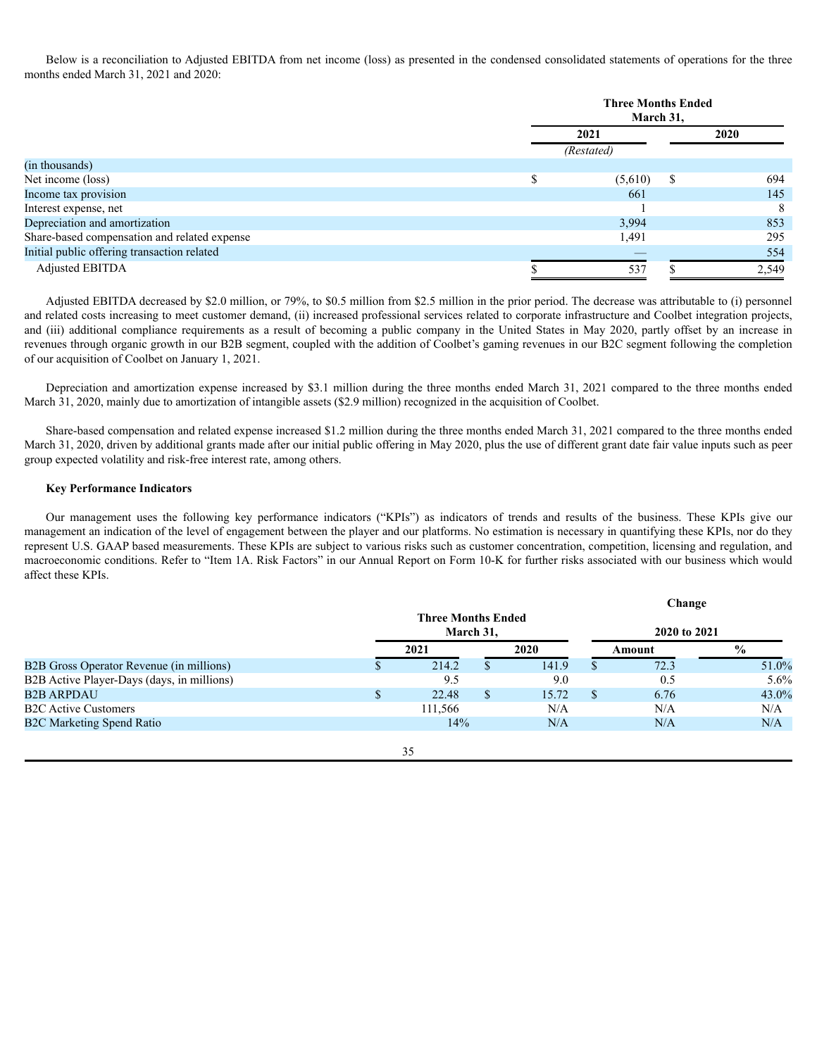Below is a reconciliation to Adjusted EBITDA from net income (loss) as presented in the condensed consolidated statements of operations for the three months ended March 31, 2021 and 2020:

|                                              |      | <b>Three Months Ended</b><br>March 31, |   |             |  |  |
|----------------------------------------------|------|----------------------------------------|---|-------------|--|--|
|                                              | 2021 |                                        |   | <b>2020</b> |  |  |
|                                              |      | (Restated)                             |   |             |  |  |
| (in thousands)                               |      |                                        |   |             |  |  |
| Net income (loss)                            |      | (5,610)                                | S | 694         |  |  |
| Income tax provision                         |      | 661                                    |   | 145         |  |  |
| Interest expense, net                        |      |                                        |   | 8           |  |  |
| Depreciation and amortization                |      | 3.994                                  |   | 853         |  |  |
| Share-based compensation and related expense |      | 1,491                                  |   | 295         |  |  |
| Initial public offering transaction related  |      |                                        |   | 554         |  |  |
| <b>Adjusted EBITDA</b>                       |      | 537                                    |   | 2,549       |  |  |

Adjusted EBITDA decreased by \$2.0 million, or 79%, to \$0.5 million from \$2.5 million in the prior period. The decrease was attributable to (i) personnel and related costs increasing to meet customer demand, (ii) increased professional services related to corporate infrastructure and Coolbet integration projects, and (iii) additional compliance requirements as a result of becoming a public company in the United States in May 2020, partly offset by an increase in revenues through organic growth in our B2B segment, coupled with the addition of Coolbet's gaming revenues in our B2C segment following the completion of our acquisition of Coolbet on January 1, 2021.

Depreciation and amortization expense increased by \$3.1 million during the three months ended March 31, 2021 compared to the three months ended March 31, 2020, mainly due to amortization of intangible assets (\$2.9 million) recognized in the acquisition of Coolbet.

Share-based compensation and related expense increased \$1.2 million during the three months ended March 31, 2021 compared to the three months ended March 31, 2020, driven by additional grants made after our initial public offering in May 2020, plus the use of different grant date fair value inputs such as peer group expected volatility and risk-free interest rate, among others.

### **Key Performance Indicators**

Our management uses the following key performance indicators ("KPIs") as indicators of trends and results of the business. These KPIs give our management an indication of the level of engagement between the player and our platforms. No estimation is necessary in quantifying these KPIs, nor do they represent U.S. GAAP based measurements. These KPIs are subject to various risks such as customer concentration, competition, licensing and regulation, and macroeconomic conditions. Refer to "Item 1A. Risk Factors" in our Annual Report on Form 10-K for further risks associated with our business which would affect these KPIs.

|                                            |    |                                        |    |       |               | Change       |               |
|--------------------------------------------|----|----------------------------------------|----|-------|---------------|--------------|---------------|
|                                            |    | <b>Three Months Ended</b><br>March 31, |    |       |               |              |               |
|                                            |    |                                        |    |       |               | 2020 to 2021 |               |
|                                            |    | 2021                                   |    | 2020  |               | Amount       | $\frac{6}{9}$ |
| B2B Gross Operator Revenue (in millions)   |    | 214.2                                  |    | 141.9 | Ъ.            | 72.3         | 51.0%         |
| B2B Active Player-Days (days, in millions) |    | 9.5                                    |    | 9.0   |               | 0.5          | $5.6\%$       |
| <b>B2B ARPDAU</b>                          | \$ | 22.48                                  | S. | 15.72 | <sup>\$</sup> | 6.76         | $43.0\%$      |
| <b>B2C Active Customers</b>                |    | 111,566                                |    | N/A   |               | N/A          | N/A           |
| <b>B2C Marketing Spend Ratio</b>           |    | 14%                                    |    | N/A   |               | N/A          | N/A           |
|                                            |    |                                        |    |       |               |              |               |
|                                            |    | 35                                     |    |       |               |              |               |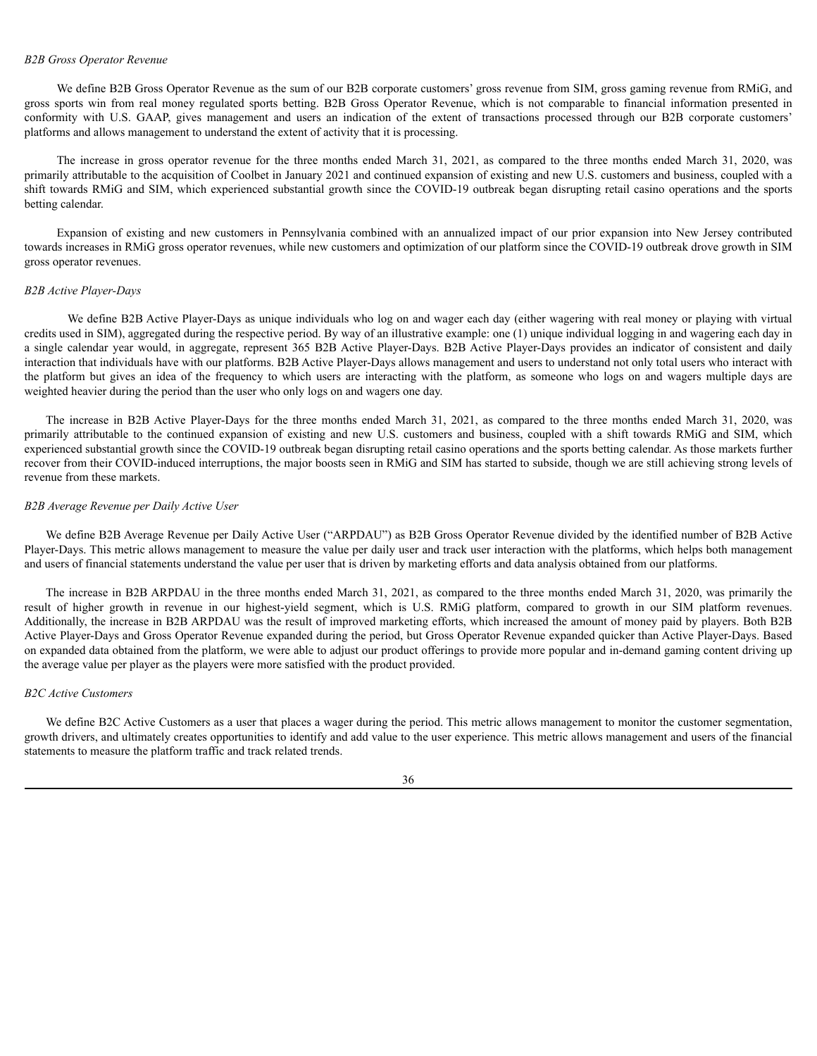#### *B2B Gross Operator Revenue*

We define B2B Gross Operator Revenue as the sum of our B2B corporate customers' gross revenue from SIM, gross gaming revenue from RMiG, and gross sports win from real money regulated sports betting. B2B Gross Operator Revenue, which is not comparable to financial information presented in conformity with U.S. GAAP, gives management and users an indication of the extent of transactions processed through our B2B corporate customers' platforms and allows management to understand the extent of activity that it is processing.

The increase in gross operator revenue for the three months ended March 31, 2021, as compared to the three months ended March 31, 2020, was primarily attributable to the acquisition of Coolbet in January 2021 and continued expansion of existing and new U.S. customers and business, coupled with a shift towards RMiG and SIM, which experienced substantial growth since the COVID-19 outbreak began disrupting retail casino operations and the sports betting calendar.

Expansion of existing and new customers in Pennsylvania combined with an annualized impact of our prior expansion into New Jersey contributed towards increases in RMiG gross operator revenues, while new customers and optimization of our platform since the COVID-19 outbreak drove growth in SIM gross operator revenues.

### *B2B Active Player-Days*

We define B2B Active Player-Days as unique individuals who log on and wager each day (either wagering with real money or playing with virtual credits used in SIM), aggregated during the respective period. By way of an illustrative example: one (1) unique individual logging in and wagering each day in a single calendar year would, in aggregate, represent 365 B2B Active Player-Days. B2B Active Player-Days provides an indicator of consistent and daily interaction that individuals have with our platforms. B2B Active Player-Days allows management and users to understand not only total users who interact with the platform but gives an idea of the frequency to which users are interacting with the platform, as someone who logs on and wagers multiple days are weighted heavier during the period than the user who only logs on and wagers one day.

The increase in B2B Active Player-Days for the three months ended March 31, 2021, as compared to the three months ended March 31, 2020, was primarily attributable to the continued expansion of existing and new U.S. customers and business, coupled with a shift towards RMiG and SIM, which experienced substantial growth since the COVID-19 outbreak began disrupting retail casino operations and the sports betting calendar. As those markets further recover from their COVID-induced interruptions, the major boosts seen in RMiG and SIM has started to subside, though we are still achieving strong levels of revenue from these markets.

### *B2B Average Revenue per Daily Active User*

We define B2B Average Revenue per Daily Active User ("ARPDAU") as B2B Gross Operator Revenue divided by the identified number of B2B Active Player-Days. This metric allows management to measure the value per daily user and track user interaction with the platforms, which helps both management and users of financial statements understand the value per user that is driven by marketing efforts and data analysis obtained from our platforms.

The increase in B2B ARPDAU in the three months ended March 31, 2021, as compared to the three months ended March 31, 2020, was primarily the result of higher growth in revenue in our highest-yield segment, which is U.S. RMiG platform, compared to growth in our SIM platform revenues. Additionally, the increase in B2B ARPDAU was the result of improved marketing efforts, which increased the amount of money paid by players. Both B2B Active Player-Days and Gross Operator Revenue expanded during the period, but Gross Operator Revenue expanded quicker than Active Player-Days. Based on expanded data obtained from the platform, we were able to adjust our product offerings to provide more popular and in-demand gaming content driving up the average value per player as the players were more satisfied with the product provided.

### *B2C Active Customers*

We define B2C Active Customers as a user that places a wager during the period. This metric allows management to monitor the customer segmentation, growth drivers, and ultimately creates opportunities to identify and add value to the user experience. This metric allows management and users of the financial statements to measure the platform traffic and track related trends.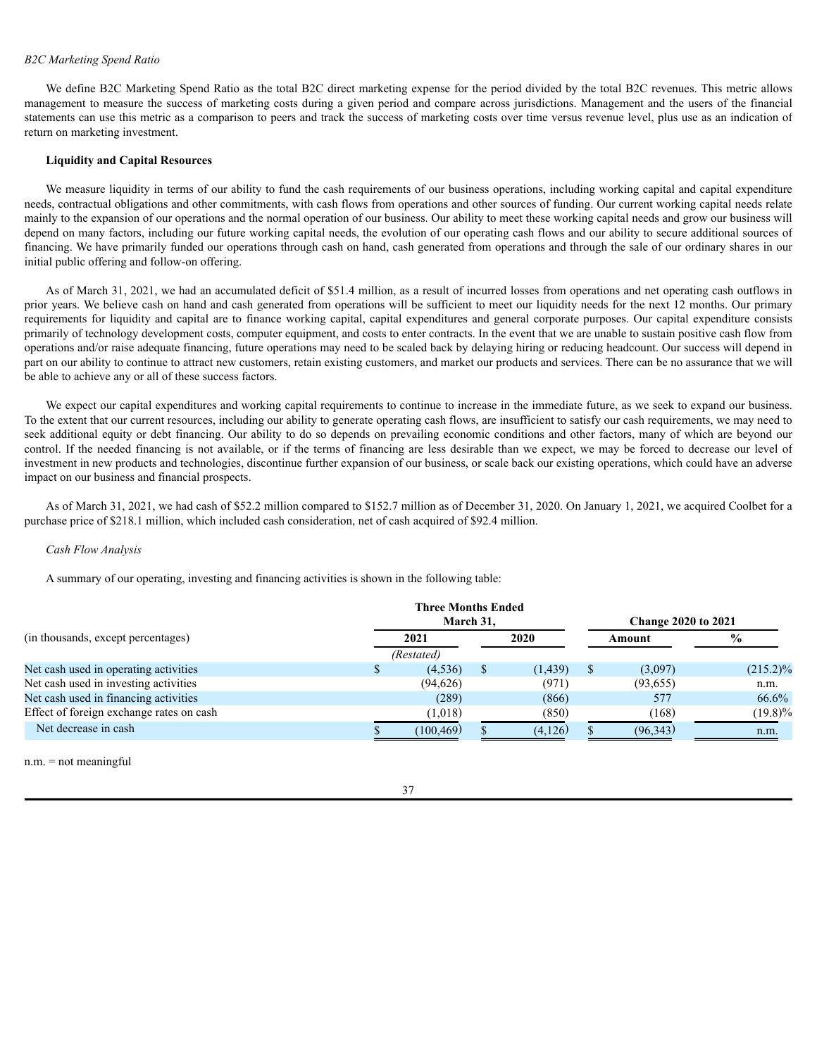### *B2C Marketing Spend Ratio*

We define B2C Marketing Spend Ratio as the total B2C direct marketing expense for the period divided by the total B2C revenues. This metric allows management to measure the success of marketing costs during a given period and compare across jurisdictions. Management and the users of the financial statements can use this metric as a comparison to peers and track the success of marketing costs over time versus revenue level, plus use as an indication of return on marketing investment.

### **Liquidity and Capital Resources**

We measure liquidity in terms of our ability to fund the cash requirements of our business operations, including working capital and capital expenditure needs, contractual obligations and other commitments, with cash flows from operations and other sources of funding. Our current working capital needs relate mainly to the expansion of our operations and the normal operation of our business. Our ability to meet these working capital needs and grow our business will depend on many factors, including our future working capital needs, the evolution of our operating cash flows and our ability to secure additional sources of financing. We have primarily funded our operations through cash on hand, cash generated from operations and through the sale of our ordinary shares in our initial public offering and follow-on offering.

As of March 31, 2021, we had an accumulated deficit of \$51.4 million, as a result of incurred losses from operations and net operating cash outflows in prior years. We believe cash on hand and cash generated from operations will be sufficient to meet our liquidity needs for the next 12 months. Our primary requirements for liquidity and capital are to finance working capital, capital expenditures and general corporate purposes. Our capital expenditure consists primarily of technology development costs, computer equipment, and costs to enter contracts. In the event that we are unable to sustain positive cash flow from operations and/or raise adequate financing, future operations may need to be scaled back by delaying hiring or reducing headcount. Our success will depend in part on our ability to continue to attract new customers, retain existing customers, and market our products and services. There can be no assurance that we will be able to achieve any or all of these success factors.

We expect our capital expenditures and working capital requirements to continue to increase in the immediate future, as we seek to expand our business. To the extent that our current resources, including our ability to generate operating cash flows, are insufficient to satisfy our cash requirements, we may need to seek additional equity or debt financing. Our ability to do so depends on prevailing economic conditions and other factors, many of which are beyond our control. If the needed financing is not available, or if the terms of financing are less desirable than we expect, we may be forced to decrease our level of investment in new products and technologies, discontinue further expansion of our business, or scale back our existing operations, which could have an adverse impact on our business and financial prospects.

As of March 31, 2021, we had cash of \$52.2 million compared to \$152.7 million as of December 31, 2020. On January 1, 2021, we acquired Coolbet for a purchase price of \$218.1 million, which included cash consideration, net of cash acquired of \$92.4 million.

### *Cash Flow Analysis*

A summary of our operating, investing and financing activities is shown in the following table:

|                                          | <b>Three Months Ended</b> |  |                            |  |           |               |
|------------------------------------------|---------------------------|--|----------------------------|--|-----------|---------------|
|                                          | March 31.                 |  | <b>Change 2020 to 2021</b> |  |           |               |
| (in thousands, except percentages)       | 2021                      |  | 2020                       |  | Amount    | $\frac{0}{0}$ |
|                                          | (Restated)                |  |                            |  |           |               |
| Net cash used in operating activities    | (4,536)                   |  | (1, 439)                   |  | (3,097)   | $(215.2)\%$   |
| Net cash used in investing activities    | (94, 626)                 |  | (971)                      |  | (93,655)  | n.m.          |
| Net cash used in financing activities    | (289)                     |  | (866)                      |  | 577       | 66.6%         |
| Effect of foreign exchange rates on cash | (1,018)                   |  | (850)                      |  | (168)     | $(19.8)\%$    |
| Net decrease in cash                     | (100, 469)                |  | (4,126)                    |  | (96, 343) | n.m.          |

n.m. = not meaningful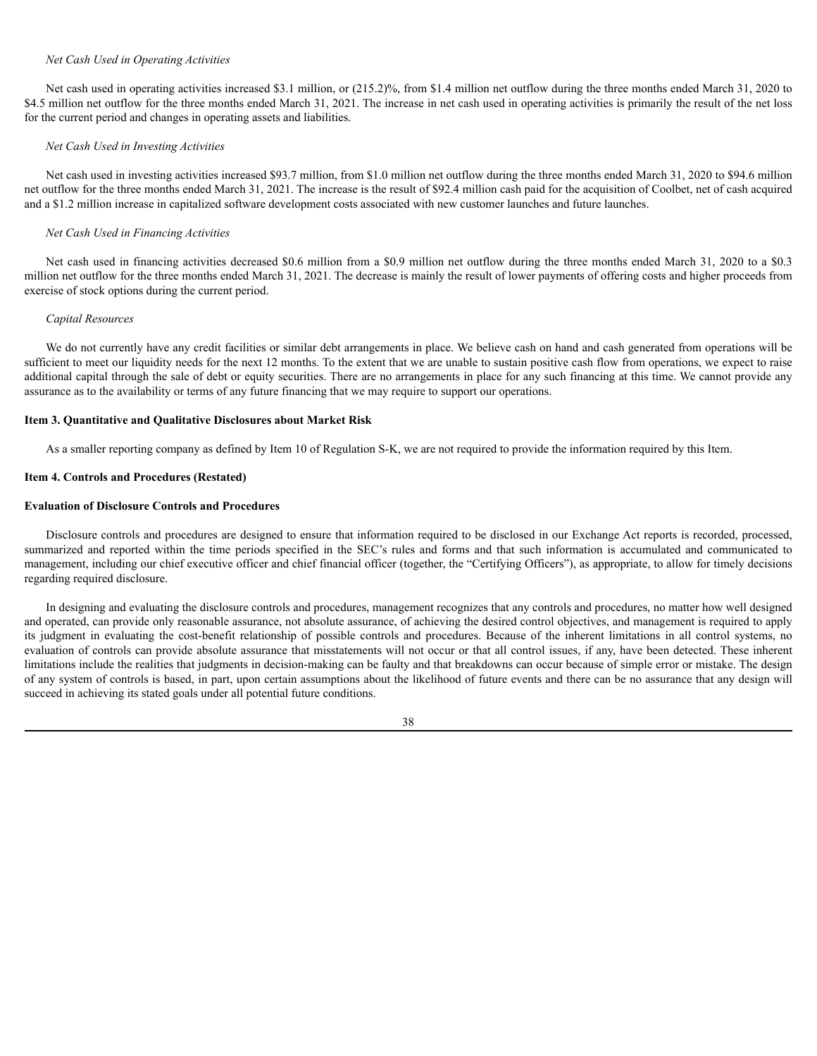### *Net Cash Used in Operating Activities*

Net cash used in operating activities increased \$3.1 million, or (215.2)%, from \$1.4 million net outflow during the three months ended March 31, 2020 to \$4.5 million net outflow for the three months ended March 31, 2021. The increase in net cash used in operating activities is primarily the result of the net loss for the current period and changes in operating assets and liabilities.

### *Net Cash Used in Investing Activities*

Net cash used in investing activities increased \$93.7 million, from \$1.0 million net outflow during the three months ended March 31, 2020 to \$94.6 million net outflow for the three months ended March 31, 2021. The increase is the result of \$92.4 million cash paid for the acquisition of Coolbet, net of cash acquired and a \$1.2 million increase in capitalized software development costs associated with new customer launches and future launches.

### *Net Cash Used in Financing Activities*

Net cash used in financing activities decreased \$0.6 million from a \$0.9 million net outflow during the three months ended March 31, 2020 to a \$0.3 million net outflow for the three months ended March 31, 2021. The decrease is mainly the result of lower payments of offering costs and higher proceeds from exercise of stock options during the current period.

### *Capital Resources*

We do not currently have any credit facilities or similar debt arrangements in place. We believe cash on hand and cash generated from operations will be sufficient to meet our liquidity needs for the next 12 months. To the extent that we are unable to sustain positive cash flow from operations, we expect to raise additional capital through the sale of debt or equity securities. There are no arrangements in place for any such financing at this time. We cannot provide any assurance as to the availability or terms of any future financing that we may require to support our operations.

# **Item 3. Quantitative and Qualitative Disclosures about Market Risk**

As a smaller reporting company as defined by Item 10 of Regulation S-K, we are not required to provide the information required by this Item.

### <span id="page-38-0"></span>**Item 4. Controls and Procedures (Restated)**

### **Evaluation of Disclosure Controls and Procedures**

Disclosure controls and procedures are designed to ensure that information required to be disclosed in our Exchange Act reports is recorded, processed, summarized and reported within the time periods specified in the SEC's rules and forms and that such information is accumulated and communicated to management, including our chief executive officer and chief financial officer (together, the "Certifying Officers"), as appropriate, to allow for timely decisions regarding required disclosure.

In designing and evaluating the disclosure controls and procedures, management recognizes that any controls and procedures, no matter how well designed and operated, can provide only reasonable assurance, not absolute assurance, of achieving the desired control objectives, and management is required to apply its judgment in evaluating the cost-benefit relationship of possible controls and procedures. Because of the inherent limitations in all control systems, no evaluation of controls can provide absolute assurance that misstatements will not occur or that all control issues, if any, have been detected. These inherent limitations include the realities that judgments in decision-making can be faulty and that breakdowns can occur because of simple error or mistake. The design of any system of controls is based, in part, upon certain assumptions about the likelihood of future events and there can be no assurance that any design will succeed in achieving its stated goals under all potential future conditions.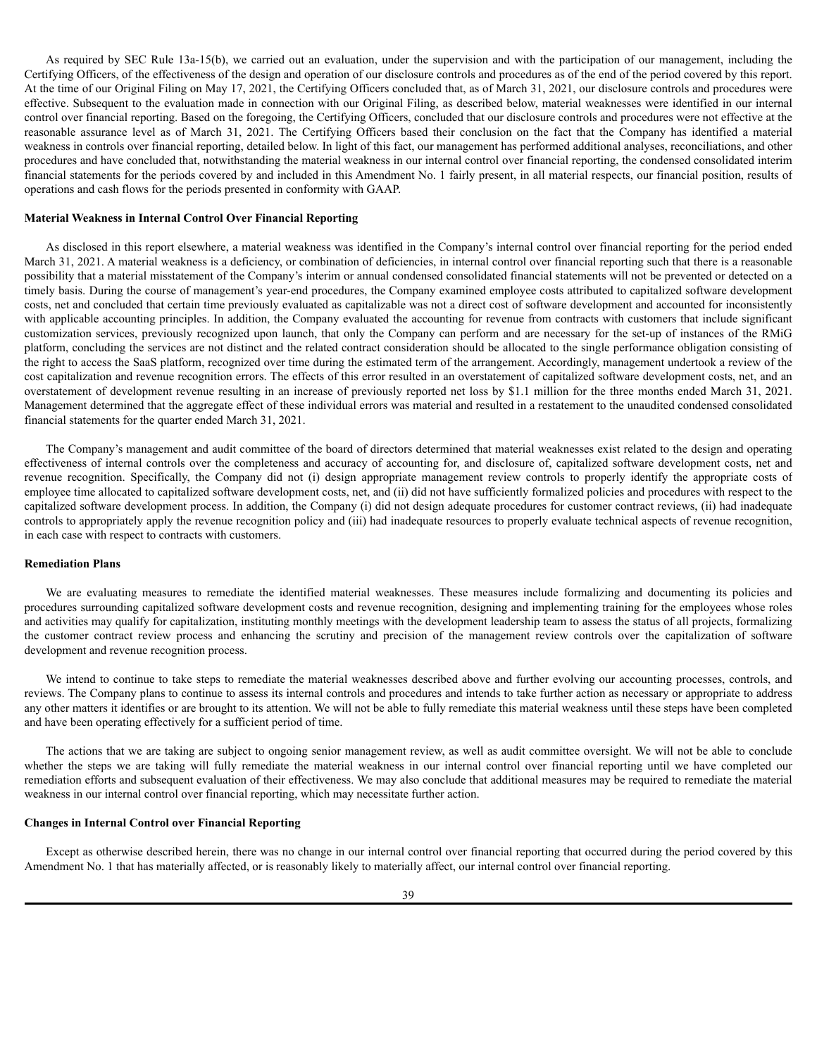As required by SEC Rule 13a-15(b), we carried out an evaluation, under the supervision and with the participation of our management, including the Certifying Officers, of the effectiveness of the design and operation of our disclosure controls and procedures as of the end of the period covered by this report. At the time of our Original Filing on May 17, 2021, the Certifying Officers concluded that, as of March 31, 2021, our disclosure controls and procedures were effective. Subsequent to the evaluation made in connection with our Original Filing, as described below, material weaknesses were identified in our internal control over financial reporting. Based on the foregoing, the Certifying Officers, concluded that our disclosure controls and procedures were not effective at the reasonable assurance level as of March 31, 2021. The Certifying Officers based their conclusion on the fact that the Company has identified a material weakness in controls over financial reporting, detailed below. In light of this fact, our management has performed additional analyses, reconciliations, and other procedures and have concluded that, notwithstanding the material weakness in our internal control over financial reporting, the condensed consolidated interim financial statements for the periods covered by and included in this Amendment No. 1 fairly present, in all material respects, our financial position, results of operations and cash flows for the periods presented in conformity with GAAP.

# **Material Weakness in Internal Control Over Financial Reporting**

As disclosed in this report elsewhere, a material weakness was identified in the Company's internal control over financial reporting for the period ended March 31, 2021. A material weakness is a deficiency, or combination of deficiencies, in internal control over financial reporting such that there is a reasonable possibility that a material misstatement of the Company's interim or annual condensed consolidated financial statements will not be prevented or detected on a timely basis. During the course of management's year-end procedures, the Company examined employee costs attributed to capitalized software development costs, net and concluded that certain time previously evaluated as capitalizable was not a direct cost of software development and accounted for inconsistently with applicable accounting principles. In addition, the Company evaluated the accounting for revenue from contracts with customers that include significant customization services, previously recognized upon launch, that only the Company can perform and are necessary for the set-up of instances of the RMiG platform, concluding the services are not distinct and the related contract consideration should be allocated to the single performance obligation consisting of the right to access the SaaS platform, recognized over time during the estimated term of the arrangement. Accordingly, management undertook a review of the cost capitalization and revenue recognition errors. The effects of this error resulted in an overstatement of capitalized software development costs, net, and an overstatement of development revenue resulting in an increase of previously reported net loss by \$1.1 million for the three months ended March 31, 2021. Management determined that the aggregate effect of these individual errors was material and resulted in a restatement to the unaudited condensed consolidated financial statements for the quarter ended March 31, 2021.

The Company's management and audit committee of the board of directors determined that material weaknesses exist related to the design and operating effectiveness of internal controls over the completeness and accuracy of accounting for, and disclosure of, capitalized software development costs, net and revenue recognition. Specifically, the Company did not (i) design appropriate management review controls to properly identify the appropriate costs of employee time allocated to capitalized software development costs, net, and (ii) did not have sufficiently formalized policies and procedures with respect to the capitalized software development process. In addition, the Company (i) did not design adequate procedures for customer contract reviews, (ii) had inadequate controls to appropriately apply the revenue recognition policy and (iii) had inadequate resources to properly evaluate technical aspects of revenue recognition, in each case with respect to contracts with customers.

### **Remediation Plans**

We are evaluating measures to remediate the identified material weaknesses. These measures include formalizing and documenting its policies and procedures surrounding capitalized software development costs and revenue recognition, designing and implementing training for the employees whose roles and activities may qualify for capitalization, instituting monthly meetings with the development leadership team to assess the status of all projects, formalizing the customer contract review process and enhancing the scrutiny and precision of the management review controls over the capitalization of software development and revenue recognition process.

We intend to continue to take steps to remediate the material weaknesses described above and further evolving our accounting processes, controls, and reviews. The Company plans to continue to assess its internal controls and procedures and intends to take further action as necessary or appropriate to address any other matters it identifies or are brought to its attention. We will not be able to fully remediate this material weakness until these steps have been completed and have been operating effectively for a sufficient period of time.

The actions that we are taking are subject to ongoing senior management review, as well as audit committee oversight. We will not be able to conclude whether the steps we are taking will fully remediate the material weakness in our internal control over financial reporting until we have completed our remediation efforts and subsequent evaluation of their effectiveness. We may also conclude that additional measures may be required to remediate the material weakness in our internal control over financial reporting, which may necessitate further action.

### **Changes in Internal Control over Financial Reporting**

Except as otherwise described herein, there was no change in our internal control over financial reporting that occurred during the period covered by this Amendment No. 1 that has materially affected, or is reasonably likely to materially affect, our internal control over financial reporting.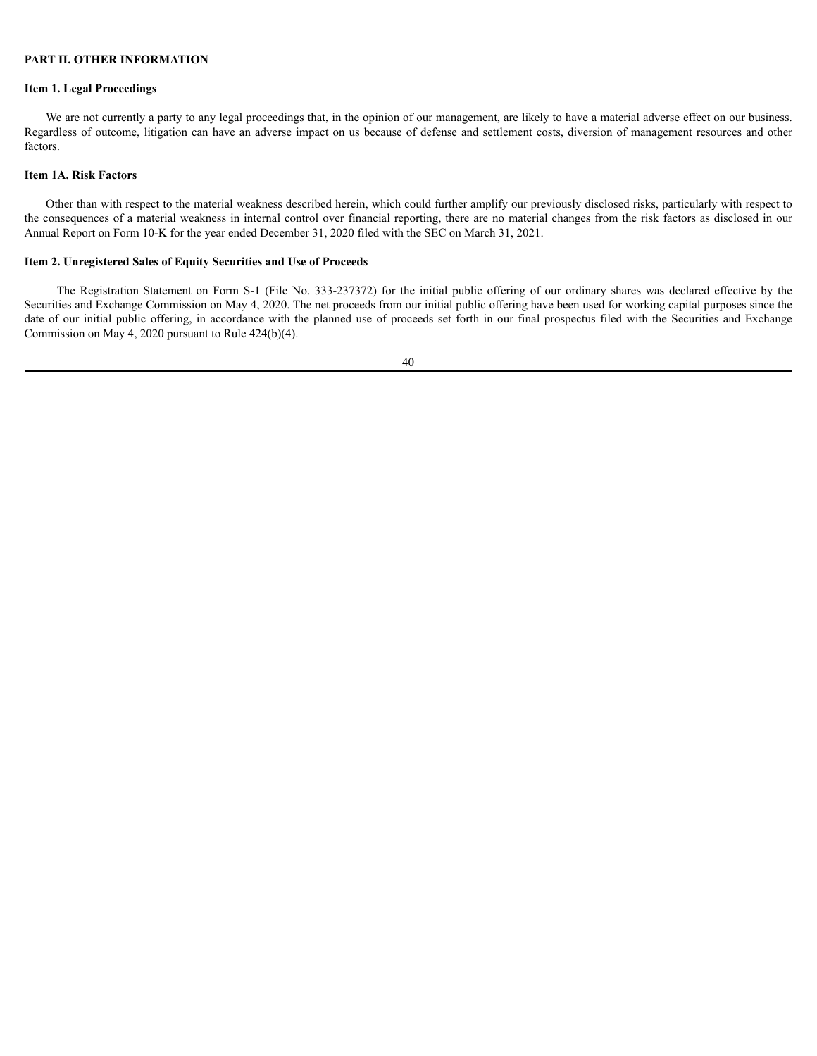# **PART II. OTHER INFORMATION**

# **Item 1. Legal Proceedings**

We are not currently a party to any legal proceedings that, in the opinion of our management, are likely to have a material adverse effect on our business. Regardless of outcome, litigation can have an adverse impact on us because of defense and settlement costs, diversion of management resources and other factors.

## <span id="page-40-0"></span>**Item 1A. Risk Factors**

Other than with respect to the material weakness described herein, which could further amplify our previously disclosed risks, particularly with respect to the consequences of a material weakness in internal control over financial reporting, there are no material changes from the risk factors as disclosed in our Annual Report on Form 10-K for the year ended December 31, 2020 filed with the SEC on March 31, 2021.

# **Item 2. Unregistered Sales of Equity Securities and Use of Proceeds**

The Registration Statement on Form S-1 (File No. 333-237372) for the initial public offering of our ordinary shares was declared effective by the Securities and Exchange Commission on May 4, 2020. The net proceeds from our initial public offering have been used for working capital purposes since the date of our initial public offering, in accordance with the planned use of proceeds set forth in our final prospectus filed with the Securities and Exchange Commission on May 4, 2020 pursuant to Rule 424(b)(4).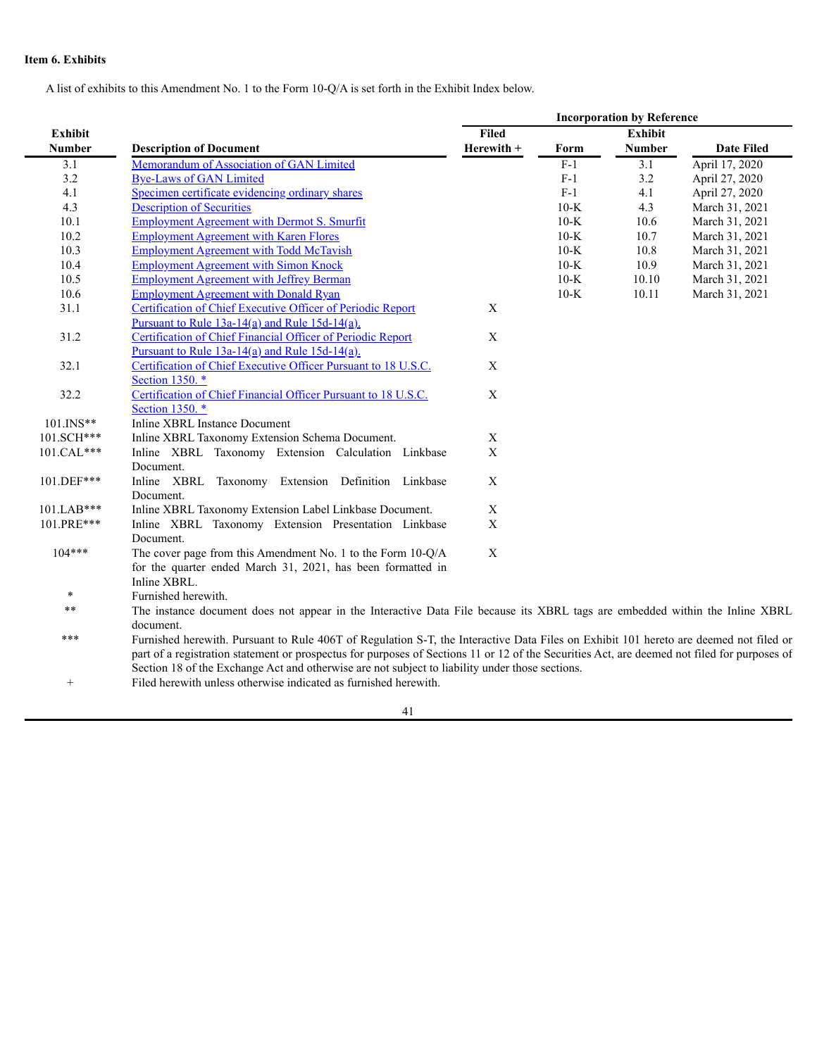# **Item 6. Exhibits**

A list of exhibits to this Amendment No. 1 to the Form 10-Q/A is set forth in the Exhibit Index below.

|                 |                                                                                                                                              |             | <b>Incorporation by Reference</b> |                  |                   |  |  |  |
|-----------------|----------------------------------------------------------------------------------------------------------------------------------------------|-------------|-----------------------------------|------------------|-------------------|--|--|--|
| <b>Exhibit</b>  |                                                                                                                                              | Filed       |                                   | <b>Exhibit</b>   |                   |  |  |  |
| <b>Number</b>   | <b>Description of Document</b>                                                                                                               | Herewith +  | Form                              | <b>Number</b>    | <b>Date Filed</b> |  |  |  |
| 3.1             | Memorandum of Association of GAN Limited                                                                                                     |             | $F-1$                             | $\overline{3.1}$ | April 17, 2020    |  |  |  |
| 3.2             | <b>Bye-Laws of GAN Limited</b>                                                                                                               |             | $F-1$                             | 3.2              | April 27, 2020    |  |  |  |
| 4.1             | Specimen certificate evidencing ordinary shares                                                                                              |             | $F-1$                             | 4.1              | April 27, 2020    |  |  |  |
| 4.3             | <b>Description of Securities</b>                                                                                                             |             | $10-K$                            | 4.3              | March 31, 2021    |  |  |  |
| 10.1            | <b>Employment Agreement with Dermot S. Smurfit</b>                                                                                           |             | $10-K$                            | 10.6             | March 31, 2021    |  |  |  |
| 10.2            | <b>Employment Agreement with Karen Flores</b>                                                                                                |             | $10-K$                            | 10.7             | March 31, 2021    |  |  |  |
| 10.3            | <b>Employment Agreement with Todd McTavish</b>                                                                                               |             | $10-K$                            | 10.8             | March 31, 2021    |  |  |  |
| 10.4            | <b>Employment Agreement with Simon Knock</b>                                                                                                 |             | $10-K$                            | 10.9             | March 31, 2021    |  |  |  |
| 10.5            | <b>Employment Agreement with Jeffrey Berman</b>                                                                                              |             | $10-K$                            | 10.10            | March 31, 2021    |  |  |  |
| 10.6            | <b>Employment Agreement with Donald Ryan</b>                                                                                                 |             | $10-K$                            | 10.11            | March 31, 2021    |  |  |  |
| 31.1            | Certification of Chief Executive Officer of Periodic Report                                                                                  | X           |                                   |                  |                   |  |  |  |
|                 | Pursuant to Rule $13a-14(a)$ and Rule $15d-14(a)$ .                                                                                          |             |                                   |                  |                   |  |  |  |
| 31.2            | Certification of Chief Financial Officer of Periodic Report                                                                                  | $\mathbf X$ |                                   |                  |                   |  |  |  |
|                 | Pursuant to Rule $13a-14(a)$ and Rule $15d-14(a)$ .                                                                                          |             |                                   |                  |                   |  |  |  |
| 32.1            | Certification of Chief Executive Officer Pursuant to 18 U.S.C.                                                                               | $\mathbf X$ |                                   |                  |                   |  |  |  |
|                 | Section 1350. *                                                                                                                              |             |                                   |                  |                   |  |  |  |
| 32.2            | Certification of Chief Financial Officer Pursuant to 18 U.S.C.                                                                               | $\mathbf X$ |                                   |                  |                   |  |  |  |
|                 | Section 1350. *                                                                                                                              |             |                                   |                  |                   |  |  |  |
| 101.INS**       | <b>Inline XBRL Instance Document</b>                                                                                                         |             |                                   |                  |                   |  |  |  |
| 101.SCH***      | Inline XBRL Taxonomy Extension Schema Document.                                                                                              | X           |                                   |                  |                   |  |  |  |
| 101.CAL***      | Inline XBRL Taxonomy Extension Calculation Linkbase<br>Document.                                                                             | $\mathbf X$ |                                   |                  |                   |  |  |  |
| 101.DEF***      | Inline XBRL Taxonomy Extension Definition Linkbase                                                                                           | $\mathbf X$ |                                   |                  |                   |  |  |  |
|                 | Document.                                                                                                                                    |             |                                   |                  |                   |  |  |  |
| 101.LAB***      | Inline XBRL Taxonomy Extension Label Linkbase Document.                                                                                      | $\mathbf X$ |                                   |                  |                   |  |  |  |
| 101.PRE***      | Inline XBRL Taxonomy Extension Presentation Linkbase                                                                                         | $\mathbf X$ |                                   |                  |                   |  |  |  |
|                 | Document.                                                                                                                                    |             |                                   |                  |                   |  |  |  |
| $104***$        | The cover page from this Amendment No. 1 to the Form 10-Q/A                                                                                  | $\mathbf X$ |                                   |                  |                   |  |  |  |
|                 | for the quarter ended March 31, 2021, has been formatted in                                                                                  |             |                                   |                  |                   |  |  |  |
|                 | Inline XBRL.                                                                                                                                 |             |                                   |                  |                   |  |  |  |
| $\ast$          | Furnished herewith.                                                                                                                          |             |                                   |                  |                   |  |  |  |
| $* *$           | The instance document does not appear in the Interactive Data File because its XBRL tags are embedded within the Inline XBRL                 |             |                                   |                  |                   |  |  |  |
|                 | document.                                                                                                                                    |             |                                   |                  |                   |  |  |  |
| ***             | Furnished herewith. Pursuant to Rule 406T of Regulation S-T, the Interactive Data Files on Exhibit 101 hereto are deemed not filed or        |             |                                   |                  |                   |  |  |  |
|                 | part of a registration statement or prospectus for purposes of Sections 11 or 12 of the Securities Act, are deemed not filed for purposes of |             |                                   |                  |                   |  |  |  |
|                 | Section 18 of the Exchange Act and otherwise are not subject to liability under those sections.                                              |             |                                   |                  |                   |  |  |  |
| $\! + \!\!\!\!$ | Filed herewith unless otherwise indicated as furnished herewith.                                                                             |             |                                   |                  |                   |  |  |  |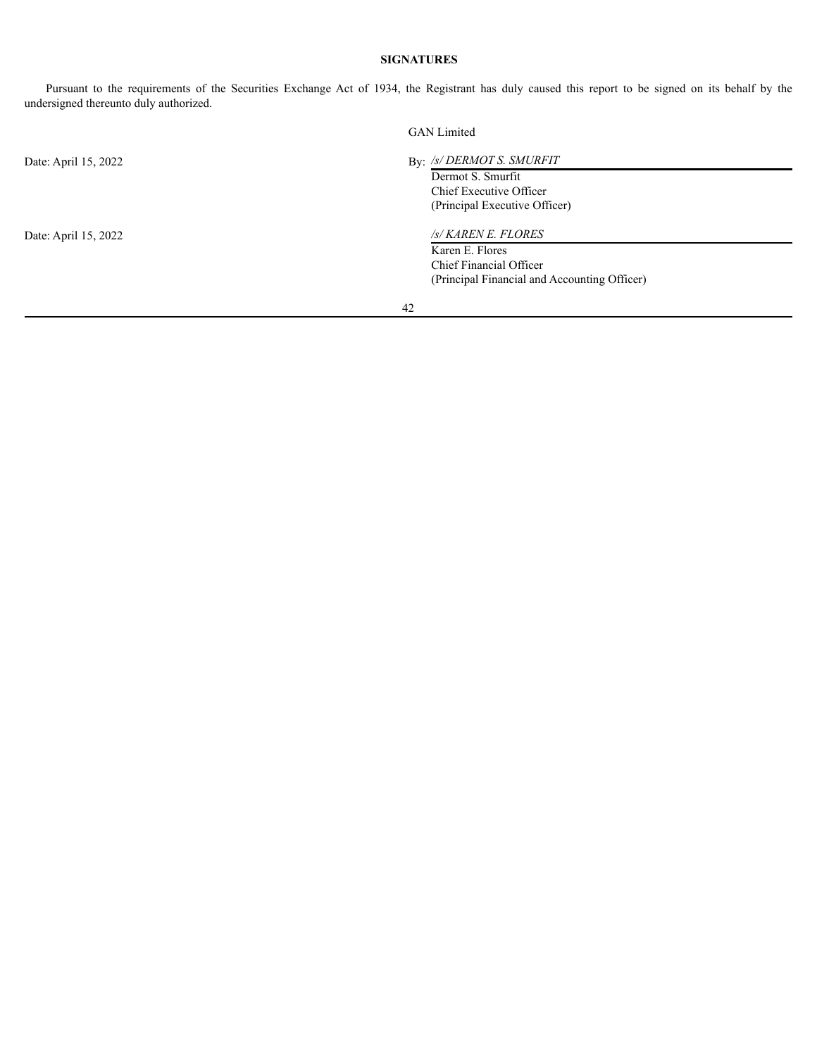# <span id="page-42-0"></span>**SIGNATURES**

Pursuant to the requirements of the Securities Exchange Act of 1934, the Registrant has duly caused this report to be signed on its behalf by the undersigned thereunto duly authorized.

|                      | <b>GAN</b> Limited                                                                                                |  |  |  |  |  |
|----------------------|-------------------------------------------------------------------------------------------------------------------|--|--|--|--|--|
| Date: April 15, 2022 | By: /s/ DERMOT S. SMURFIT<br>Dermot S. Smurfit<br>Chief Executive Officer<br>(Principal Executive Officer)        |  |  |  |  |  |
| Date: April 15, 2022 | /s/ KAREN E. FLORES<br>Karen E. Flores<br>Chief Financial Officer<br>(Principal Financial and Accounting Officer) |  |  |  |  |  |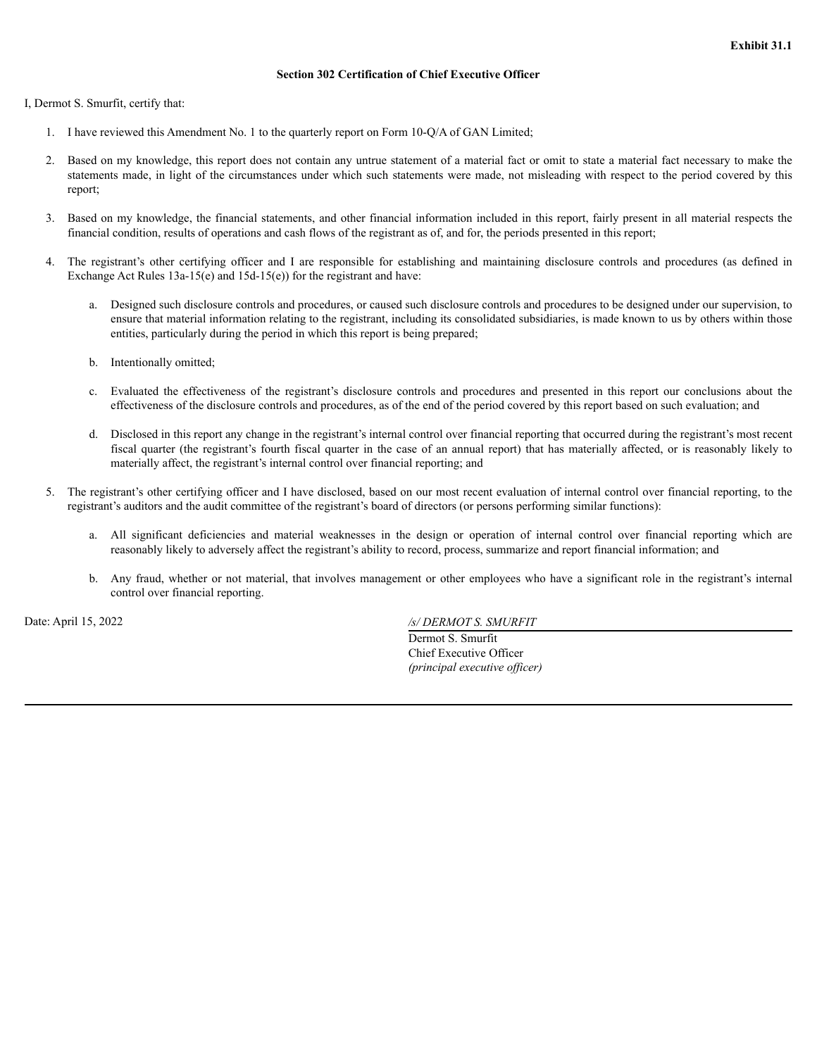# **Section 302 Certification of Chief Executive Officer**

<span id="page-43-0"></span>I, Dermot S. Smurfit, certify that:

- 1. I have reviewed this Amendment No. 1 to the quarterly report on Form 10-Q/A of GAN Limited;
- 2. Based on my knowledge, this report does not contain any untrue statement of a material fact or omit to state a material fact necessary to make the statements made, in light of the circumstances under which such statements were made, not misleading with respect to the period covered by this report;
- 3. Based on my knowledge, the financial statements, and other financial information included in this report, fairly present in all material respects the financial condition, results of operations and cash flows of the registrant as of, and for, the periods presented in this report;
- 4. The registrant's other certifying officer and I are responsible for establishing and maintaining disclosure controls and procedures (as defined in Exchange Act Rules 13a-15(e) and 15d-15(e)) for the registrant and have:
	- a. Designed such disclosure controls and procedures, or caused such disclosure controls and procedures to be designed under our supervision, to ensure that material information relating to the registrant, including its consolidated subsidiaries, is made known to us by others within those entities, particularly during the period in which this report is being prepared;
	- b. Intentionally omitted;
	- c. Evaluated the effectiveness of the registrant's disclosure controls and procedures and presented in this report our conclusions about the effectiveness of the disclosure controls and procedures, as of the end of the period covered by this report based on such evaluation; and
	- d. Disclosed in this report any change in the registrant's internal control over financial reporting that occurred during the registrant's most recent fiscal quarter (the registrant's fourth fiscal quarter in the case of an annual report) that has materially affected, or is reasonably likely to materially affect, the registrant's internal control over financial reporting; and
- 5. The registrant's other certifying officer and I have disclosed, based on our most recent evaluation of internal control over financial reporting, to the registrant's auditors and the audit committee of the registrant's board of directors (or persons performing similar functions):
	- a. All significant deficiencies and material weaknesses in the design or operation of internal control over financial reporting which are reasonably likely to adversely affect the registrant's ability to record, process, summarize and report financial information; and
	- b. Any fraud, whether or not material, that involves management or other employees who have a significant role in the registrant's internal control over financial reporting.

Date: April 15, 2022 */s/ DERMOT S. SMURFIT*

Dermot S. Smurfit Chief Executive Officer *(principal executive of icer)*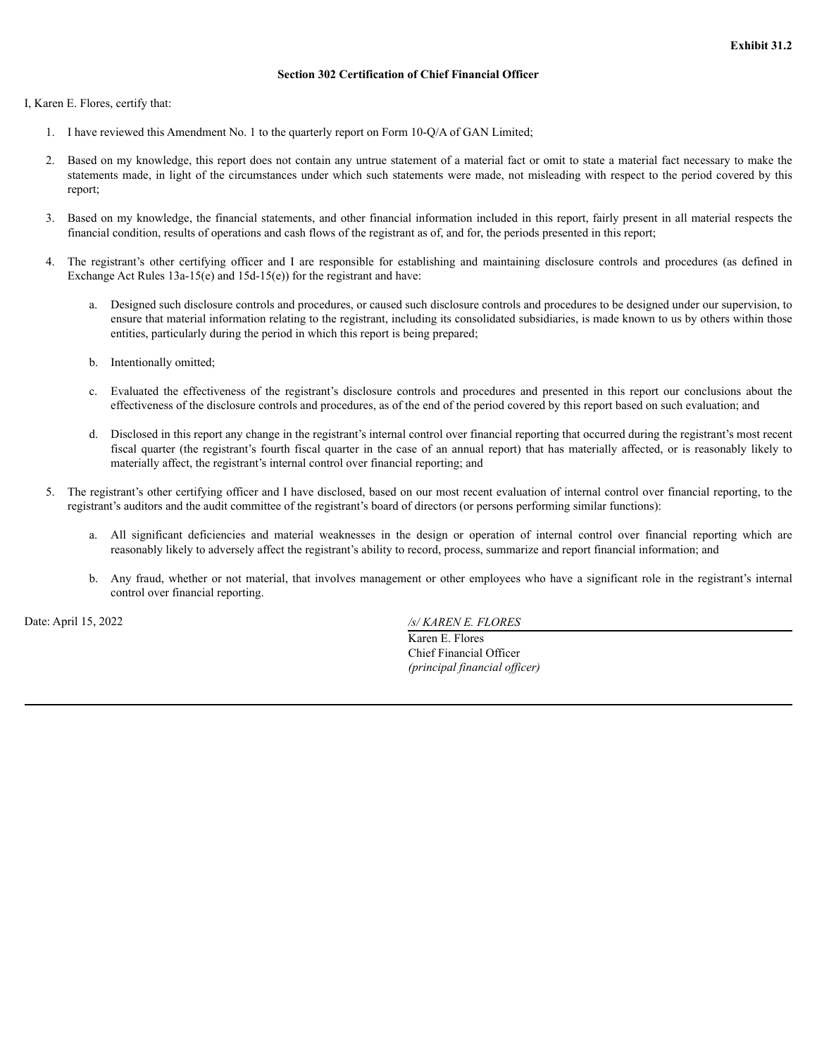# **Section 302 Certification of Chief Financial Officer**

<span id="page-44-0"></span>I, Karen E. Flores, certify that:

- 1. I have reviewed this Amendment No. 1 to the quarterly report on Form 10-Q/A of GAN Limited;
- 2. Based on my knowledge, this report does not contain any untrue statement of a material fact or omit to state a material fact necessary to make the statements made, in light of the circumstances under which such statements were made, not misleading with respect to the period covered by this report;
- 3. Based on my knowledge, the financial statements, and other financial information included in this report, fairly present in all material respects the financial condition, results of operations and cash flows of the registrant as of, and for, the periods presented in this report;
- 4. The registrant's other certifying officer and I are responsible for establishing and maintaining disclosure controls and procedures (as defined in Exchange Act Rules 13a-15(e) and 15d-15(e)) for the registrant and have:
	- a. Designed such disclosure controls and procedures, or caused such disclosure controls and procedures to be designed under our supervision, to ensure that material information relating to the registrant, including its consolidated subsidiaries, is made known to us by others within those entities, particularly during the period in which this report is being prepared;
	- b. Intentionally omitted;
	- c. Evaluated the effectiveness of the registrant's disclosure controls and procedures and presented in this report our conclusions about the effectiveness of the disclosure controls and procedures, as of the end of the period covered by this report based on such evaluation; and
	- d. Disclosed in this report any change in the registrant's internal control over financial reporting that occurred during the registrant's most recent fiscal quarter (the registrant's fourth fiscal quarter in the case of an annual report) that has materially affected, or is reasonably likely to materially affect, the registrant's internal control over financial reporting; and
- 5. The registrant's other certifying officer and I have disclosed, based on our most recent evaluation of internal control over financial reporting, to the registrant's auditors and the audit committee of the registrant's board of directors (or persons performing similar functions):
	- a. All significant deficiencies and material weaknesses in the design or operation of internal control over financial reporting which are reasonably likely to adversely affect the registrant's ability to record, process, summarize and report financial information; and
	- b. Any fraud, whether or not material, that involves management or other employees who have a significant role in the registrant's internal control over financial reporting.

Date: April 15, 2022 */s/ KAREN E. FLORES*

Karen E. Flores Chief Financial Officer *(principal financial of icer)*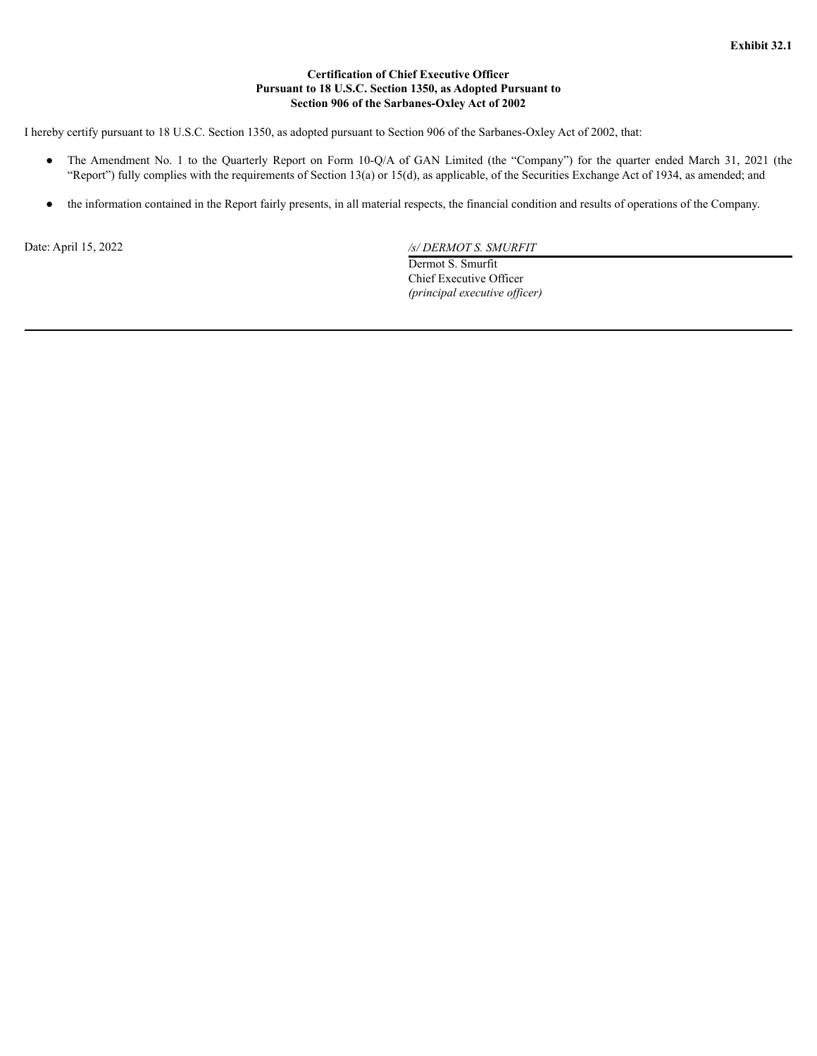# **Certification of Chief Executive Officer Pursuant to 18 U.S.C. Section 1350, as Adopted Pursuant to Section 906 of the Sarbanes-Oxley Act of 2002**

<span id="page-45-0"></span>I hereby certify pursuant to 18 U.S.C. Section 1350, as adopted pursuant to Section 906 of the Sarbanes-Oxley Act of 2002, that:

- The Amendment No. 1 to the Quarterly Report on Form 10-Q/A of GAN Limited (the "Company") for the quarter ended March 31, 2021 (the "Report") fully complies with the requirements of Section 13(a) or 15(d), as applicable, of the Securities Exchange Act of 1934, as amended; and
- the information contained in the Report fairly presents, in all material respects, the financial condition and results of operations of the Company.

Date: April 15, 2022 */s/ DERMOT S. SMURFIT*

Dermot S. Smurfit Chief Executive Officer *(principal executive of icer)*